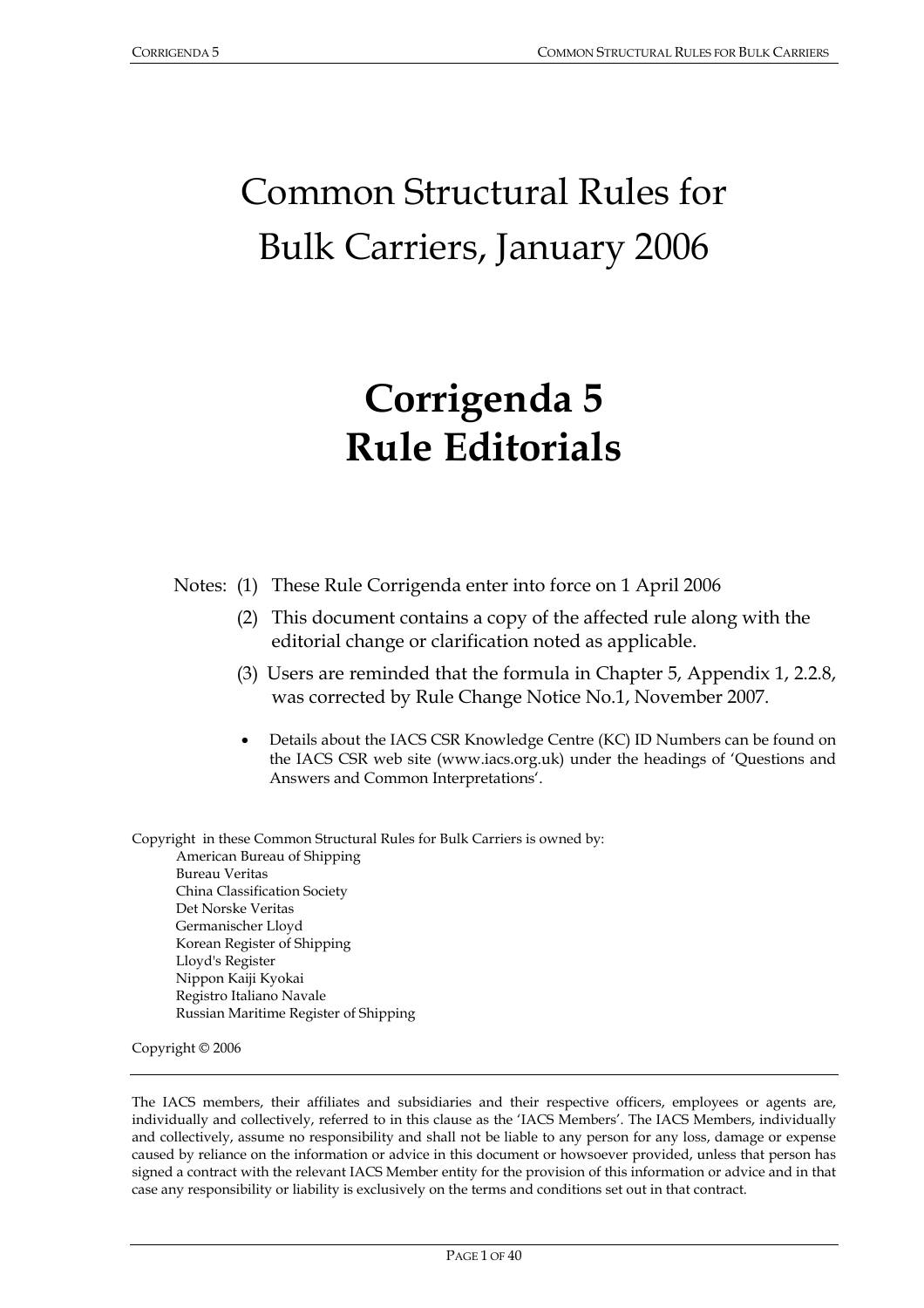# Common Structural Rules for Bulk Carriers, January 2006

# **Corrigenda 5 Rule Editorials**

Notes: (1) These Rule Corrigenda enter into force on 1 April 2006

- (2) This document contains a copy of the affected rule along with the editorial change or clarification noted as applicable.
- (3) Users are reminded that the formula in Chapter 5, Appendix 1, 2.2.8, was corrected by Rule Change Notice No.1, November 2007.
- Details about the IACS CSR Knowledge Centre (KC) ID Numbers can be found on the IACS CSR web site (www.iacs.org.uk) under the headings of 'Questions and Answers and Common Interpretations'.

Copyright in these Common Structural Rules for Bulk Carriers is owned by: American Bureau of Shipping Bureau Veritas China Classification Society Det Norske Veritas Germanischer Lloyd Korean Register of Shipping Lloyd's Register Nippon Kaiji Kyokai Registro Italiano Navale Russian Maritime Register of Shipping

Copyright © 2006

The IACS members, their affiliates and subsidiaries and their respective officers, employees or agents are, individually and collectively, referred to in this clause as the 'IACS Members'. The IACS Members, individually and collectively, assume no responsibility and shall not be liable to any person for any loss, damage or expense caused by reliance on the information or advice in this document or howsoever provided, unless that person has signed a contract with the relevant IACS Member entity for the provision of this information or advice and in that case any responsibility or liability is exclusively on the terms and conditions set out in that contract.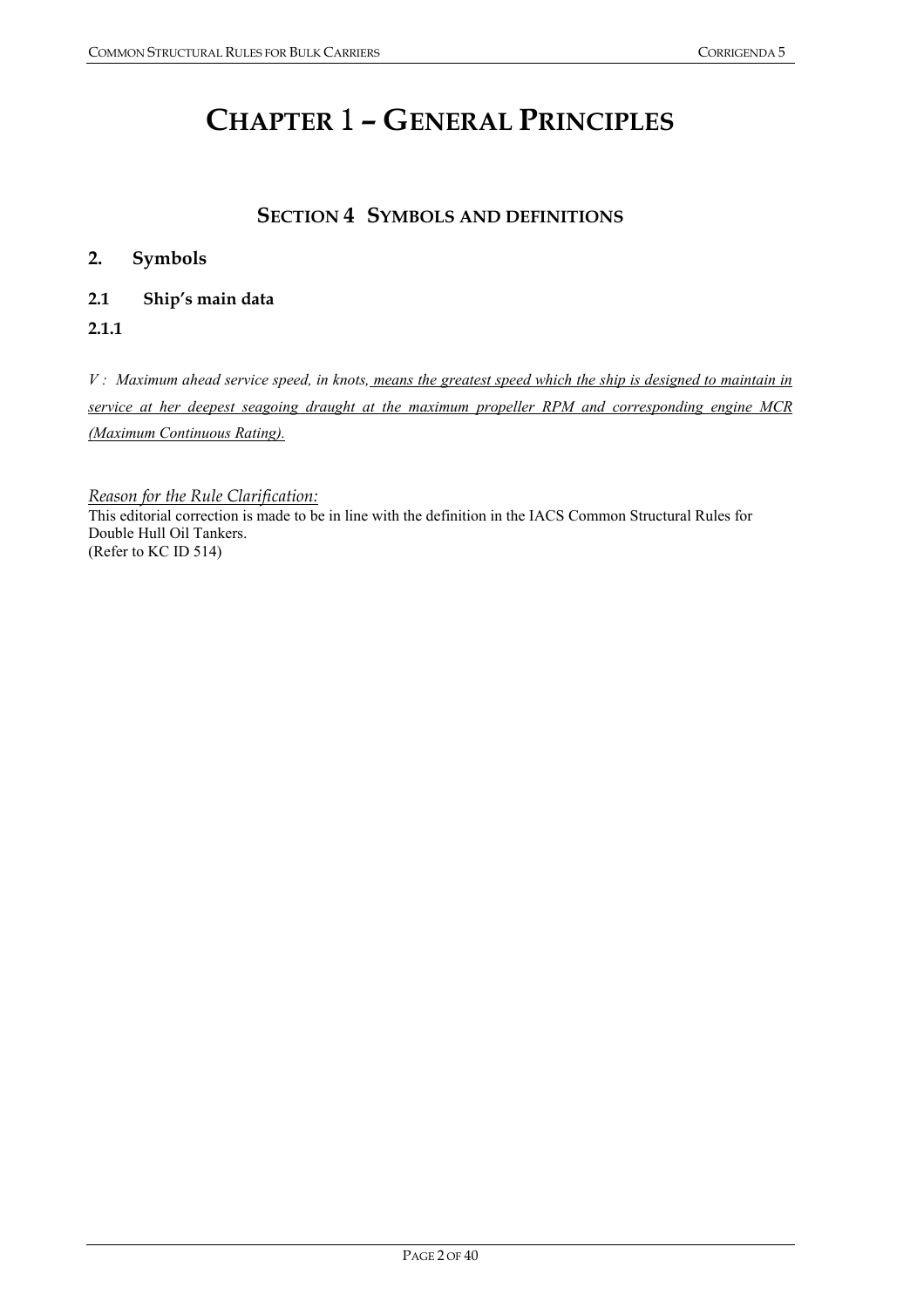# **CHAPTER** 1 **– GENERAL PRINCIPLES**

# **SECTION 4 SYMBOLS AND DEFINITIONS**

## **2. Symbols**

### **2.1 Ship's main data**

**2.1.1** 

*V : Maximum ahead service speed, in knots, means the greatest speed which the ship is designed to maintain in service at her deepest seagoing draught at the maximum propeller RPM and corresponding engine MCR (Maximum Continuous Rating).*

*Reason for the Rule Clarification:*

This editorial correction is made to be in line with the definition in the IACS Common Structural Rules for Double Hull Oil Tankers. (Refer to KC ID 514)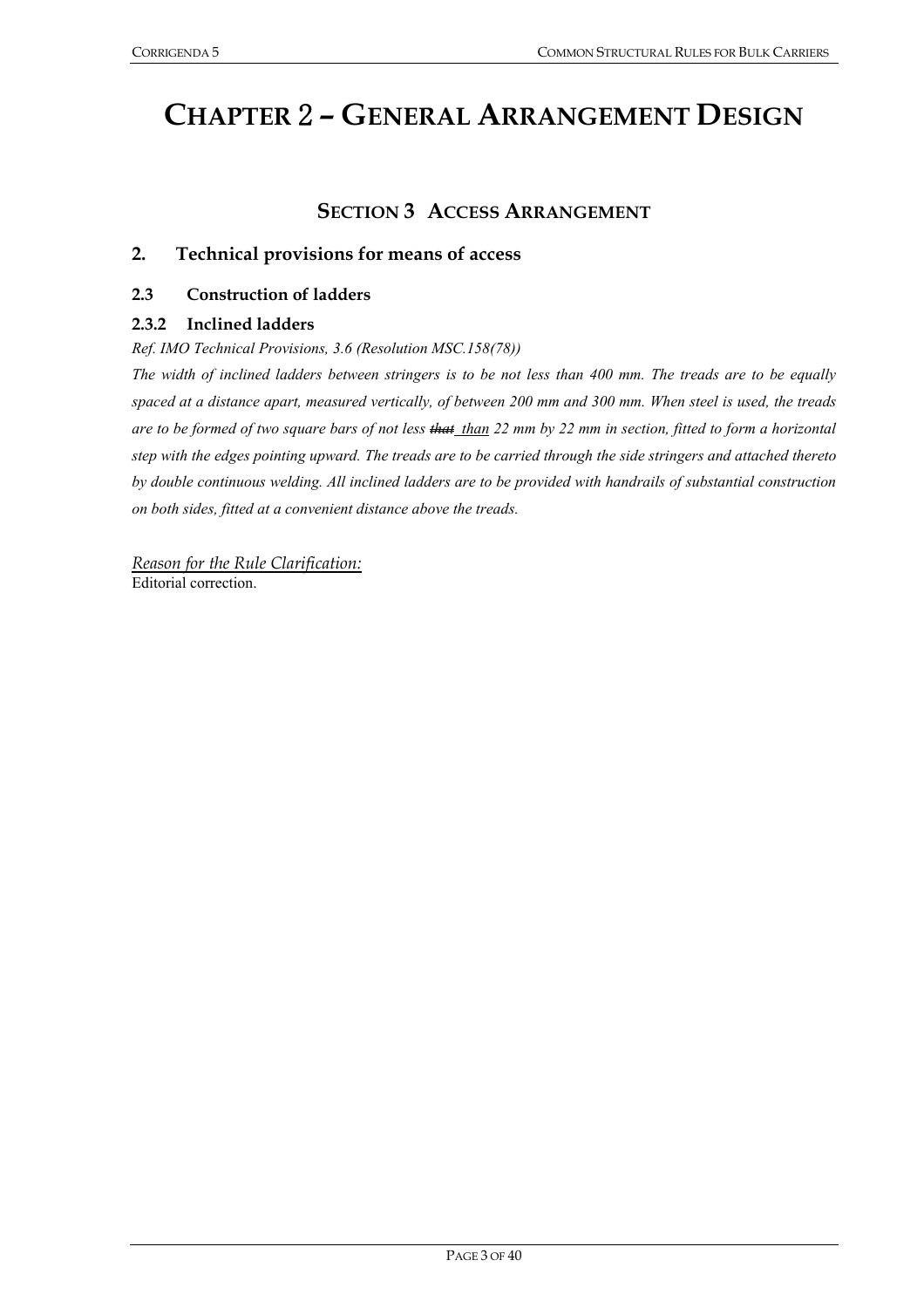# **CHAPTER** 2 **– GENERAL ARRANGEMENT DESIGN**

# **SECTION 3 ACCESS ARRANGEMENT**

#### **2. Technical provisions for means of access**

#### **2.3 Construction of ladders**

#### **2.3.2 Inclined ladders**

*Ref. IMO Technical Provisions, 3.6 (Resolution MSC.158(78))* 

*The width of inclined ladders between stringers is to be not less than 400 mm. The treads are to be equally spaced at a distance apart, measured vertically, of between 200 mm and 300 mm. When steel is used, the treads are to be formed of two square bars of not less that than 22 mm by 22 mm in section, fitted to form a horizontal step with the edges pointing upward. The treads are to be carried through the side stringers and attached thereto by double continuous welding. All inclined ladders are to be provided with handrails of substantial construction on both sides, fitted at a convenient distance above the treads.* 

*Reason for the Rule Clarification:* Editorial correction.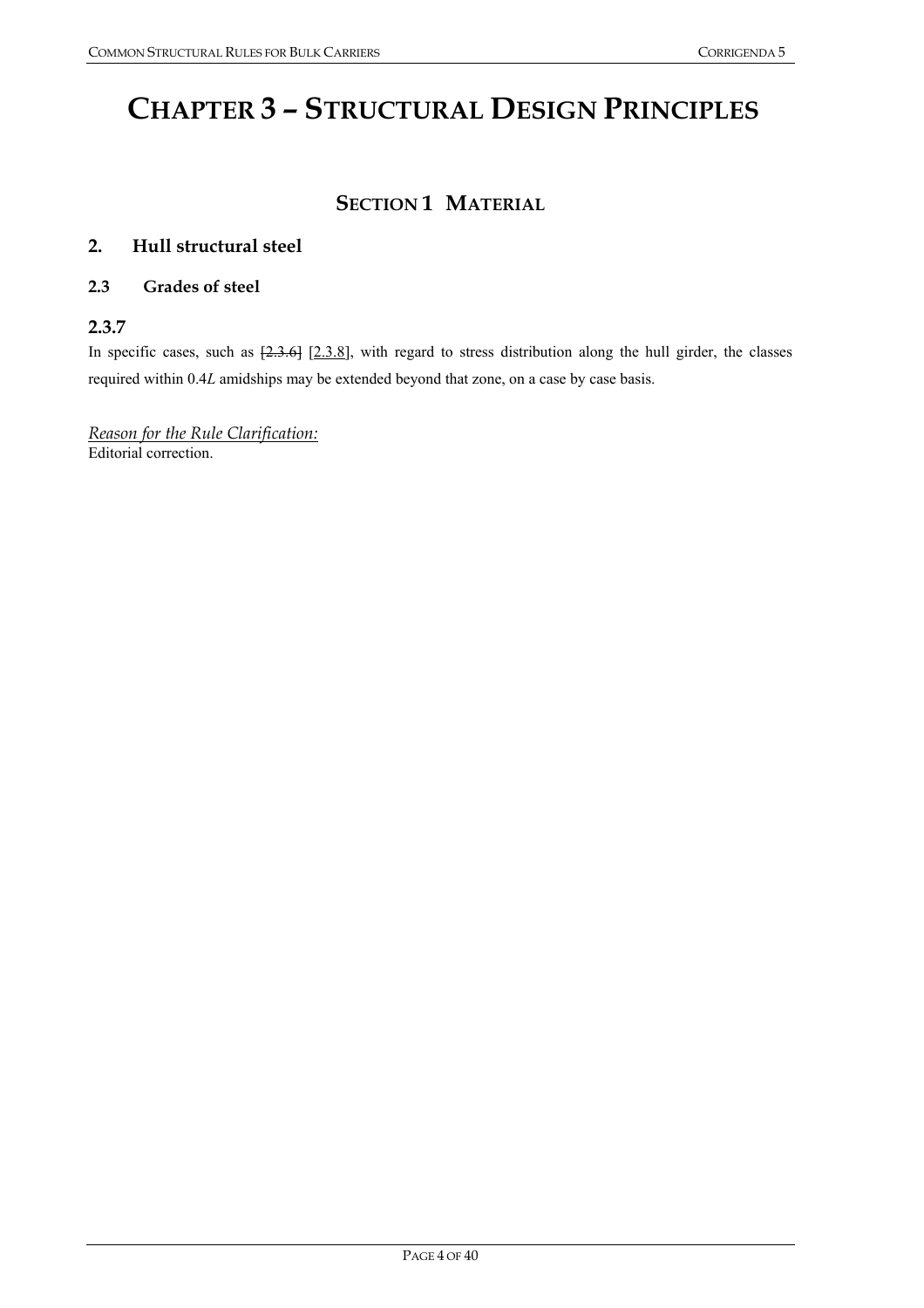# **CHAPTER 3 – STRUCTURAL DESIGN PRINCIPLES**

# **SECTION 1 MATERIAL**

## **2. Hull structural steel**

## **2.3 Grades of steel**

## **2.3.7**

In specific cases, such as  $[2.3.6]$   $[2.3.8]$ , with regard to stress distribution along the hull girder, the classes required within 0.4*L* amidships may be extended beyond that zone, on a case by case basis.

*Reason for the Rule Clarification:* Editorial correction.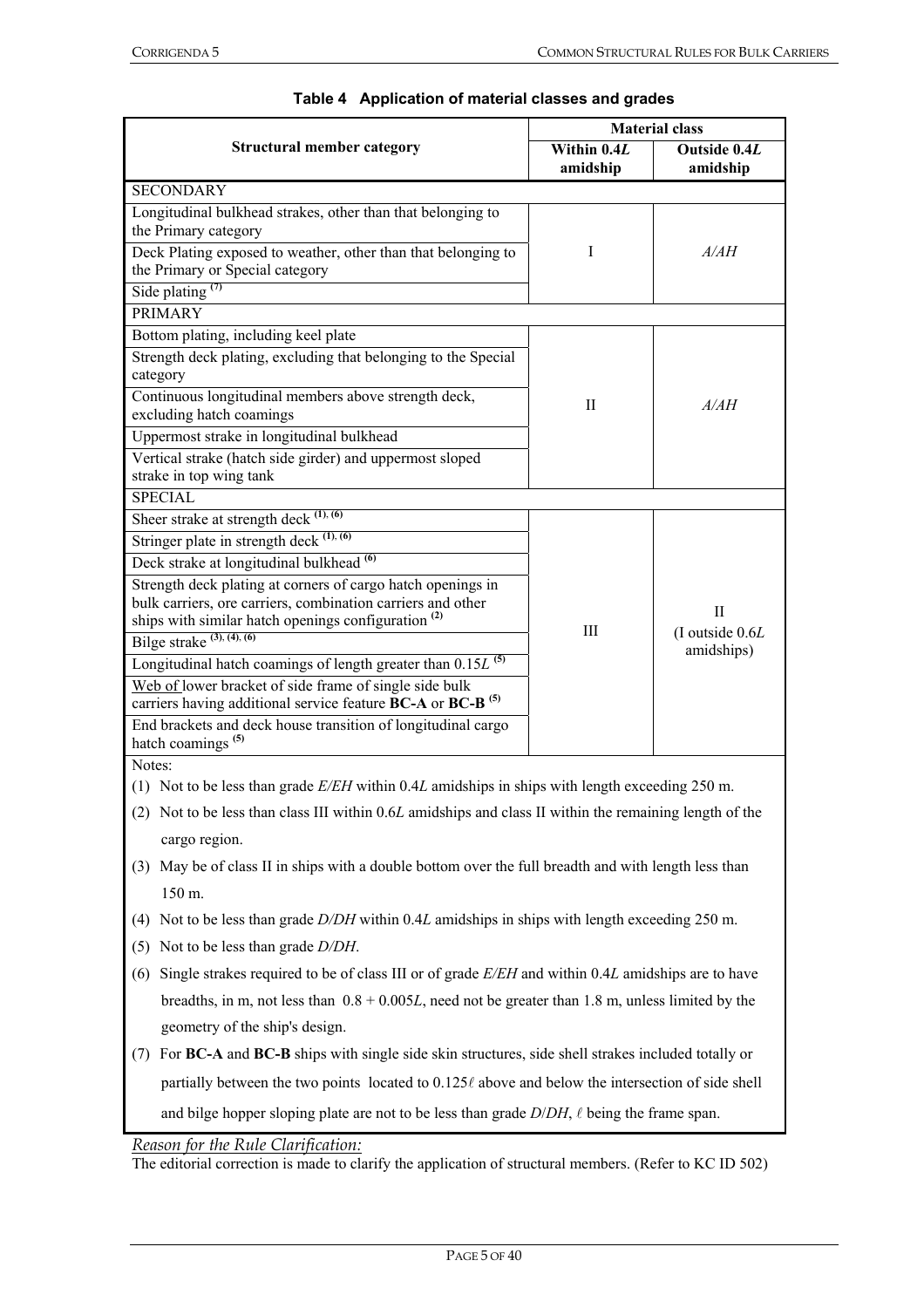|                                                                                                         | <b>Material class</b>   |                                              |  |
|---------------------------------------------------------------------------------------------------------|-------------------------|----------------------------------------------|--|
| <b>Structural member category</b>                                                                       | Within 0.4L<br>amidship | Outside 0.4L<br>amidship                     |  |
| <b>SECONDARY</b>                                                                                        |                         |                                              |  |
| Longitudinal bulkhead strakes, other than that belonging to                                             |                         |                                              |  |
| the Primary category                                                                                    |                         |                                              |  |
| Deck Plating exposed to weather, other than that belonging to                                           | I                       | A/AH                                         |  |
| the Primary or Special category                                                                         |                         |                                              |  |
| Side plating $(7)$                                                                                      |                         |                                              |  |
| <b>PRIMARY</b>                                                                                          |                         |                                              |  |
| Bottom plating, including keel plate                                                                    |                         |                                              |  |
| Strength deck plating, excluding that belonging to the Special                                          |                         |                                              |  |
| category                                                                                                |                         |                                              |  |
| Continuous longitudinal members above strength deck,<br>excluding hatch coamings                        | $_{\rm II}$             | A/AH                                         |  |
| Uppermost strake in longitudinal bulkhead                                                               |                         |                                              |  |
| Vertical strake (hatch side girder) and uppermost sloped                                                |                         |                                              |  |
| strake in top wing tank                                                                                 |                         |                                              |  |
| <b>SPECIAL</b>                                                                                          |                         |                                              |  |
| Sheer strake at strength deck $(1)$ , $(6)$                                                             |                         |                                              |  |
| Stringer plate in strength deck $(1)$ , $(6)$                                                           |                         | $_{\rm II}$<br>(I outside 0.6L<br>amidships) |  |
| Deck strake at longitudinal bulkhead <sup>(6)</sup>                                                     |                         |                                              |  |
| Strength deck plating at corners of cargo hatch openings in                                             |                         |                                              |  |
| bulk carriers, ore carriers, combination carriers and other                                             |                         |                                              |  |
| ships with similar hatch openings configuration <sup>(2)</sup>                                          | Ш                       |                                              |  |
| Bilge strake $(3)$ , $(4)$ , $(6)$                                                                      |                         |                                              |  |
| Longitudinal hatch coamings of length greater than $0.15L$ <sup>(5)</sup>                               |                         |                                              |  |
| Web of lower bracket of side frame of single side bulk                                                  |                         |                                              |  |
| carriers having additional service feature BC-A or BC-B <sup>(5)</sup>                                  |                         |                                              |  |
| End brackets and deck house transition of longitudinal cargo<br>hatch coamings <sup>(5)</sup>           |                         |                                              |  |
| Notes:                                                                                                  |                         |                                              |  |
| (1) Not to be less than grade $E/EH$ within 0.4L amidships in ships with length exceeding 250 m.        |                         |                                              |  |
|                                                                                                         |                         |                                              |  |
| (2) Not to be less than class III within 0.6L amidships and class II within the remaining length of the |                         |                                              |  |
| cargo region.                                                                                           |                         |                                              |  |
| May be of class II in ships with a double bottom over the full breadth and with length less than<br>(3) |                         |                                              |  |
| 150 m.                                                                                                  |                         |                                              |  |
| Not to be less than grade D/DH within 0.4L amidships in ships with length exceeding 250 m.<br>(4)       |                         |                                              |  |
| Not to be less than grade D/DH.<br>(5)                                                                  |                         |                                              |  |

#### **Table 4 Application of material classes and grades**

- (6) Single strakes required to be of class III or of grade *E/EH* and within 0.4*L* amidships are to have breadths, in m, not less than 0.8 + 0.005*L*, need not be greater than 1.8 m, unless limited by the geometry of the ship's design.
- (7) For **BC-A** and **BC-B** ships with single side skin structures, side shell strakes included totally or partially between the two points located to  $0.125\ell$  above and below the intersection of side shell and bilge hopper sloping plate are not to be less than grade  $D/DH$ ,  $\ell$  being the frame span.

*Reason for the Rule Clarification:*

The editorial correction is made to clarify the application of structural members. (Refer to KC ID 502)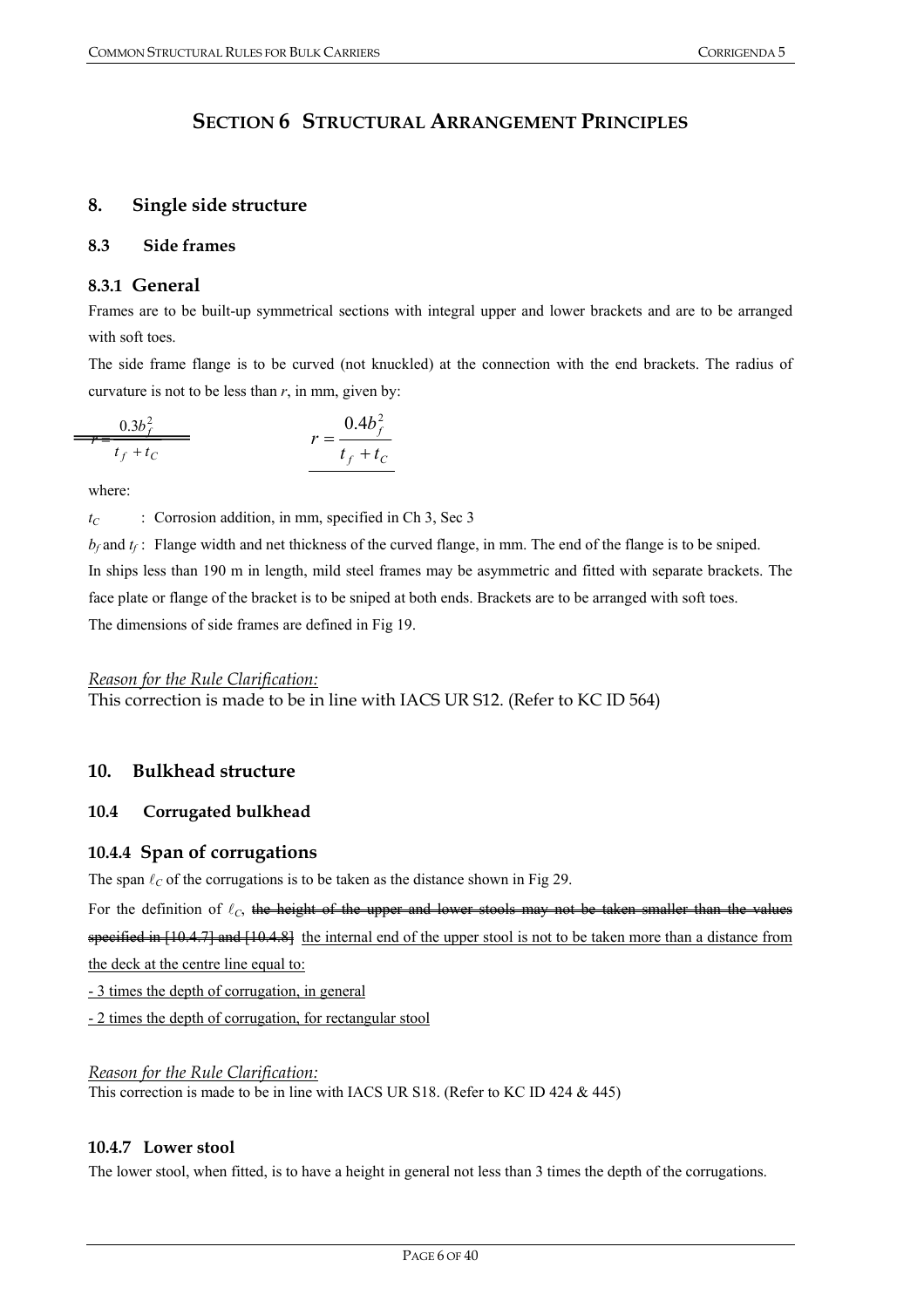# **SECTION 6 STRUCTURAL ARRANGEMENT PRINCIPLES**

## **8. Single side structure**

#### **8.3 Side frames**

# **8.3.1 General**

Frames are to be built-up symmetrical sections with integral upper and lower brackets and are to be arranged with soft toes.

The side frame flange is to be curved (not knuckled) at the connection with the end brackets. The radius of curvature is not to be less than  $r$ , in mm, given by:

$$
\frac{0.3b_f^2}{r - \frac{t_f + t_C}{t_f + t_C}}
$$
  $r = \frac{0.4b_f^2}{t_f + t_C}$ 

where:

 $\equiv$ 

 $t_C$  : Corrosion addition, in mm, specified in Ch 3, Sec 3

 $b_f$  and  $t_f$ : Flange width and net thickness of the curved flange, in mm. The end of the flange is to be sniped. In ships less than 190 m in length, mild steel frames may be asymmetric and fitted with separate brackets. The face plate or flange of the bracket is to be sniped at both ends. Brackets are to be arranged with soft toes. The dimensions of side frames are defined in Fig 19.

## *Reason for the Rule Clarification:*

This correction is made to be in line with IACS UR S12. (Refer to KC ID 564)

# **10. Bulkhead structure**

## **10.4 Corrugated bulkhead**

## **10.4.4 Span of corrugations**

The span  $\ell_C$  of the corrugations is to be taken as the distance shown in Fig 29.

For the definition of  $\ell_c$ , the height of the upper and lower stools may not be taken smaller than the values specified in  $[10.4.7]$  and  $[10.4.8]$  the internal end of the upper stool is not to be taken more than a distance from the deck at the centre line equal to:

- 3 times the depth of corrugation, in general

- 2 times the depth of corrugation, for rectangular stool

#### *Reason for the Rule Clarification:* This correction is made to be in line with IACS UR S18. (Refer to KC ID 424 & 445)

## **10.4.7 Lower stool**

The lower stool, when fitted, is to have a height in general not less than 3 times the depth of the corrugations.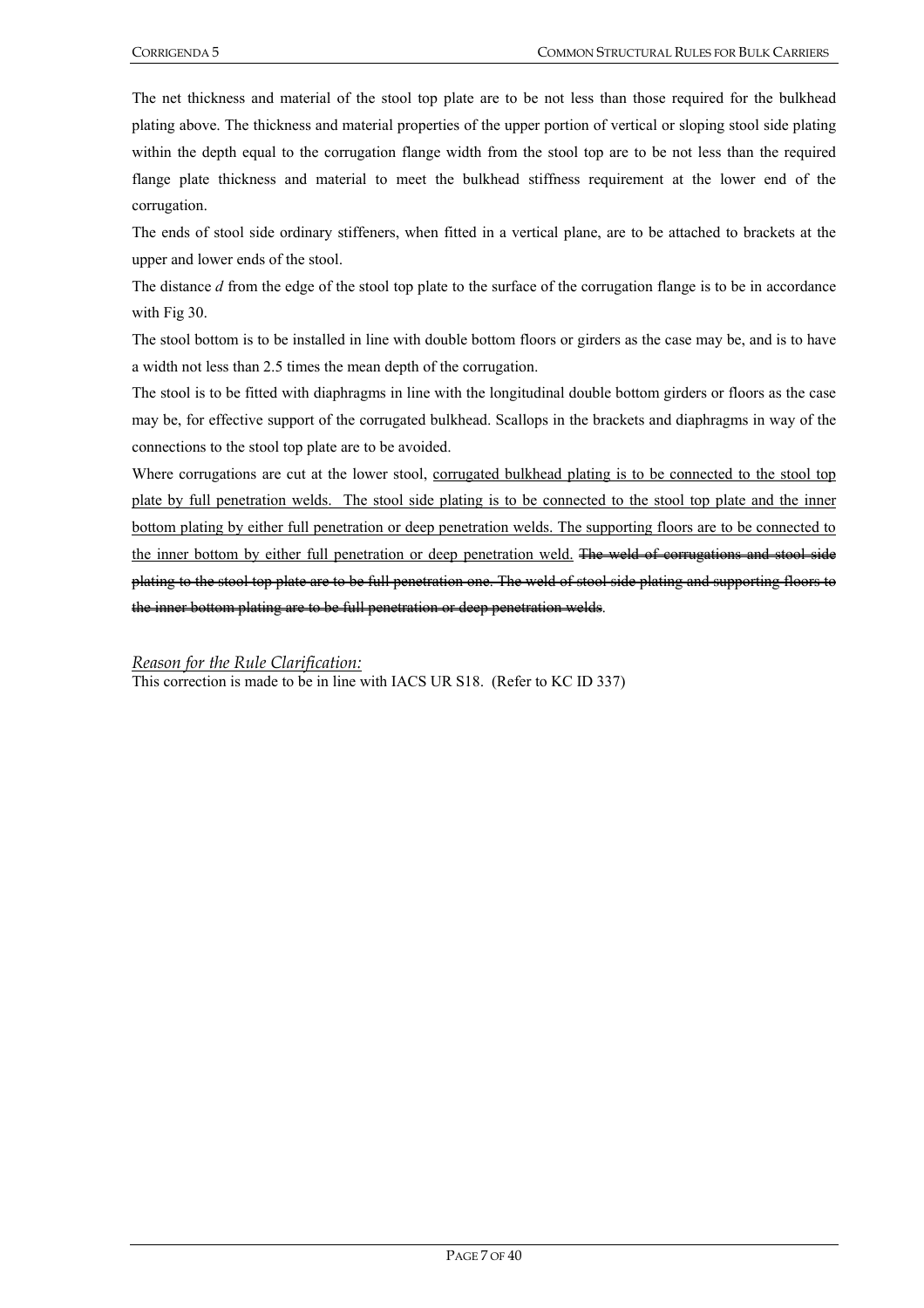The net thickness and material of the stool top plate are to be not less than those required for the bulkhead plating above. The thickness and material properties of the upper portion of vertical or sloping stool side plating within the depth equal to the corrugation flange width from the stool top are to be not less than the required flange plate thickness and material to meet the bulkhead stiffness requirement at the lower end of the corrugation.

The ends of stool side ordinary stiffeners, when fitted in a vertical plane, are to be attached to brackets at the upper and lower ends of the stool.

The distance *d* from the edge of the stool top plate to the surface of the corrugation flange is to be in accordance with Fig 30.

The stool bottom is to be installed in line with double bottom floors or girders as the case may be, and is to have a width not less than 2.5 times the mean depth of the corrugation.

The stool is to be fitted with diaphragms in line with the longitudinal double bottom girders or floors as the case may be, for effective support of the corrugated bulkhead. Scallops in the brackets and diaphragms in way of the connections to the stool top plate are to be avoided.

Where corrugations are cut at the lower stool, corrugated bulkhead plating is to be connected to the stool top plate by full penetration welds. The stool side plating is to be connected to the stool top plate and the inner bottom plating by either full penetration or deep penetration welds. The supporting floors are to be connected to the inner bottom by either full penetration or deep penetration weld. The weld of corrugations and stool side plating to the stool top plate are to be full penetration one. The weld of stool side plating and supporting floors to the inner bottom plating are to be full penetration or deep penetration welds.

*Reason for the Rule Clarification:*

This correction is made to be in line with IACS UR S18. (Refer to KC ID 337)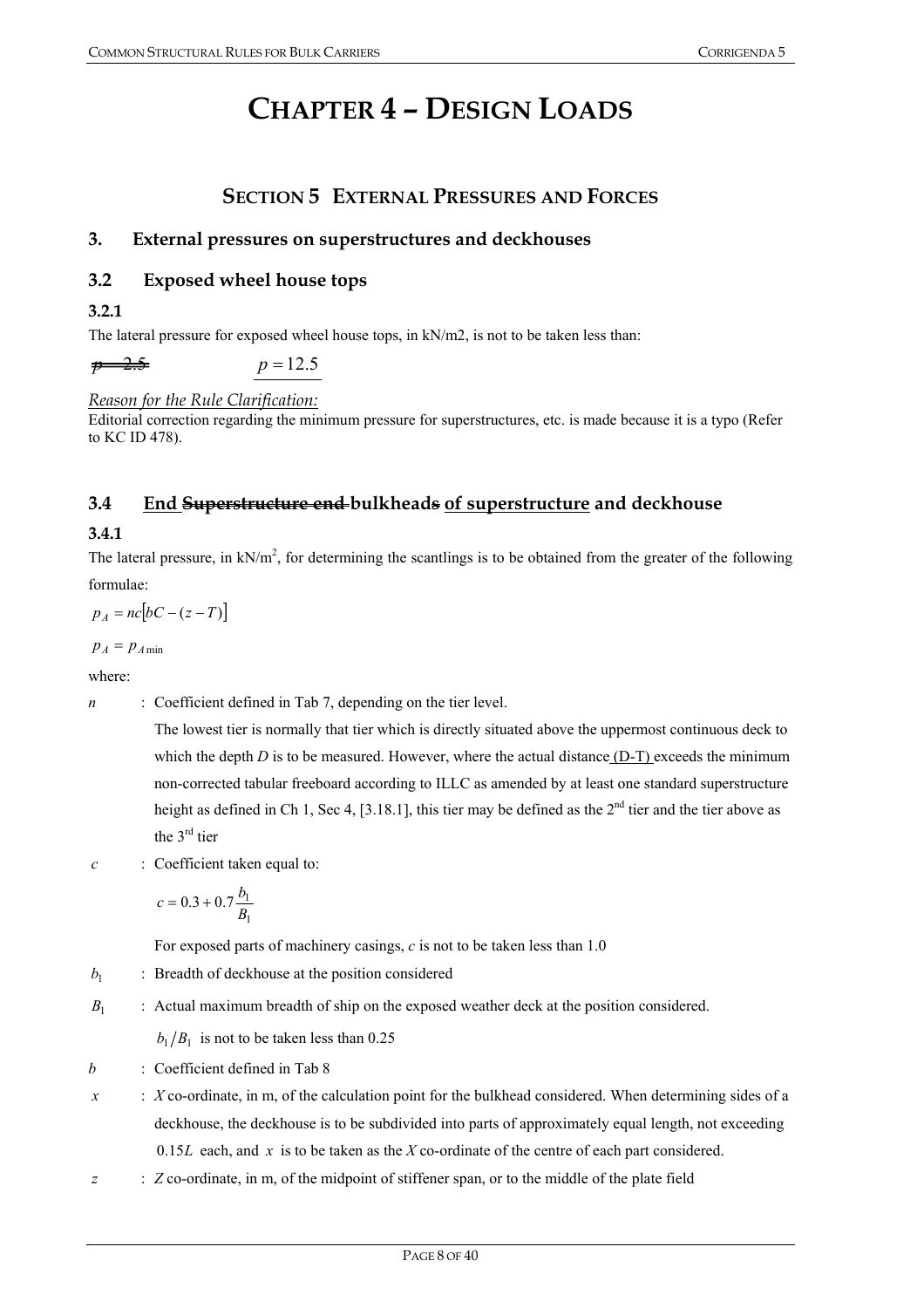# **CHAPTER 4 – DESIGN LOADS**

# **SECTION 5 EXTERNAL PRESSURES AND FORCES**

# **3. External pressures on superstructures and deckhouses**

# **3.2 Exposed wheel house tops**

**3.2.1** 

The lateral pressure for exposed wheel house tops, in kN/m2, is not to be taken less than:

 $p = 12.5$  *p* = 12.5

## *Reason for the Rule Clarification:*

Editorial correction regarding the minimum pressure for superstructures, etc. is made because it is a typo (Refer to KC ID 478).

# **3.4 End Superstructure end bulkheads of superstructure and deckhouse**

## **3.4.1**

The lateral pressure, in  $kN/m^2$ , for determining the scantlings is to be obtained from the greater of the following formulae:

 $p_A = nc [bC - (z - T)]$ 

 $p_A = p_{A min}$ 

where:

*n* : Coefficient defined in Tab 7, depending on the tier level.

The lowest tier is normally that tier which is directly situated above the uppermost continuous deck to which the depth  $D$  is to be measured. However, where the actual distance  $(D-T)$  exceeds the minimum non-corrected tabular freeboard according to ILLC as amended by at least one standard superstructure height as defined in Ch 1, Sec 4, [3.18.1], this tier may be defined as the  $2<sup>nd</sup>$  tier and the tier above as the 3rd tier

*c* : Coefficient taken equal to:

$$
c = 0.3 + 0.7 \frac{b_1}{B_1}
$$

For exposed parts of machinery casings, *c* is not to be taken less than 1.0

- $b_1$  : Breadth of deckhouse at the position considered
- *B*<sub>1</sub> : Actual maximum breadth of ship on the exposed weather deck at the position considered.

 $b_1/B_1$  is not to be taken less than 0.25

- *b* : Coefficient defined in Tab 8
- *x* : *X* co-ordinate, in m, of the calculation point for the bulkhead considered. When determining sides of a deckhouse, the deckhouse is to be subdivided into parts of approximately equal length, not exceeding 0.15*L* each, and *x* is to be taken as the *X* co-ordinate of the centre of each part considered.
- *z* : *Z* co-ordinate, in m, of the midpoint of stiffener span, or to the middle of the plate field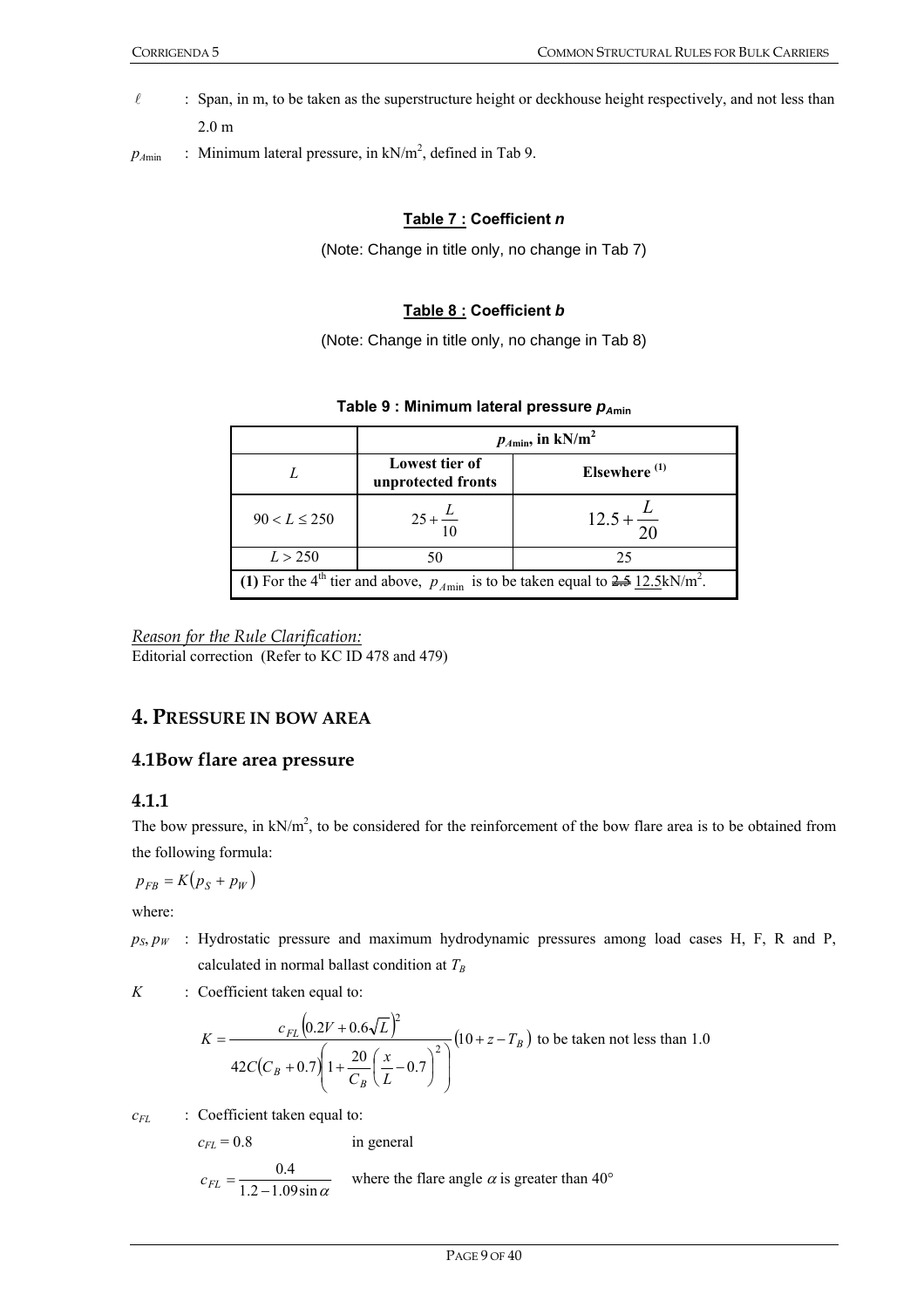- $\ell$  : Span, in m, to be taken as the superstructure height or deckhouse height respectively, and not less than 2.0 m
- $p_{Amin}$  : Minimum lateral pressure, in  $kN/m^2$ , defined in Tab 9.

#### **Table 7 : Coefficient** *n*

(Note: Change in title only, no change in Tab 7)

#### **Table 8 : Coefficient** *b*

(Note: Change in title only, no change in Tab 8)

#### **Table 9 : Minimum lateral pressure**  $p_{Amin}$

|                                                                                                                   | $p_{A\text{min}}$ , in kN/m <sup>2</sup> |                       |  |
|-------------------------------------------------------------------------------------------------------------------|------------------------------------------|-----------------------|--|
|                                                                                                                   | Lowest tier of<br>unprotected fronts     | Elsewhere $(1)$       |  |
| $90 < L \le 250$                                                                                                  | $25 + \frac{L}{10}$                      | $12.5 + \frac{2}{20}$ |  |
| L > 250                                                                                                           | 50                                       | 25                    |  |
| (1) For the 4 <sup>th</sup> tier and above, $p_{A\text{min}}$ is to be taken equal to 2.5 12.5kN/m <sup>2</sup> . |                                          |                       |  |

*Reason for the Rule Clarification:* Editorial correction (Refer to KC ID 478 and 479)

# **4. PRESSURE IN BOW AREA**

#### **4.1Bow flare area pressure**

#### **4.1.1**

The bow pressure, in  $kN/m^2$ , to be considered for the reinforcement of the bow flare area is to be obtained from the following formula:

$$
p_{FB} = K(p_S + p_W)
$$

where:

 $p_S, p_W$  : Hydrostatic pressure and maximum hydrodynamic pressures among load cases H, F, R and P, calculated in normal ballast condition at  $T_B$ 

*K* : Coefficient taken equal to:

$$
K = \frac{c_{FL} (0.2V + 0.6\sqrt{L})^2}{42C(C_B + 0.7) \left(1 + \frac{20}{C_B} \left(\frac{x}{L} - 0.7\right)^2\right)} (10 + z - T_B)
$$
 to be taken not less than 1.0

*c<sub>FL</sub>* : Coefficient taken equal to:

$$
c_{FL} = 0.8
$$
 in general  
 $c_{FL} = \frac{0.4}{1.2 - 1.09 \sin \alpha}$  where the flare angle  $\alpha$  is greater than 40°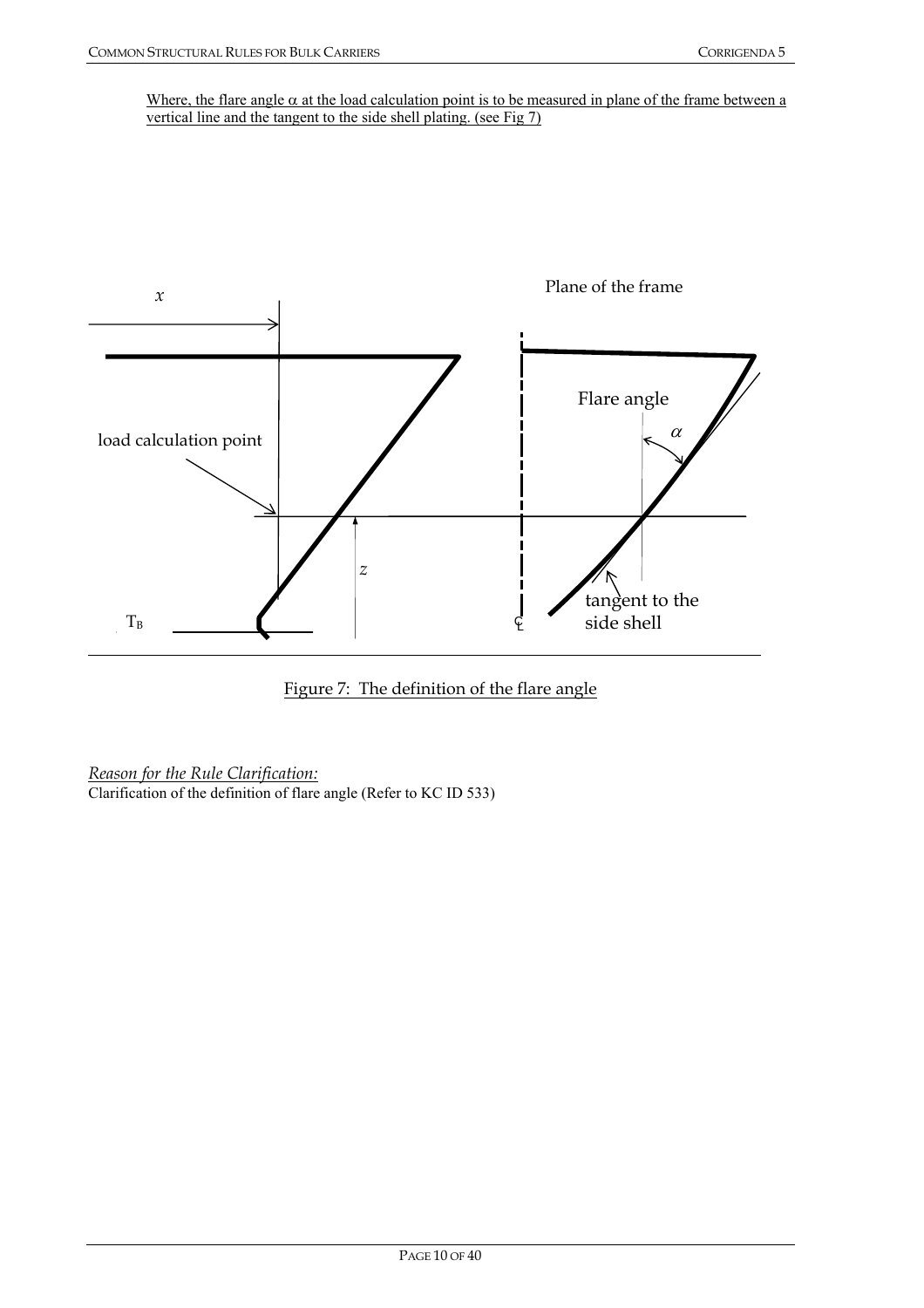Where, the flare angle  $\alpha$  at the load calculation point is to be measured in plane of the frame between a vertical line and the tangent to the side shell plating. (see Fig 7)





*Reason for the Rule Clarification:*

Clarification of the definition of flare angle (Refer to KC ID 533)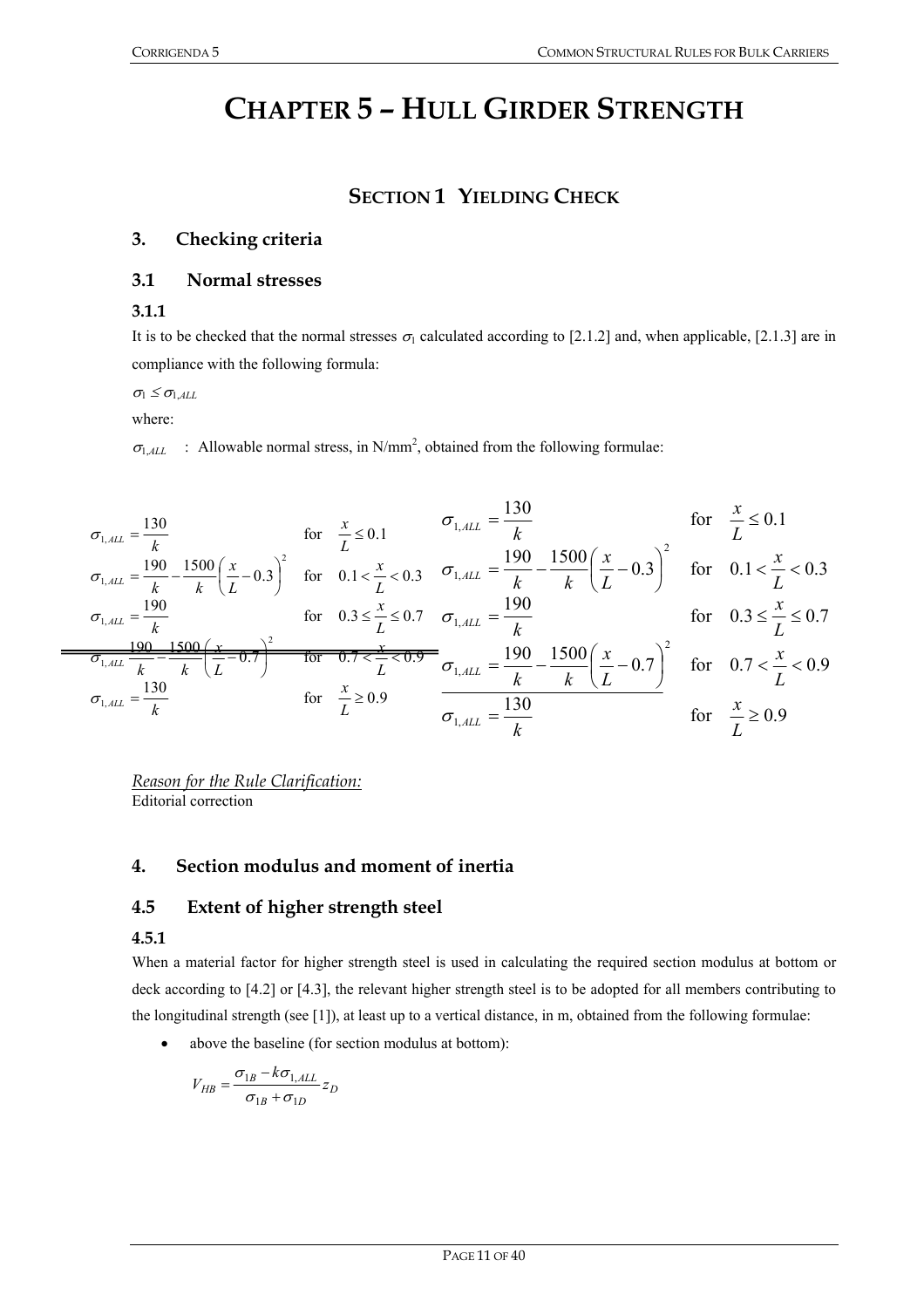# **CHAPTER 5 – HULL GIRDER STRENGTH**

# **SECTION 1 YIELDING CHECK**

### **3. Checking criteria**

#### **3.1 Normal stresses**

#### **3.1.1**

It is to be checked that the normal stresses  $\sigma_1$  calculated according to [2.1.2] and, when applicable, [2.1.3] are in compliance with the following formula:

 $\sigma_1 \leq \sigma_{1,ALL}$ 

where:

 $\sigma_{1,ALL}$  : Allowable normal stress, in N/mm<sup>2</sup>, obtained from the following formulae:

$$
\sigma_{1,ALL} = \frac{130}{k} \quad \text{for} \quad \frac{x}{L} \le 0.1 \quad \sigma_{1, ALL} = \frac{130}{k} \quad \text{for} \quad \frac{x}{L} \le 0.1
$$
\n
$$
\sigma_{1, ALL} = \frac{190}{k} - \frac{1500}{k} \left(\frac{x}{L} - 0.3\right)^2 \quad \text{for} \quad 0.1 < \frac{x}{L} < 0.3 \quad \sigma_{1, ALL} = \frac{190}{k} - \frac{1500}{k} \left(\frac{x}{L} - 0.3\right)^2 \quad \text{for} \quad 0.1 < \frac{x}{L} < 0.3
$$
\n
$$
\sigma_{1, ALL} = \frac{190}{k} \quad \text{for} \quad 0.3 \le \frac{x}{L} \le 0.7 \quad \sigma_{1, ALL} = \frac{190}{k} \quad \text{for} \quad 0.3 \le \frac{x}{L} \le 0.7
$$
\n
$$
\frac{190 - 1500}{\sigma_{1, ALL} - k} \left(\frac{x}{L} - 0.7\right)^2 \quad \text{for} \quad 0.7 < \frac{x}{L} < 0.9
$$
\n
$$
\sigma_{1, ALL} = \frac{130}{k} \quad \text{for} \quad \frac{x}{L} \ge 0.9 \quad \frac{x}{L} \ge 0.9 \quad \frac{x}{L} \ge 0.9 \quad \text{for} \quad \frac{x}{L} \ge 0.9
$$

*Reason for the Rule Clarification:* Editorial correction

#### **4. Section modulus and moment of inertia**

#### **4.5 Extent of higher strength steel**

#### **4.5.1**

When a material factor for higher strength steel is used in calculating the required section modulus at bottom or deck according to [4.2] or [4.3], the relevant higher strength steel is to be adopted for all members contributing to the longitudinal strength (see [1]), at least up to a vertical distance, in m, obtained from the following formulae:

• above the baseline (for section modulus at bottom):

$$
V_{HB} = \frac{\sigma_{1B} - k\sigma_{1,ALL}}{\sigma_{1B} + \sigma_{1D}} z_D
$$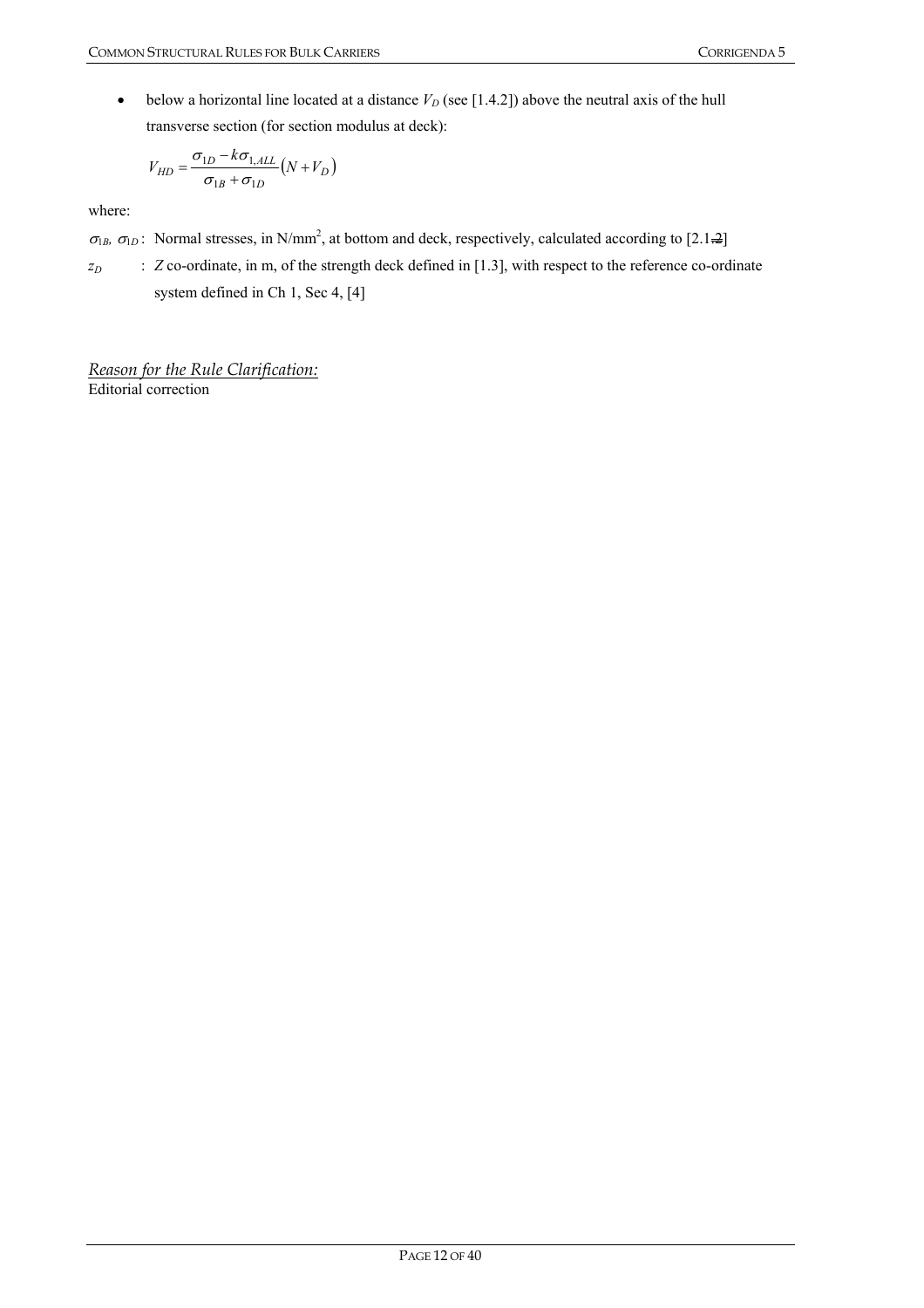• below a horizontal line located at a distance  $V_D$  (see [1.4.2]) above the neutral axis of the hull transverse section (for section modulus at deck):

$$
V_{HD} = \frac{\sigma_{1D} - k\sigma_{1,ALL}}{\sigma_{1B} + \sigma_{1D}} (N + V_D)
$$

where:

 $\sigma_{1B}$ ,  $\sigma_{1D}$ : Normal stresses, in N/mm<sup>2</sup>, at bottom and deck, respectively, calculated according to [2.1.2]

*z*<sub>D</sub> : *Z* co-ordinate, in m, of the strength deck defined in [1.3], with respect to the reference co-ordinate system defined in Ch 1, Sec 4, [4]

*Reason for the Rule Clarification:* Editorial correction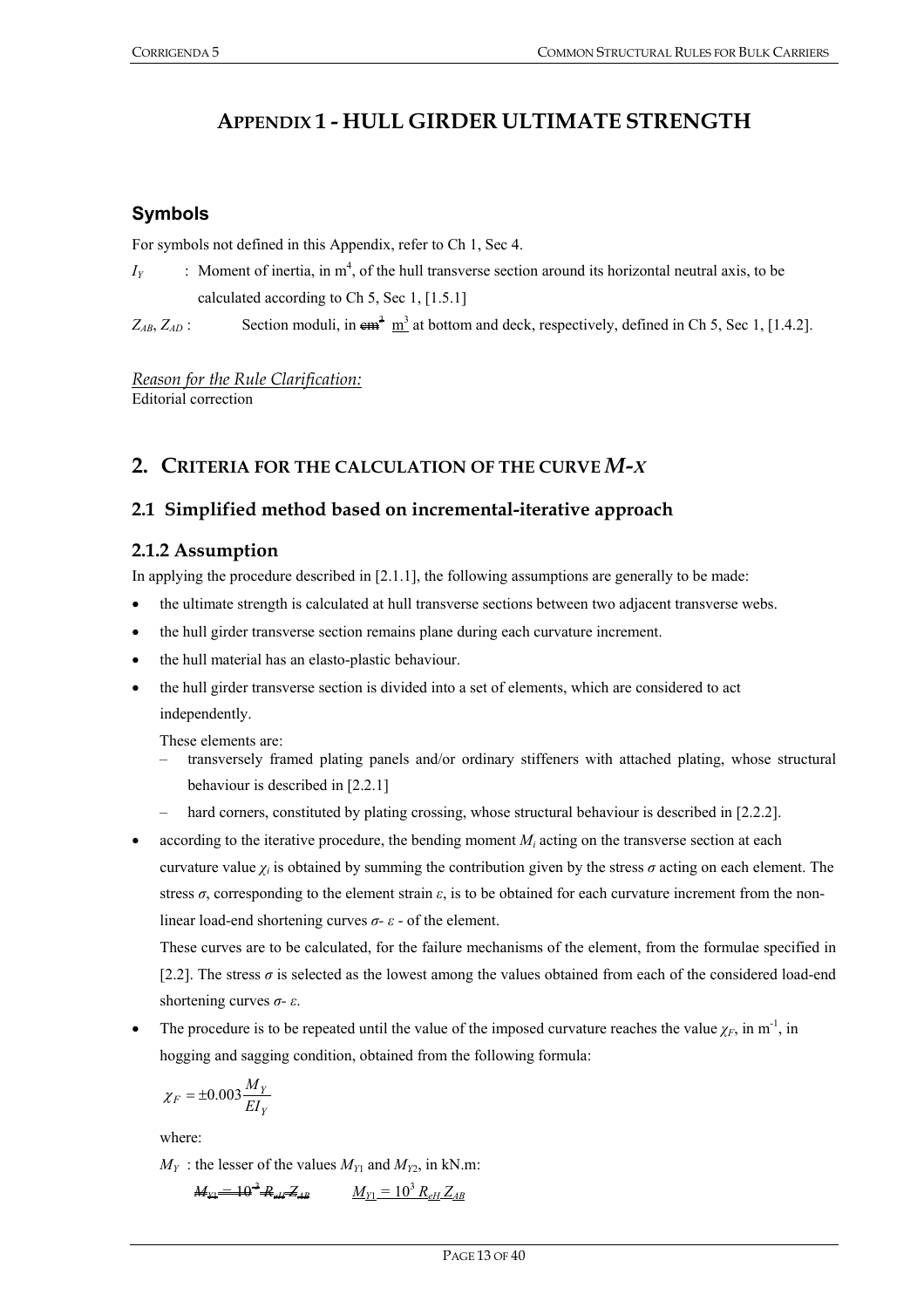# **APPENDIX 1 - HULL GIRDER ULTIMATE STRENGTH**

## **Symbols**

For symbols not defined in this Appendix, refer to Ch 1, Sec 4.

 $I_Y$  : Moment of inertia, in  $m^4$ , of the hull transverse section around its horizontal neutral axis, to be calculated according to Ch 5, Sec 1, [1.5.1]

 $Z_{AB}$ ,  $Z_{AD}$ : Section moduli, in  $\epsilon \mathbf{m}^3$  at bottom and deck, respectively, defined in Ch 5, Sec 1, [1.4.2].

*Reason for the Rule Clarification:* Editorial correction

# **2. CRITERIA FOR THE CALCULATION OF THE CURVE** *M-Χ*

# **2.1 Simplified method based on incremental-iterative approach**

## **2.1.2 Assumption**

In applying the procedure described in [2.1.1], the following assumptions are generally to be made:

- the ultimate strength is calculated at hull transverse sections between two adjacent transverse webs.
- the hull girder transverse section remains plane during each curvature increment.
- the hull material has an elasto-plastic behaviour.
- the hull girder transverse section is divided into a set of elements, which are considered to act independently.

These elements are:

- transversely framed plating panels and/or ordinary stiffeners with attached plating, whose structural behaviour is described in [2.2.1]
- hard corners, constituted by plating crossing, whose structural behaviour is described in [2.2.2].
- according to the iterative procedure, the bending moment  $M_i$  acting on the transverse section at each curvature value  $\chi_i$  is obtained by summing the contribution given by the stress  $\sigma$  acting on each element. The stress *σ*, corresponding to the element strain *ε*, is to be obtained for each curvature increment from the nonlinear load-end shortening curves *σ- ε* - of the element.

These curves are to be calculated, for the failure mechanisms of the element, from the formulae specified in [2.2]. The stress *σ* is selected as the lowest among the values obtained from each of the considered load-end shortening curves *σ- ε*.

The procedure is to be repeated until the value of the imposed curvature reaches the value  $\chi_F$ , in m<sup>-1</sup>, in hogging and sagging condition, obtained from the following formula:

$$
\chi_F = \pm 0.003 \frac{M_Y}{E I_Y}
$$

where:

 $M_Y$ : the lesser of the values  $M_{Y1}$  and  $M_{Y2}$ , in kN.m:

$$
M_{Y1} = 10^{-3} R_{\text{eff}} Z_{AB} \qquad M_{Y1} = 10^{3} R_{\text{eff}} Z_{AB}
$$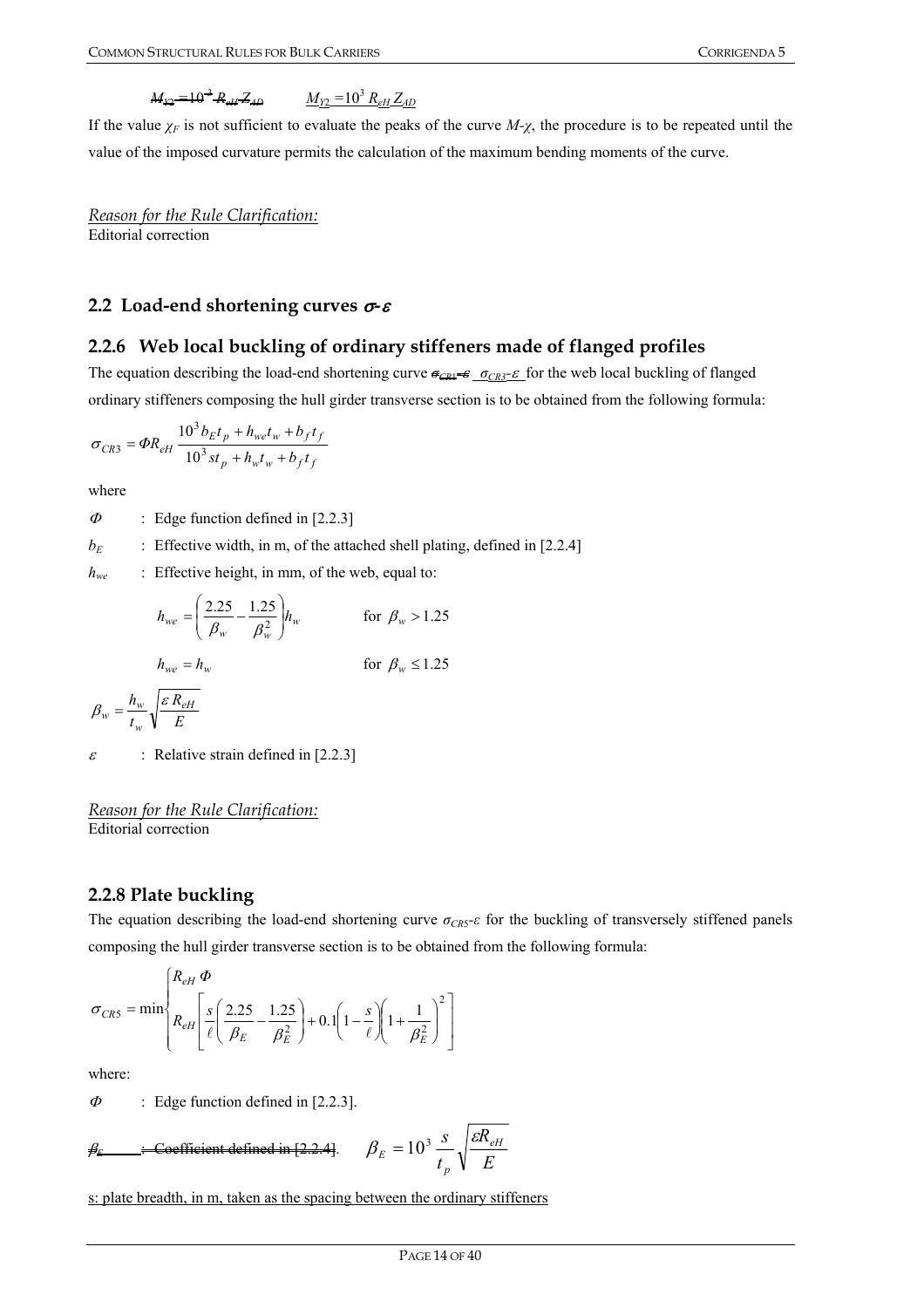#### $M_{22}$   $=$   $\frac{10^{3}}{2}$   $R_{a1}$   $Z_{40}$  *ReH ZAD MY*2 *=*10<sup>3</sup>  *ReH ZAD*

If the value  $\chi_F$  is not sufficient to evaluate the peaks of the curve  $M-\chi$ , the procedure is to be repeated until the value of the imposed curvature permits the calculation of the maximum bending moments of the curve.

*Reason for the Rule Clarification:* Editorial correction

#### **2.2 Load-end shortening curves** σ*-*<sup>ε</sup>

#### **2.2.6 Web local buckling of ordinary stiffeners made of flanged profiles**

The equation describing the load-end shortening curve  $\epsilon_{CR1}$  <del>σ</del>*<sub>CR3</sub>* ε for the web local buckling of flanged ordinary stiffeners composing the hull girder transverse section is to be obtained from the following formula:

$$
\sigma_{CR3} = \Phi R_{eH} \frac{10^3 b_E t_p + h_{we} t_w + b_f t_f}{10^3 s t_p + h_w t_w + b_f t_f}
$$

where

 $\Phi$  : Edge function defined in [2.2.3]

 $b_E$  : Effective width, in m, of the attached shell plating, defined in [2.2.4]

*h<sub>we</sub>* : Effective height, in mm, of the web, equal to:

$$
h_{we} = \left(\frac{2.25}{\beta_w} - \frac{1.25}{\beta_w^2}\right) h_w \qquad \text{for } \beta_w > 1.25
$$

$$
h_{we} = h_w \qquad \qquad \text{for } \beta_w \le 1.25
$$

$$
\beta_w = \frac{h_w}{t_w} \sqrt{\frac{\varepsilon R_{eH}}{E}}
$$

 $\varepsilon$  : Relative strain defined in [2.2.3]

#### *Reason for the Rule Clarification:* Editorial correction

#### **2.2.8 Plate buckling**

The equation describing the load-end shortening curve *σCR*5*-ε* for the buckling of transversely stiffened panels composing the hull girder transverse section is to be obtained from the following formula:

$$
\sigma_{CRS} = \min \left\{ \frac{R_{eH} \Phi}{R_{eH} \left[ \frac{s}{\ell} \left( \frac{2.25}{\beta_E} - \frac{1.25}{\beta_E^2} \right) + 0.1 \left( 1 - \frac{s}{\ell} \right) \left( 1 + \frac{1}{\beta_E^2} \right)^2 \right] \right\}
$$

where:

 $\Phi$  : Edge function defined in [2.2.3].

$$
\beta_E
$$
  $\therefore$  Coefficient defined in [2.2.4].  $\beta_E = 10^3 \frac{s}{t_p} \sqrt{\frac{\varepsilon R_{eH}}{E}}$ 

s: plate breadth, in m, taken as the spacing between the ordinary stiffeners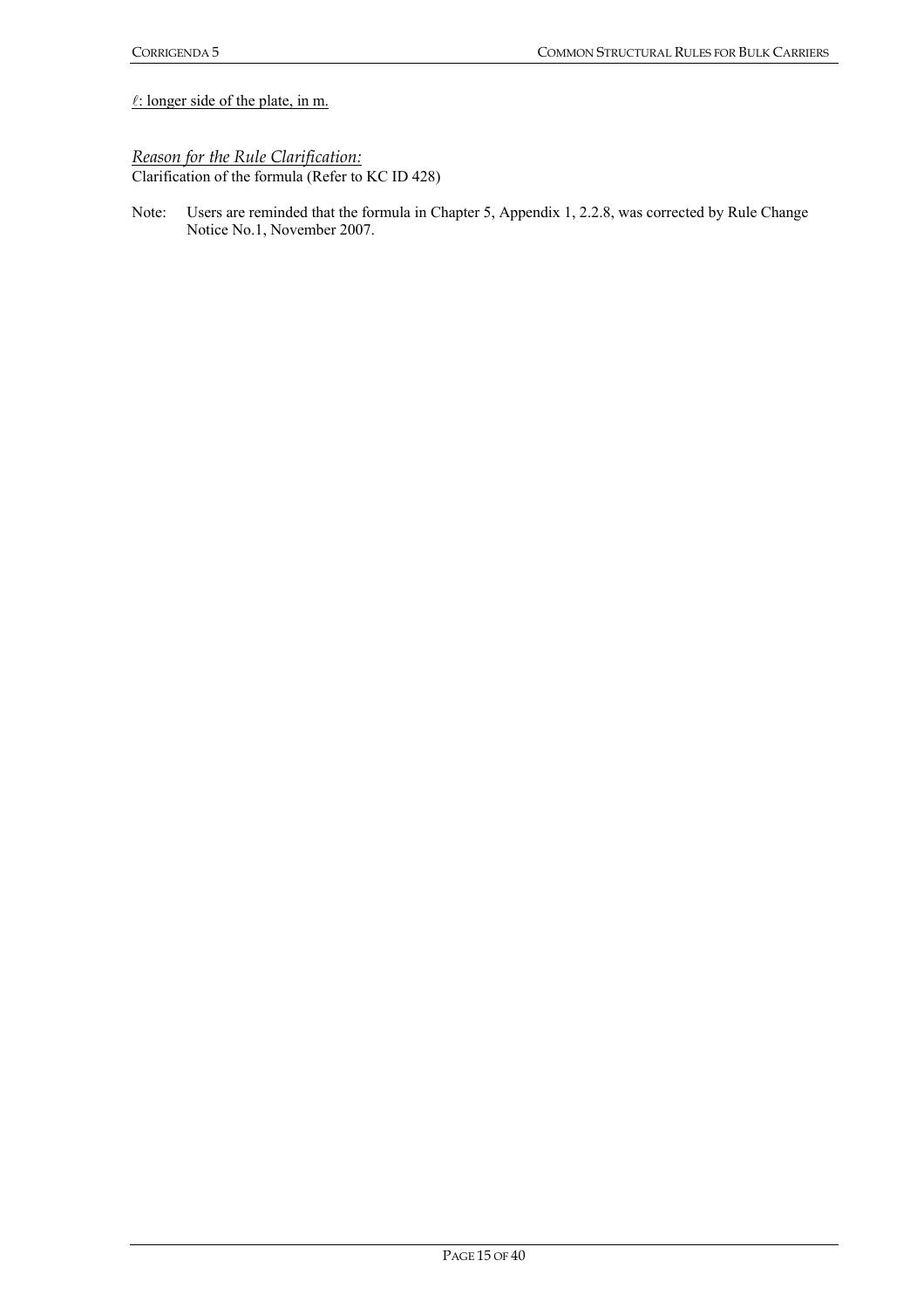$l$ : longer side of the plate, in m.

# *Reason for the Rule Clarification:*

Clarification of the formula (Refer to KC ID 428)

Note: Users are reminded that the formula in Chapter 5, Appendix 1, 2.2.8, was corrected by Rule Change Notice No.1, November 2007.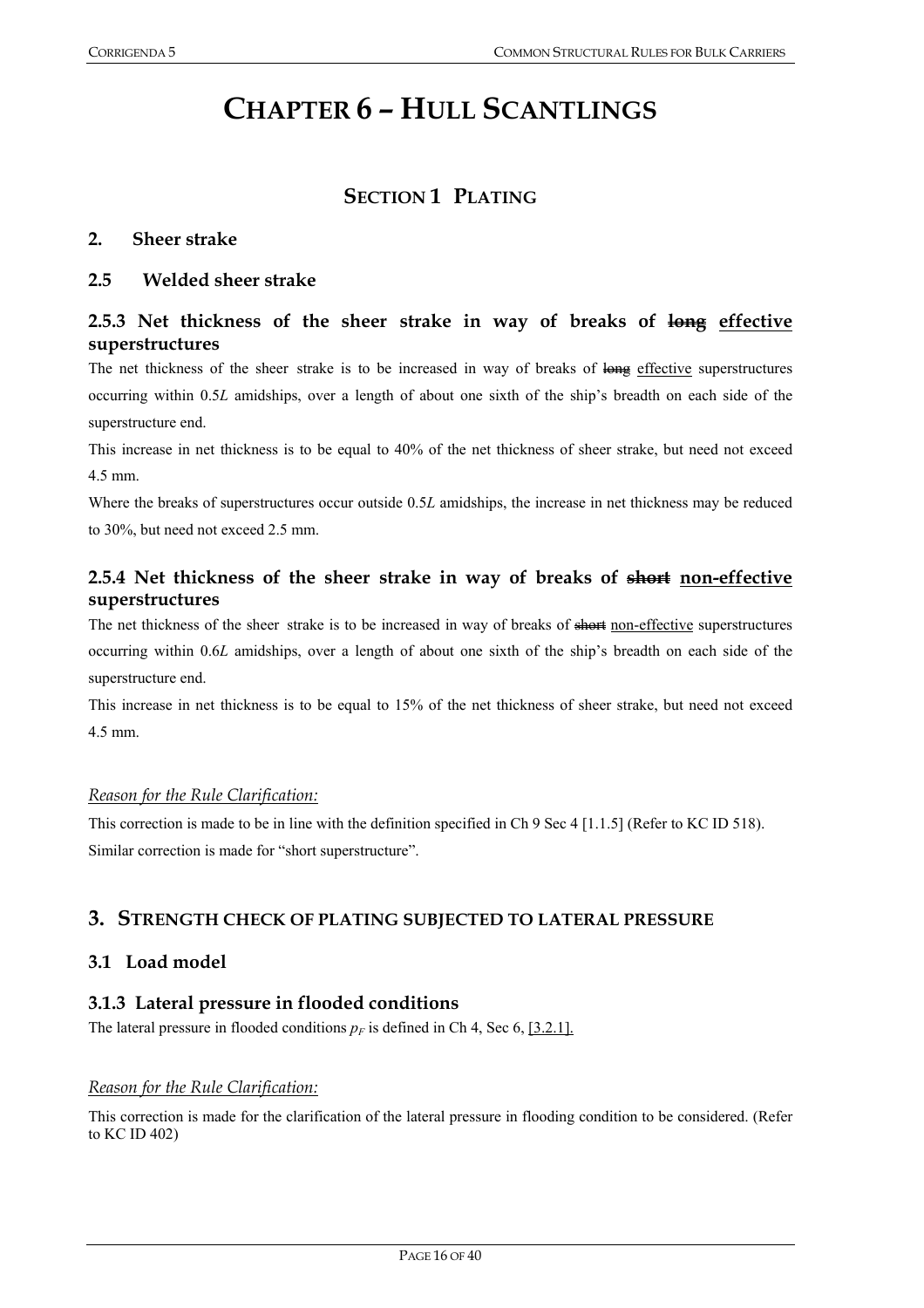# **CHAPTER 6 – HULL SCANTLINGS**

# **SECTION 1 PLATING**

#### **2. Sheer strake**

#### **2.5 Welded sheer strake**

# **2.5.3 Net thickness of the sheer strake in way of breaks of long effective superstructures**

The net thickness of the sheer strake is to be increased in way of breaks of long effective superstructures occurring within 0.5*L* amidships, over a length of about one sixth of the ship's breadth on each side of the superstructure end.

This increase in net thickness is to be equal to 40% of the net thickness of sheer strake, but need not exceed 4.5 mm.

Where the breaks of superstructures occur outside 0.5*L* amidships, the increase in net thickness may be reduced to 30%, but need not exceed 2.5 mm.

# **2.5.4 Net thickness of the sheer strake in way of breaks of short non-effective superstructures**

The net thickness of the sheer strake is to be increased in way of breaks of short non-effective superstructures occurring within 0.6*L* amidships, over a length of about one sixth of the ship's breadth on each side of the superstructure end.

This increase in net thickness is to be equal to 15% of the net thickness of sheer strake, but need not exceed 4.5 mm.

#### *Reason for the Rule Clarification:*

This correction is made to be in line with the definition specified in Ch 9 Sec 4 [1.1.5] (Refer to KC ID 518). Similar correction is made for "short superstructure".

## **3. STRENGTH CHECK OF PLATING SUBJECTED TO LATERAL PRESSURE**

#### **3.1 Load model**

#### **3.1.3 Lateral pressure in flooded conditions**

The lateral pressure in flooded conditions  $p_F$  is defined in Ch 4, Sec 6, [3.2.1].

#### *Reason for the Rule Clarification:*

This correction is made for the clarification of the lateral pressure in flooding condition to be considered. (Refer to KC ID 402)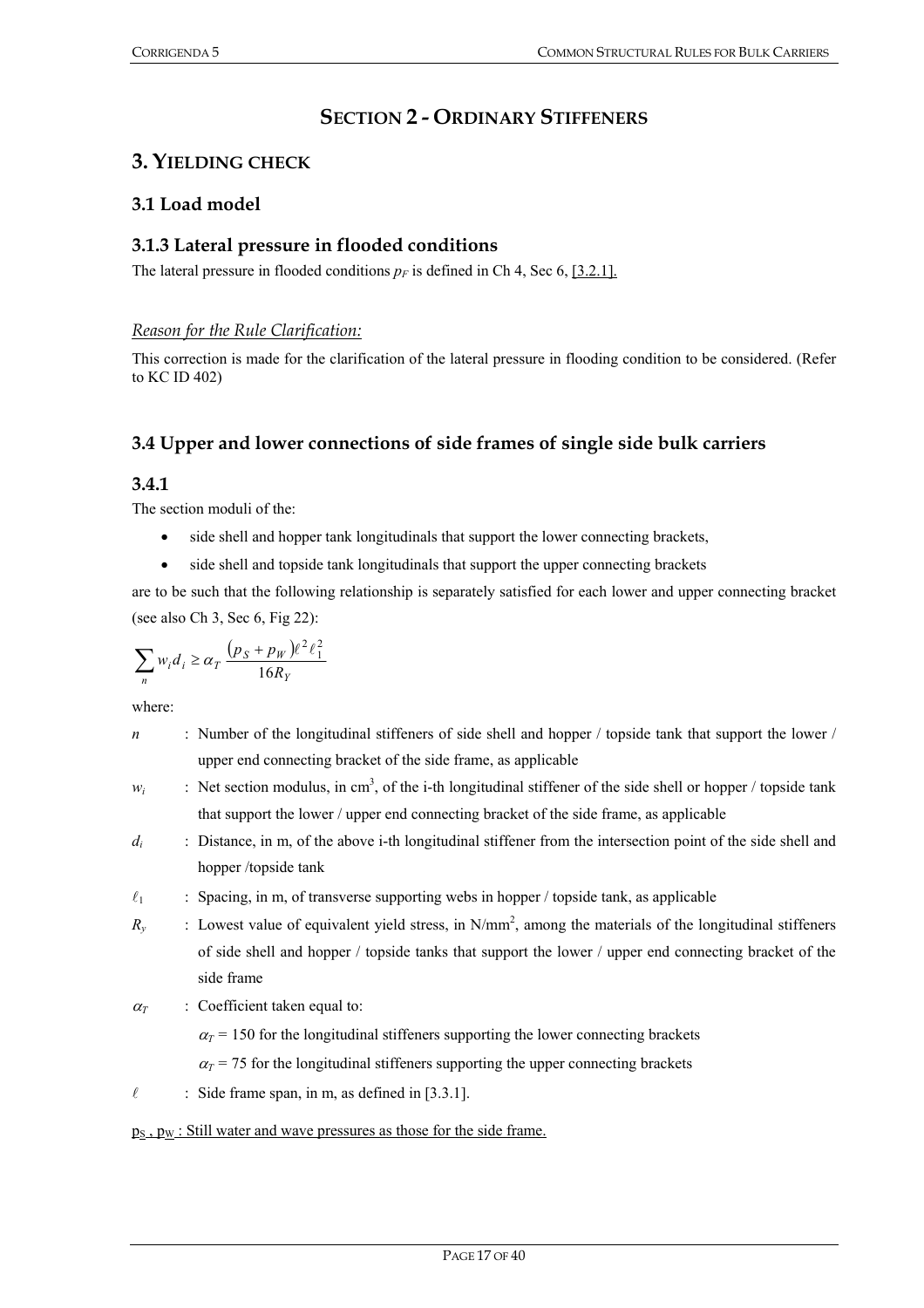# **SECTION 2 - ORDINARY STIFFENERS**

# **3. YIELDING CHECK**

# **3.1 Load model**

# **3.1.3 Lateral pressure in flooded conditions**

The lateral pressure in flooded conditions  $p_F$  is defined in Ch 4, Sec 6, [3.2.1].

*Reason for the Rule Clarification:* 

This correction is made for the clarification of the lateral pressure in flooding condition to be considered. (Refer to KC ID 402)

# **3.4 Upper and lower connections of side frames of single side bulk carriers**

# **3.4.1**

The section moduli of the:

- side shell and hopper tank longitudinals that support the lower connecting brackets,
- side shell and topside tank longitudinals that support the upper connecting brackets

are to be such that the following relationship is separately satisfied for each lower and upper connecting bracket (see also Ch 3, Sec 6, Fig 22):

$$
\sum_n w_i d_i \geq \alpha_T \, \frac{\left(p_S + p_W\right)\ell^2\ell_1^2}{16R_Y}
$$

where:

| n          | : Number of the longitudinal stiffeners of side shell and hopper / topside tank that support the lower /        |
|------------|-----------------------------------------------------------------------------------------------------------------|
|            | upper end connecting bracket of the side frame, as applicable                                                   |
| $W_i$      | : Net section modulus, in $cm3$ , of the i-th longitudinal stiffener of the side shell or hopper / topside tank |
|            | that support the lower / upper end connecting bracket of the side frame, as applicable                          |
| $d_i$      | : Distance, in m, of the above i-th longitudinal stiffener from the intersection point of the side shell and    |
|            | hopper /topside tank                                                                                            |
| $\ell_1$   | : Spacing, in m, of transverse supporting webs in hopper / topside tank, as applicable                          |
| $R_{\nu}$  | : Lowest value of equivalent yield stress, in $N/mm^2$ , among the materials of the longitudinal stiffeners     |
|            | of side shell and hopper / topside tanks that support the lower / upper end connecting bracket of the           |
|            | side frame                                                                                                      |
| $\alpha_T$ | : Coefficient taken equal to:                                                                                   |
|            | $\alpha_T$ = 150 for the longitudinal stiffeners supporting the lower connecting brackets                       |
|            | $\alpha_T$ = 75 for the longitudinal stiffeners supporting the upper connecting brackets                        |
| $\ell$     | : Side frame span, in m, as defined in $[3.3.1]$ .                                                              |
|            | $p_S, p_W$ : Still water and wave pressures as those for the side frame.                                        |
|            |                                                                                                                 |
|            |                                                                                                                 |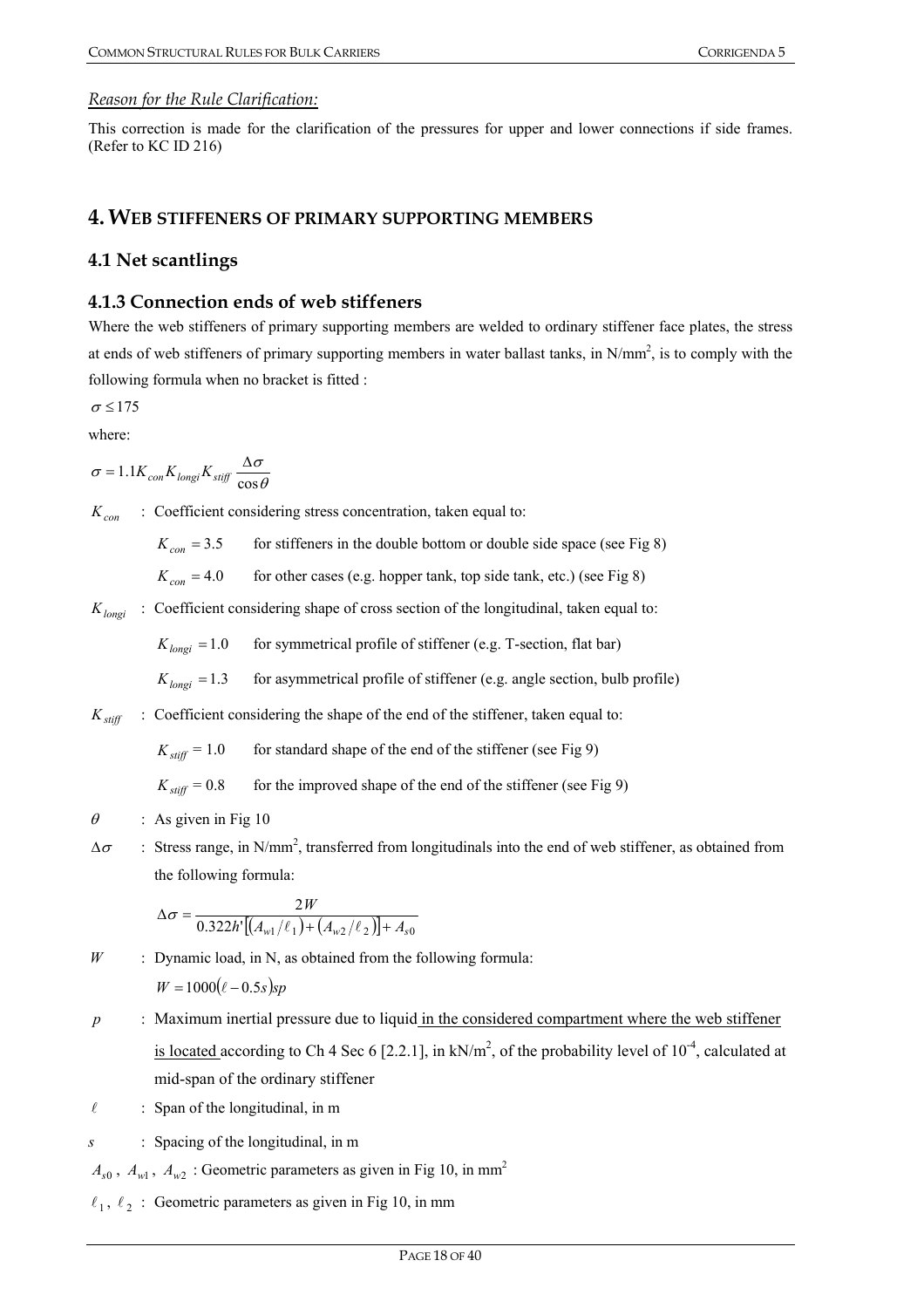#### *Reason for the Rule Clarification:*

This correction is made for the clarification of the pressures for upper and lower connections if side frames. (Refer to KC ID 216)

# **4. WEB STIFFENERS OF PRIMARY SUPPORTING MEMBERS**

# **4.1 Net scantlings**

### **4.1.3 Connection ends of web stiffeners**

Where the web stiffeners of primary supporting members are welded to ordinary stiffener face plates, the stress at ends of web stiffeners of primary supporting members in water ballast tanks, in  $N/mm^2$ , is to comply with the following formula when no bracket is fitted :

$$
\sigma\!\leq\!175
$$

where:

$$
\sigma = 1.1 K_{con} K_{longi} K_{stiff} \frac{\Delta \sigma}{\cos \theta}
$$

*K<sub>con</sub>* : Coefficient considering stress concentration, taken equal to:

 $K_{cor} = 3.5$  for stiffeners in the double bottom or double side space (see Fig 8)

 $K_{con} = 4.0$  for other cases (e.g. hopper tank, top side tank, etc.) (see Fig 8)

*K*<sub>longi</sub> : Coefficient considering shape of cross section of the longitudinal, taken equal to:

 $K_{longi} = 1.0$  for symmetrical profile of stiffener (e.g. T-section, flat bar)

 $K_{longi} = 1.3$  for asymmetrical profile of stiffener (e.g. angle section, bulb profile)

 $K_{\text{stiff}}$  : Coefficient considering the shape of the end of the stiffener, taken equal to:

 $K_{stiff} = 1.0$  for standard shape of the end of the stiffener (see Fig 9)

 $K_{\text{stiff}} = 0.8$  for the improved shape of the end of the stiffener (see Fig 9)

- $\theta$  : As given in Fig 10
- $\Delta \sigma$  : Stress range, in N/mm<sup>2</sup>, transferred from longitudinals into the end of web stiffener, as obtained from the following formula:

$$
\Delta \sigma = \frac{2W}{0.322h'[(A_{w1}/\ell_1) + (A_{w2}/\ell_2)] + A_{s0}}
$$

- *W* : Dynamic load, in N, as obtained from the following formula:  $W = 1000(\ell - 0.5s)$ sp
- *p* : Maximum inertial pressure due to liquid in the considered compartment where the web stiffener is located according to Ch 4 Sec 6 [2.2.1], in kN/m<sup>2</sup>, of the probability level of  $10^{-4}$ , calculated at mid-span of the ordinary stiffener
- $\ell$  : Span of the longitudinal, in m
- *s* : Spacing of the longitudinal, in m

 $A_{s0}$ ,  $A_{w1}$ ,  $A_{w2}$ : Geometric parameters as given in Fig 10, in mm<sup>2</sup>

 $\ell_1, \ell_2$ : Geometric parameters as given in Fig 10, in mm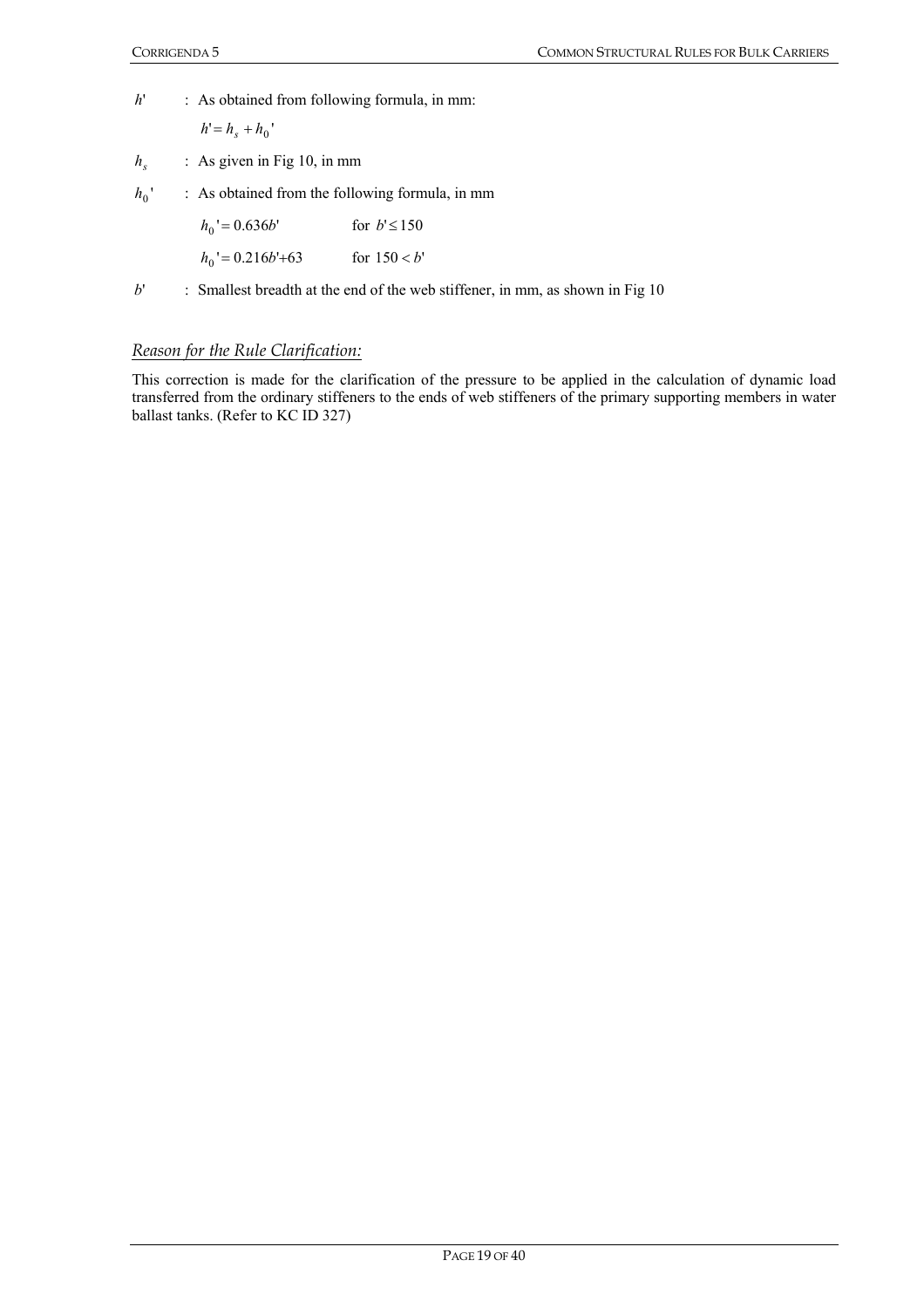*h*' : As obtained from following formula, in mm:

$$
h'=h_s+h_0'
$$

- *hs* : As given in Fig 10, in mm
- $h_0$ ' : As obtained from the following formula, in mm

| $h_0' = 0.636b'$    | for $b' \le 150$ |
|---------------------|------------------|
| $h_0' = 0.216b'+63$ | for $150 < b'$   |

*b*' : Smallest breadth at the end of the web stiffener, in mm, as shown in Fig 10

#### *Reason for the Rule Clarification:*

This correction is made for the clarification of the pressure to be applied in the calculation of dynamic load transferred from the ordinary stiffeners to the ends of web stiffeners of the primary supporting members in water ballast tanks. (Refer to KC ID 327)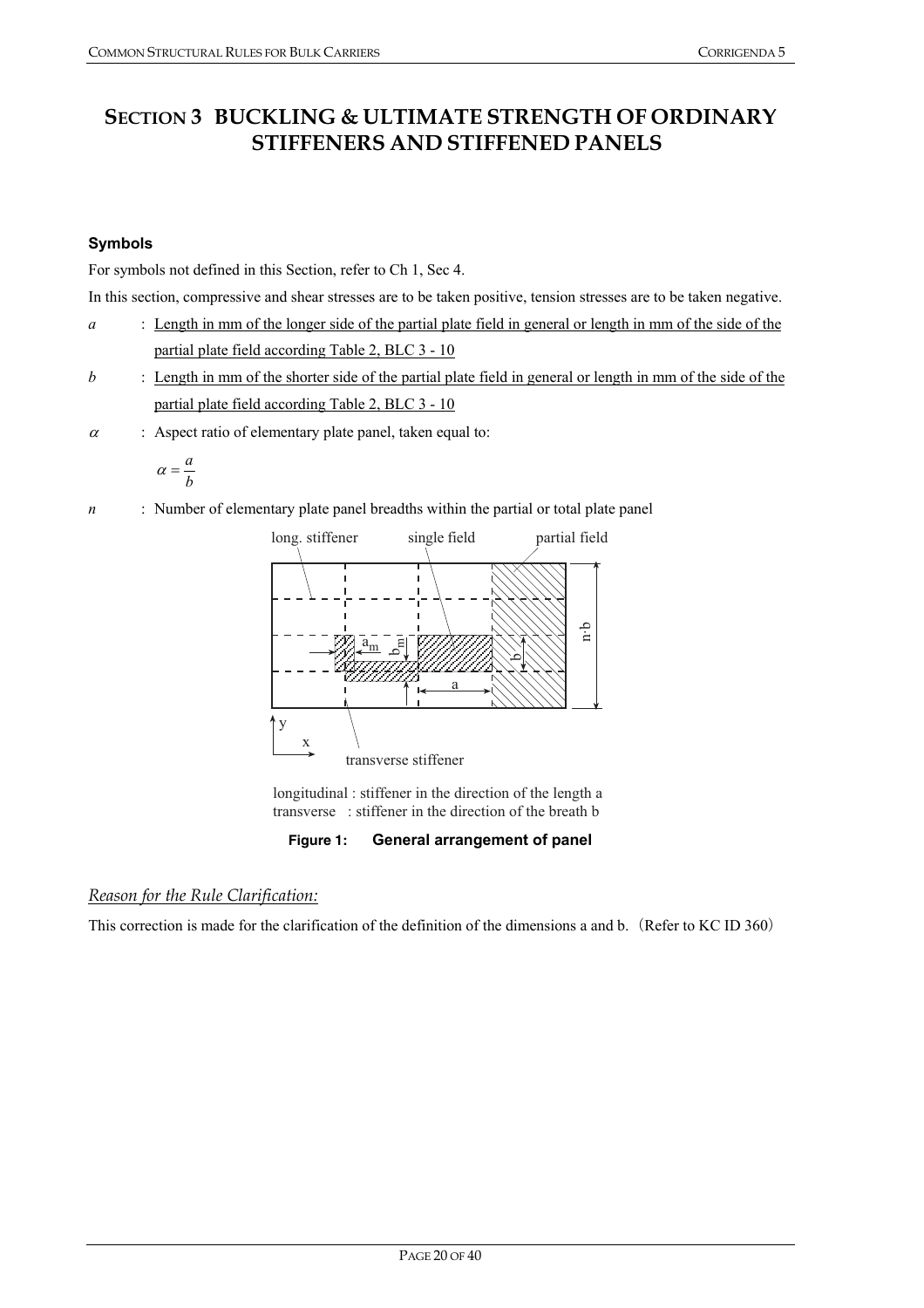# **SECTION 3 BUCKLING & ULTIMATE STRENGTH OF ORDINARY STIFFENERS AND STIFFENED PANELS**

# **Symbols**

For symbols not defined in this Section, refer to Ch 1, Sec 4.

In this section, compressive and shear stresses are to be taken positive, tension stresses are to be taken negative.

- *a* : Length in mm of the longer side of the partial plate field in general or length in mm of the side of the partial plate field according Table 2, BLC 3 - 10
- *b* : Length in mm of the shorter side of the partial plate field in general or length in mm of the side of the partial plate field according Table 2, BLC 3 - 10
- $\alpha$  : Aspect ratio of elementary plate panel, taken equal to:

$$
\alpha = \frac{a}{b}
$$

*n* : Number of elementary plate panel breadths within the partial or total plate panel



longitudinal: stiffener in the direction of the length a transverse : stiffener in the direction of the breath b

**Figure 1: General arrangement of panel** 

# *Reason for the Rule Clarification:*

This correction is made for the clarification of the definition of the dimensions a and b. (Refer to KC ID 360)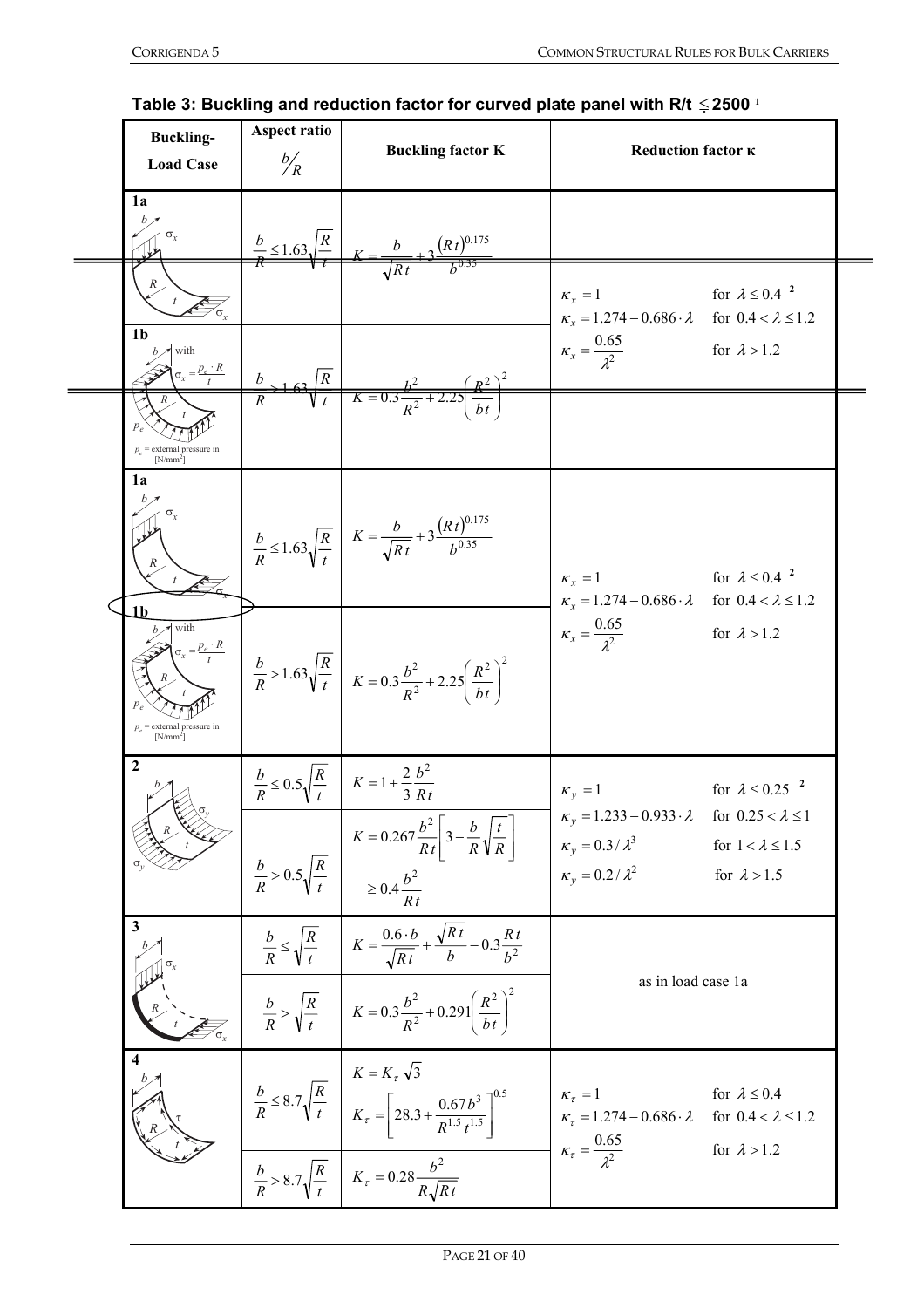| <b>Buckling-</b><br><b>Load Case</b>                       | Aspect ratio<br>$\frac{b}{R}$              | <b>Buckling factor K</b>                                                                                                                                                | Reduction factor <b>K</b>                                                                                                                                                                         |  |
|------------------------------------------------------------|--------------------------------------------|-------------------------------------------------------------------------------------------------------------------------------------------------------------------------|---------------------------------------------------------------------------------------------------------------------------------------------------------------------------------------------------|--|
| 1a                                                         | $\frac{b}{R} \leq 1.63 \sqrt{\frac{R}{m}}$ | $\frac{(Rt)^{0.175}}{0.175}$                                                                                                                                            |                                                                                                                                                                                                   |  |
| 1 <sub>b</sub>                                             |                                            |                                                                                                                                                                         | for $\lambda \leq 0.4$ <sup>2</sup><br>$\kappa_x = 1$<br>$\kappa_x = 1.274 - 0.686 \cdot \lambda$<br>for $0.4 < \lambda \leq 1.2$                                                                 |  |
| with<br>$\sigma_r = \frac{p_e \cdot R}{r}$                 | R                                          | $K = 0.3 \frac{B}{R^2}$                                                                                                                                                 | $\kappa_{x} = \frac{0.65}{\lambda^{2}}$<br>for $\lambda > 1.2$                                                                                                                                    |  |
| $p_{a}$ = external pressure in<br>$[N/mm^2]$               |                                            |                                                                                                                                                                         |                                                                                                                                                                                                   |  |
| 1a                                                         |                                            | $\frac{b}{R} \le 1.63 \sqrt{\frac{R}{t}}$ $K = \frac{b}{\sqrt{R t}} + 3 \frac{(R t)^{0.175}}{b^{0.35}}$                                                                 | for $\lambda \leq 0.4$ <sup>2</sup><br>$\kappa_x = 1$<br>$\kappa_x = 1.274 - 0.686 \cdot \lambda$<br>for $0.4 < \lambda \leq 1.2$                                                                 |  |
| 1b<br>with<br>$p_{a}$ = external pressure in<br>$[N/mm^2]$ |                                            | $rac{b}{R} > 1.63 \sqrt{\frac{R}{t}}$ $K = 0.3 \frac{b^2}{R^2} + 2.25 \left(\frac{R^2}{bt}\right)^2$                                                                    | $\kappa_{x} = \frac{0.65}{r^2}$<br>for $\lambda > 1.2$                                                                                                                                            |  |
| $\overline{2}$                                             | $\frac{b}{R} \leq 0.5 \sqrt{\frac{R}{t}}$  | $K = 1 + \frac{2}{3} \frac{b^2}{Rt}$                                                                                                                                    | for $\lambda \leq 0.25$ <sup>2</sup><br>$\kappa_y = 1.233 - 0.933 \cdot \lambda$ for $0.25 < \lambda \le 1$                                                                                       |  |
|                                                            |                                            |                                                                                                                                                                         | for $1 < \lambda \leq 1.5$<br>for $\lambda > 1.5$                                                                                                                                                 |  |
| 3                                                          |                                            | $\frac{b}{R} \le \sqrt{\frac{R}{t}} \qquad K = \frac{0.6 \cdot b}{\sqrt{R t}} + \frac{\sqrt{R t}}{b} - 0.3 \frac{R t}{b^2}$                                             |                                                                                                                                                                                                   |  |
|                                                            |                                            | $\frac{b}{R} > \sqrt{\frac{R}{t}}$ $K = 0.3 \frac{b^2}{R^2} + 0.291 \left(\frac{R^2}{bt}\right)^2$                                                                      | as in load case 1a                                                                                                                                                                                |  |
| $\overline{\mathbf{4}}$                                    |                                            | $\frac{b}{R} \le 8.7 \sqrt{\frac{R}{t}} \begin{bmatrix} K = K_{\tau} \sqrt{3} \\ K_{\tau} = \left[ 28.3 + \frac{0.67 b^3}{R^{1.5} t^{1.5}} \right]^{0.5} \end{bmatrix}$ | $\kappa_{\tau} = 1$<br>for $\lambda \leq 0.4$<br>$\kappa_{\tau} = 1.274 - 0.686 \cdot \lambda$<br>for $0.4 < \lambda \leq 1.2$<br>$\kappa_{\tau} = \frac{0.65}{\lambda^2}$<br>for $\lambda > 1.2$ |  |
|                                                            |                                            | $\frac{b}{R} > 8.7 \sqrt{\frac{R}{t}} \quad K_{\tau} = 0.28 \frac{b^2}{R_{\tau}/R_{\tau}}$                                                                              |                                                                                                                                                                                                   |  |

# **Table 3: Buckling and reduction factor for curved plate panel with R/t** ≤ **2500** <sup>1</sup>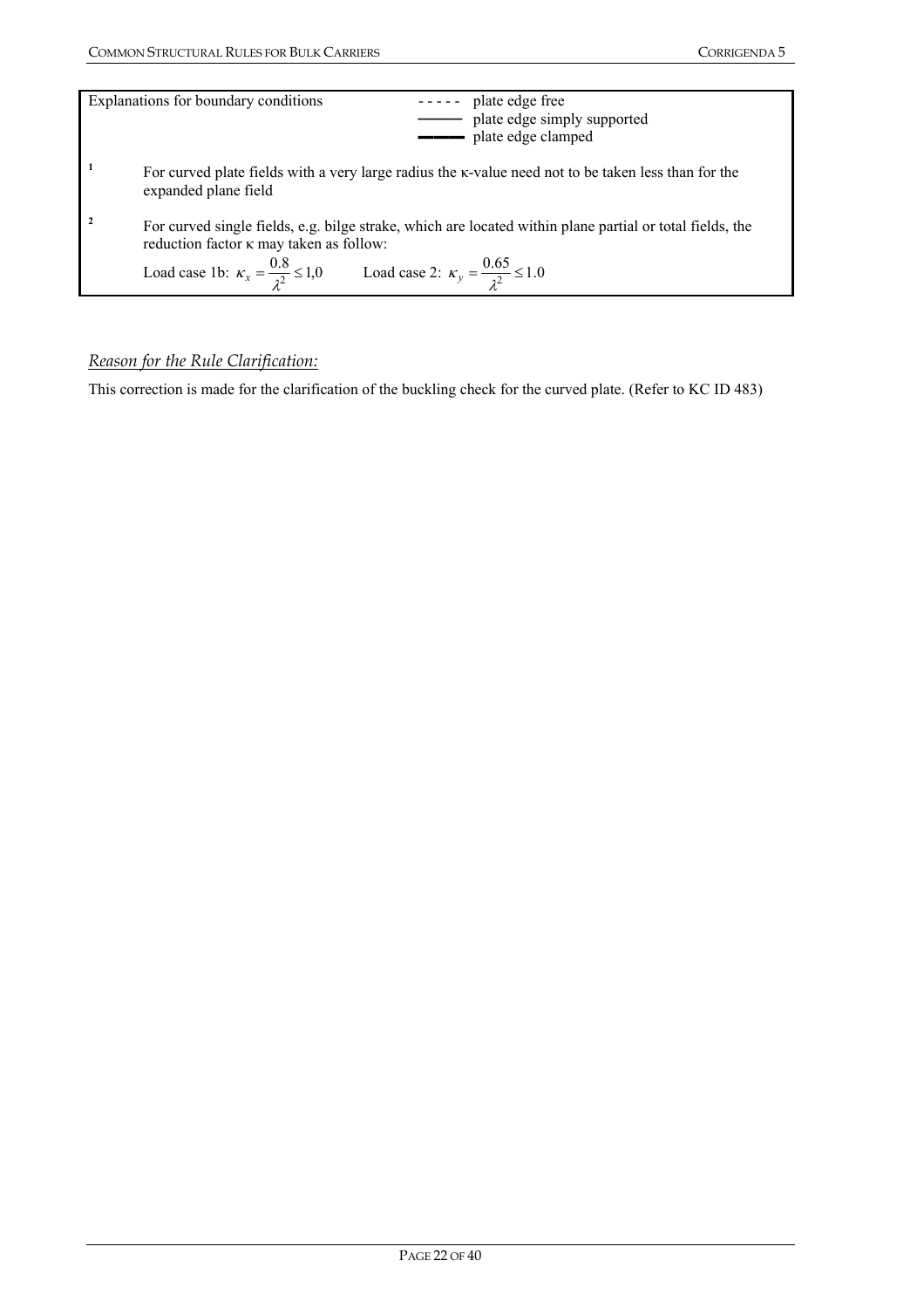| Explanations for boundary conditions<br>plate edge free<br>$\frac{1}{2} \frac{1}{2} \frac{1}{2} \frac{1}{2} \frac{1}{2} \frac{1}{2} \frac{1}{2} \frac{1}{2} \frac{1}{2} \frac{1}{2} \frac{1}{2} \frac{1}{2} \frac{1}{2} \frac{1}{2} \frac{1}{2} \frac{1}{2} \frac{1}{2} \frac{1}{2} \frac{1}{2} \frac{1}{2} \frac{1}{2} \frac{1}{2} \frac{1}{2} \frac{1}{2} \frac{1}{2} \frac{1}{2} \frac{1}{2} \frac{1}{2} \frac{1}{2} \frac{1}{2} \frac{1}{2} \frac{$<br>plate edge simply supported<br>- plate edge clamped |
|----------------------------------------------------------------------------------------------------------------------------------------------------------------------------------------------------------------------------------------------------------------------------------------------------------------------------------------------------------------------------------------------------------------------------------------------------------------------------------------------------------------|
| For curved plate fields with a very large radius the k-value need not to be taken less than for the<br>expanded plane field                                                                                                                                                                                                                                                                                                                                                                                    |
| For curved single fields, e.g. bilge strake, which are located within plane partial or total fields, the<br>reduction factor $\kappa$ may taken as follow:<br>Load case 1b: $\kappa_x = \frac{0.8}{\lambda^2} \le 1.0$ Load case 2: $\kappa_y = \frac{0.65}{\lambda^2} \le 1.0$                                                                                                                                                                                                                                |

# *Reason for the Rule Clarification:*

This correction is made for the clarification of the buckling check for the curved plate. (Refer to KC ID 483)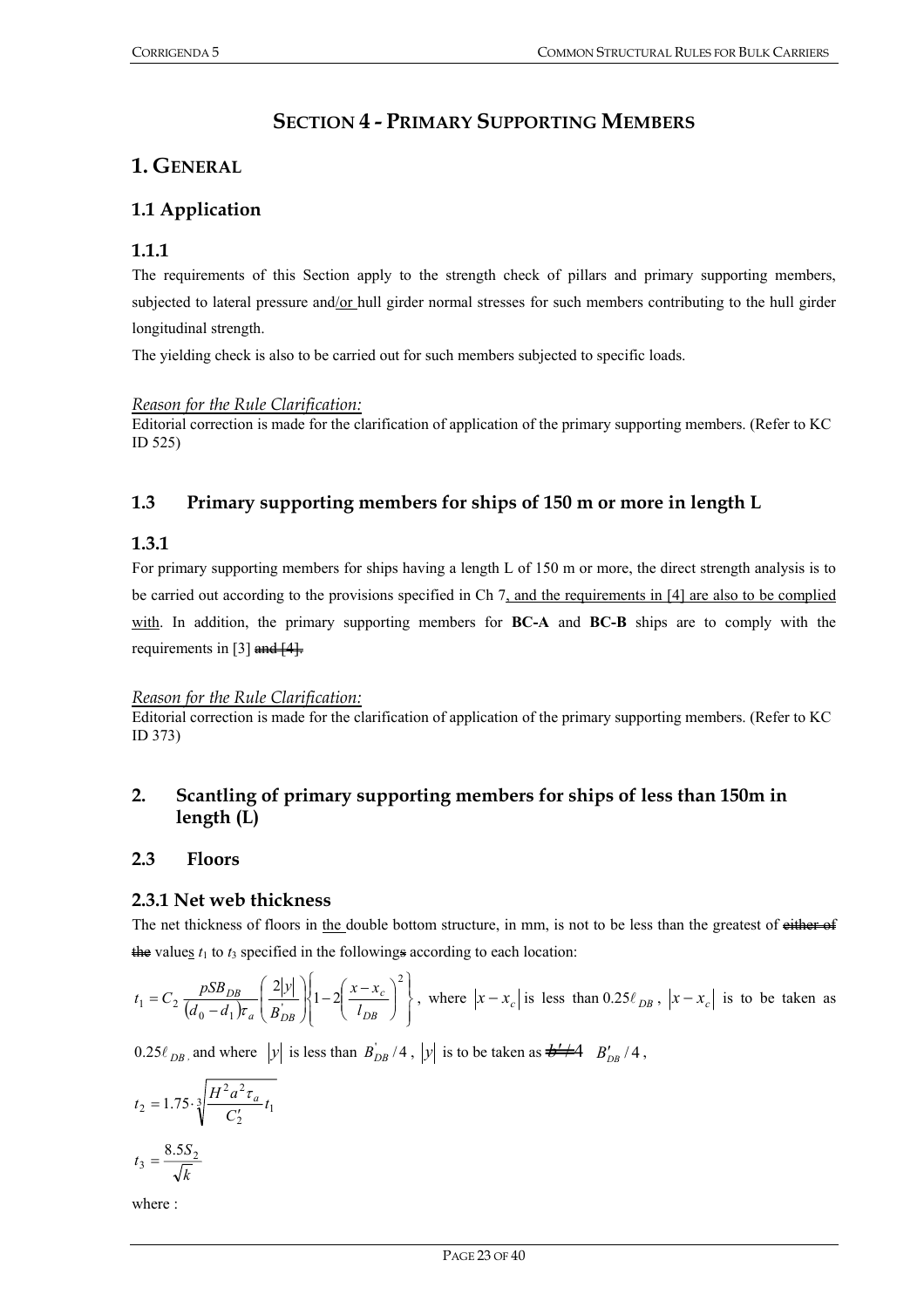# **SECTION 4 - PRIMARY SUPPORTING MEMBERS**

# **1. GENERAL**

# **1.1 Application**

## **1.1.1**

The requirements of this Section apply to the strength check of pillars and primary supporting members, subjected to lateral pressure and/or hull girder normal stresses for such members contributing to the hull girder longitudinal strength.

The yielding check is also to be carried out for such members subjected to specific loads.

#### *Reason for the Rule Clarification:*

Editorial correction is made for the clarification of application of the primary supporting members. (Refer to KC ID 525)

# **1.3 Primary supporting members for ships of 150 m or more in length L**

## **1.3.1**

For primary supporting members for ships having a length L of 150 m or more, the direct strength analysis is to be carried out according to the provisions specified in Ch 7, and the requirements in [4] are also to be complied with. In addition, the primary supporting members for **BC-A** and **BC-B** ships are to comply with the requirements in [3]  $\frac{and}{4}$ .

#### *Reason for the Rule Clarification:*

Editorial correction is made for the clarification of application of the primary supporting members. (Refer to KC ID 373)

# **2. Scantling of primary supporting members for ships of less than 150m in length (L)**

#### **2.3 Floors**

#### **2.3.1 Net web thickness**

The net thickness of floors in the double bottom structure, in mm, is not to be less than the greatest of either of the values  $t_1$  to  $t_3$  specified in the followings according to each location:

$$
t_1 = C_2 \frac{pSB_{DB}}{(d_0 - d_1)\tau_a} \left(\frac{2|y|}{B_{DB}'}\right) \left\{1 - 2\left(\frac{x - x_c}{l_{DB}}\right)^2\right\}, \text{ where } |x - x_c| \text{ is less than } 0.25\ell_{DB}, |x - x_c| \text{ is to be taken as}
$$

 $0.25\ell_{DB}$  and where *y* is less than  $B_{DB}^{'}/4$ , *y* is to be taken as  $\frac{1}{2}$  *B<sub>DB</sub>* / 4,

$$
t_2 = 1.75 \cdot \sqrt[3]{\frac{H^2 a^2 \tau_a}{C'_2} t_1}
$$

$$
t_3 = \frac{8.5 S_2}{\sqrt{k}}
$$

where :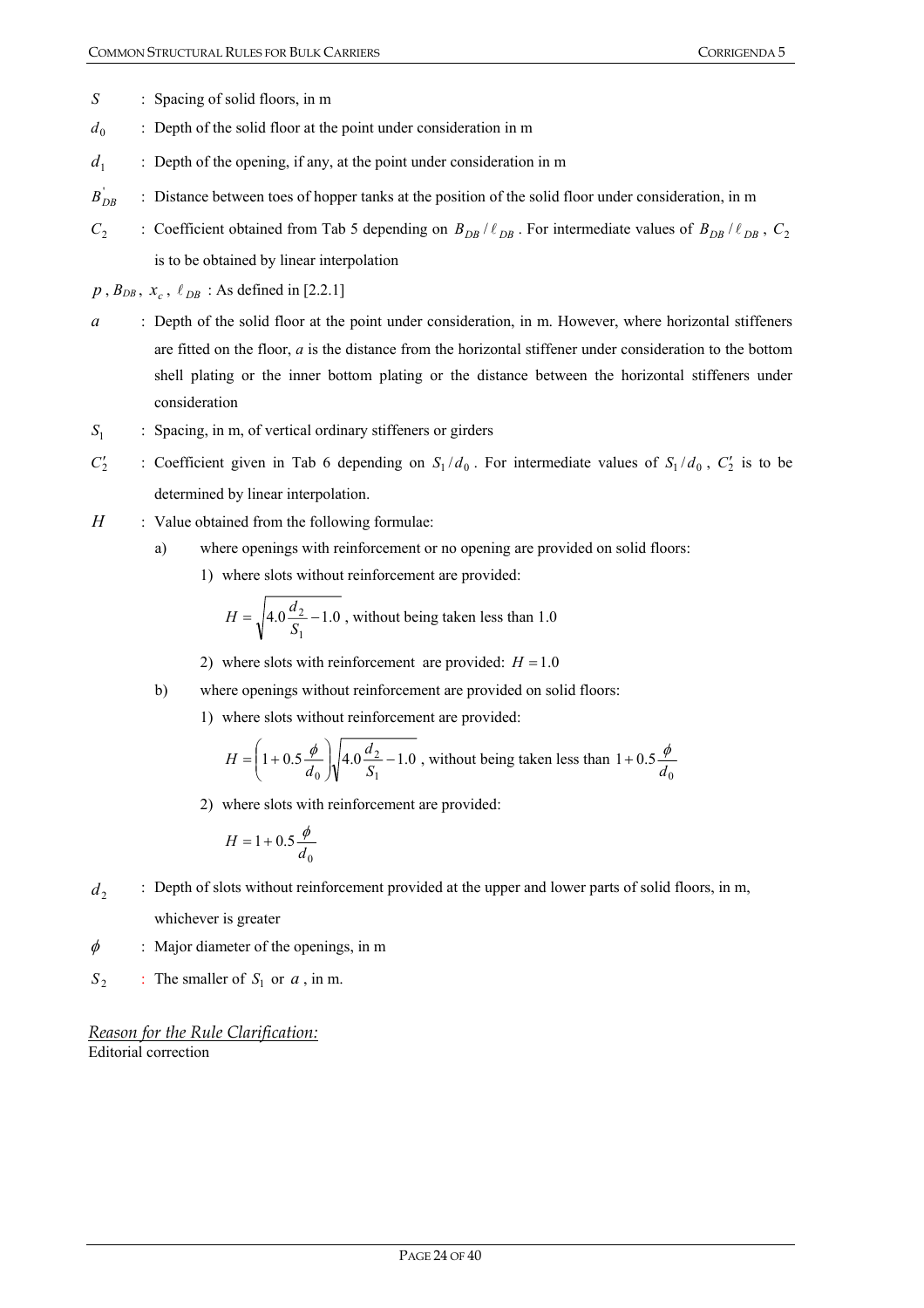- *S* : Spacing of solid floors, in m
- $d_0$  : Depth of the solid floor at the point under consideration in m
- $d_1$  : Depth of the opening, if any, at the point under consideration in m
- $B_{DR}^{'}$ **BDBB** : Distance between toes of hopper tanks at the position of the solid floor under consideration, in m
- *C*<sub>2</sub> : Coefficient obtained from Tab 5 depending on  $B_{DB}$  /  $\ell_{DB}$ . For intermediate values of  $B_{DB}$  /  $\ell_{DB}$ , *C*<sub>2</sub> is to be obtained by linear interpolation

 $p$ ,  $B_{DB}$ ,  $x_c$ ,  $\ell_{DB}$ : As defined in [2.2.1]

- *a* : Depth of the solid floor at the point under consideration, in m. However, where horizontal stiffeners are fitted on the floor, *a* is the distance from the horizontal stiffener under consideration to the bottom shell plating or the inner bottom plating or the distance between the horizontal stiffeners under consideration
- *S*<sub>1</sub> : Spacing, in m, of vertical ordinary stiffeners or girders
- $C_2'$  $S_1/d_0$ . For intermediate values of  $S_1/d_0$ ,  $C_2'$  is to be determined by linear interpolation.
- *H* : Value obtained from the following formulae:
	- a) where openings with reinforcement or no opening are provided on solid floors:
		- 1) where slots without reinforcement are provided:

$$
H = \sqrt{4.0 \frac{d_2}{S_1} - 1.0}
$$
, without being taken less than 1.0

- 2) where slots with reinforcement are provided:  $H = 1.0$
- b) where openings without reinforcement are provided on solid floors:
	- 1) where slots without reinforcement are provided:

$$
H = \left(1 + 0.5\frac{\phi}{d_0}\right)\sqrt{4.0\frac{d_2}{S_1} - 1.0}
$$
, without being taken less than  $1 + 0.5\frac{\phi}{d_0}$ 

2) where slots with reinforcement are provided:

$$
H = 1 + 0.5 \frac{\phi}{d_0}
$$

- *d*<sub>2</sub> : Depth of slots without reinforcement provided at the upper and lower parts of solid floors, in m, whichever is greater
- $\phi$  : Major diameter of the openings, in m
- $S_2$  : The smaller of  $S_1$  or  $a$ , in m.

*Reason for the Rule Clarification:* Editorial correction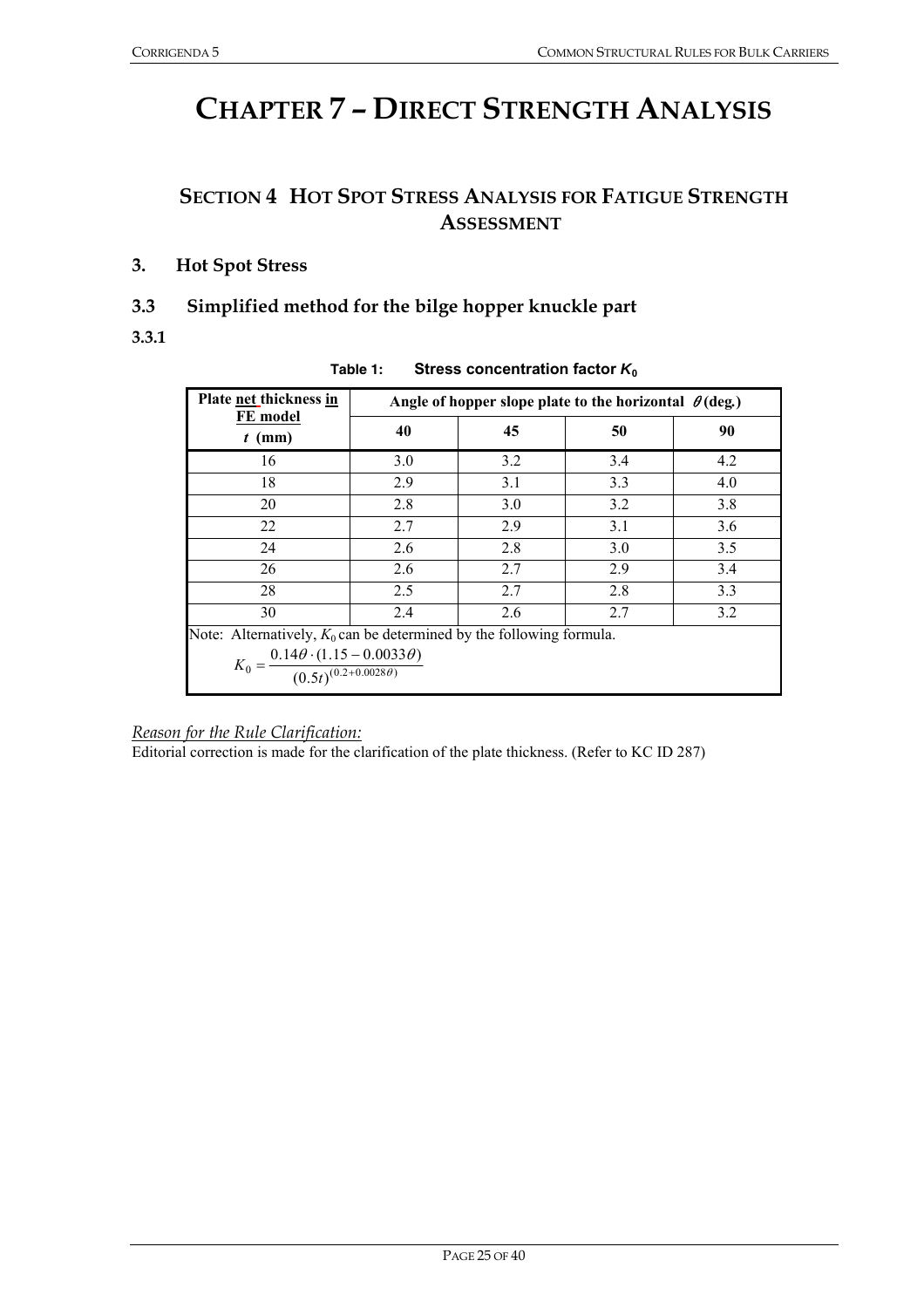# **CHAPTER 7 – DIRECT STRENGTH ANALYSIS**

# **SECTION 4 HOT SPOT STRESS ANALYSIS FOR FATIGUE STRENGTH ASSESSMENT**

**3. Hot Spot Stress** 

# **3.3 Simplified method for the bilge hopper knuckle part**

**3.3.1** 

| Plate net thickness in                                                             | Angle of hopper slope plate to the horizontal $\theta$ (deg.) |     |     |     |  |
|------------------------------------------------------------------------------------|---------------------------------------------------------------|-----|-----|-----|--|
| FE model<br>$t$ (mm)                                                               | 40                                                            | 45  | 50  | 90  |  |
| 16                                                                                 | 3.0                                                           | 3.2 | 3.4 | 4.2 |  |
| 18                                                                                 | 2.9                                                           | 3.1 | 3.3 | 4.0 |  |
| 20                                                                                 | 2.8                                                           | 3.0 | 3.2 | 3.8 |  |
| 22                                                                                 | 2.7                                                           | 2.9 | 3.1 | 3.6 |  |
| 24                                                                                 | 2.6                                                           | 2.8 | 3.0 | 3.5 |  |
| 26                                                                                 | 2.6                                                           | 2.7 | 2.9 | 3.4 |  |
| 28                                                                                 | 2.5                                                           | 2.7 | 2.8 | 3.3 |  |
| 30                                                                                 | 2.4                                                           | 2.6 | 2.7 | 3.2 |  |
| Note: Alternatively, $K_0$ can be determined by the following formula.             |                                                               |     |     |     |  |
| $K_0 = \frac{0.14\theta \cdot (1.15 - 0.0033\theta)}{(0.5t)^{(0.2+0.0028\theta)}}$ |                                                               |     |     |     |  |

#### **Table 1: Stress concentration factor** *K***<sup>0</sup>**

*Reason for the Rule Clarification:*

Editorial correction is made for the clarification of the plate thickness. (Refer to KC ID 287)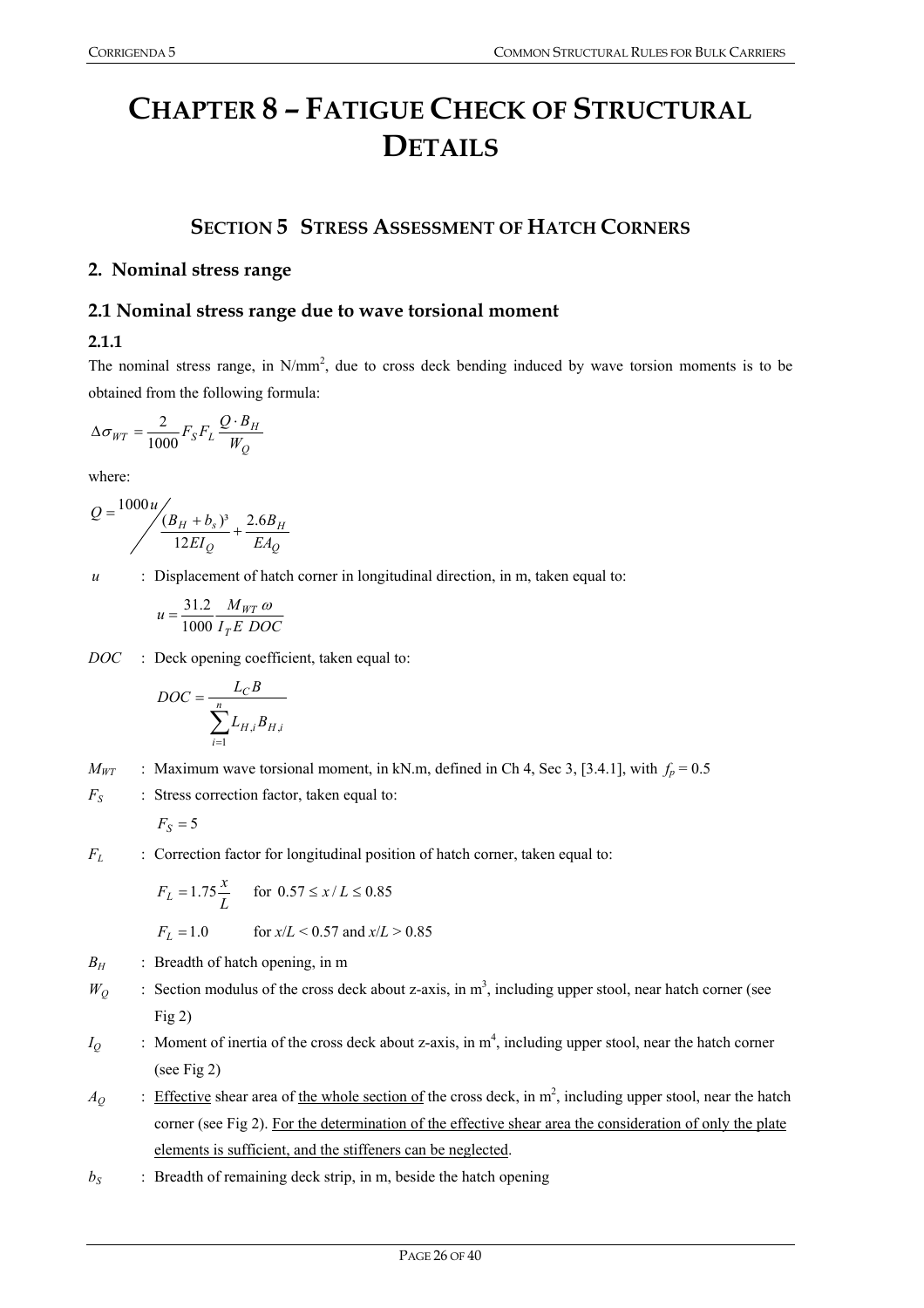# **CHAPTER 8 – FATIGUE CHECK OF STRUCTURAL DETAILS**

# **SECTION 5 STRESS ASSESSMENT OF HATCH CORNERS**

#### **2. Nominal stress range**

### **2.1 Nominal stress range due to wave torsional moment**

#### **2.1.1**

The nominal stress range, in  $N/mm^2$ , due to cross deck bending induced by wave torsion moments is to be obtained from the following formula:

$$
\Delta \sigma_{WT} = \frac{2}{1000} F_S F_L \frac{Q \cdot B_H}{W_Q}
$$

where:

$$
Q = \frac{1000u}{\left(\frac{B_H + B_s}{12EI_Q} + \frac{2.6B_H}{EA_Q}\right)}
$$

*u* : Displacement of hatch corner in longitudinal direction, in m, taken equal to:

$$
u = \frac{31.2}{1000} \frac{M_{WT} \omega}{I_T E \ DOC}
$$

*DOC* : Deck opening coefficient, taken equal to:

$$
DOC = \frac{L_{C}B}{\sum_{i=1}^{n} L_{H,i}B_{H,i}}
$$

 $M_{WT}$  : Maximum wave torsional moment, in kN.m, defined in Ch 4, Sec 3, [3.4.1], with  $f_p = 0.5$ 

*F<sub>S</sub>* : Stress correction factor, taken equal to:

$$
F_S=5
$$

*F<sub>L</sub>* : Correction factor for longitudinal position of hatch corner, taken equal to:

$$
F_L = 1.75 \frac{x}{L}
$$
 for  $0.57 \le x/L \le 0.85$   
 $F_L = 1.0$  for  $x/L < 0.57$  and  $x/L > 0.85$ 

- $B_H$  : Breadth of hatch opening, in m
- $W_Q$  : Section modulus of the cross deck about z-axis, in m<sup>3</sup>, including upper stool, near hatch corner (see Fig 2)
- $I_Q$  : Moment of inertia of the cross deck about z-axis, in  $m^4$ , including upper stool, near the hatch corner (see Fig 2)
- $A_Q$  : Effective shear area of the whole section of the cross deck, in  $m^2$ , including upper stool, near the hatch corner (see Fig 2). For the determination of the effective shear area the consideration of only the plate elements is sufficient, and the stiffeners can be neglected.
- $b_S$  : Breadth of remaining deck strip, in m, beside the hatch opening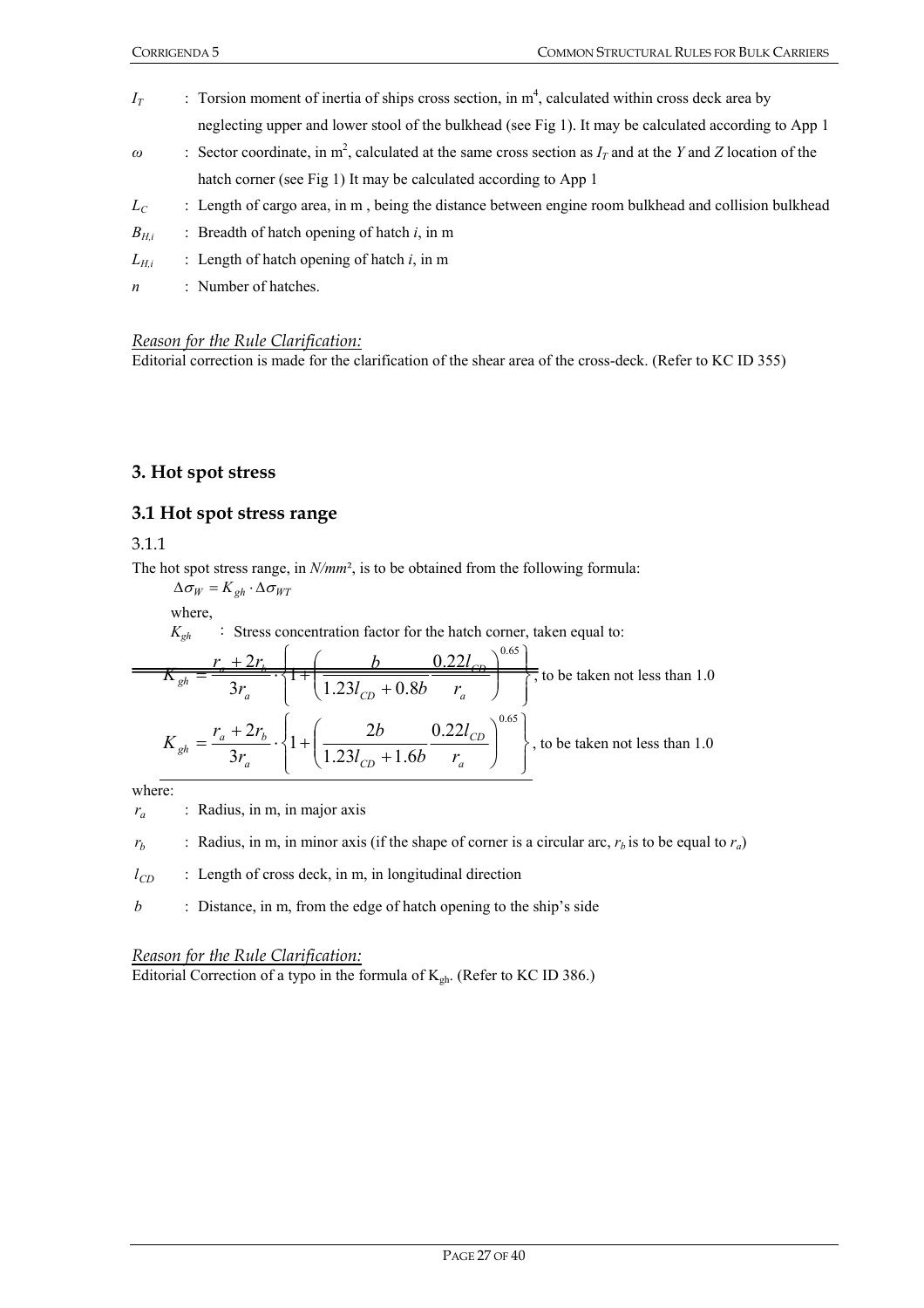| $I_T$            | : Torsion moment of inertia of ships cross section, in $m4$ , calculated within cross deck area by                       |
|------------------|--------------------------------------------------------------------------------------------------------------------------|
|                  | neglecting upper and lower stool of the bulkhead (see Fig 1). It may be calculated according to App 1                    |
| $\omega$         | : Sector coordinate, in m <sup>2</sup> , calculated at the same cross section as $IT$ and at the Y and Z location of the |
|                  | hatch corner (see Fig 1) It may be calculated according to App 1                                                         |
| $L_C$            | : Length of cargo area, in m, being the distance between engine room bulkhead and collision bulkhead                     |
| $B_{H.i}$        | : Breadth of hatch opening of hatch $i$ , in m                                                                           |
| $L_{H,i}$        | : Length of hatch opening of hatch $i$ , in m                                                                            |
| $\boldsymbol{n}$ | : Number of hatches.                                                                                                     |

### *Reason for the Rule Clarification:*

Editorial correction is made for the clarification of the shear area of the cross-deck. (Refer to KC ID 355)

#### **3. Hot spot stress**

#### **3.1 Hot spot stress range**

3.1.1

The hot spot stress range, in *N/mm*², is to be obtained from the following formula:

 $\Delta \sigma_W = K_{gh} \cdot \Delta \sigma_{WT}$ 

where,

 $K_{gh}$  : Stress concentration factor for the hatch corner, taken equal to:

$$
K_{gh} = \frac{r_a + 2r_b}{3r_a} \cdot \left\{ 1 + \left( \frac{b}{1.23l_{CD} + 0.8b} \frac{0.22l_{CD}}{r_a} \right)^{0.65} \right\}, \text{ to be taken not less than 1.0}
$$
  

$$
K_{gh} = \frac{r_a + 2r_b}{3r_a} \cdot \left\{ 1 + \left( \frac{2b}{1.23l_{CD} + 1.6b} \frac{0.22l_{CD}}{r_a} \right)^{0.65} \right\}, \text{ to be taken not less than 1.0}
$$

where:

 $r_a$  : Radius, in m, in major axis

 $r_b$  : Radius, in m, in minor axis (if the shape of corner is a circular arc,  $r_b$  is to be equal to  $r_a$ )

 $l_{CD}$  : Length of cross deck, in m, in longitudinal direction

*b* : Distance, in m, from the edge of hatch opening to the ship's side

#### *Reason for the Rule Clarification:*

Editorial Correction of a typo in the formula of  $K_{gh}$ . (Refer to KC ID 386.)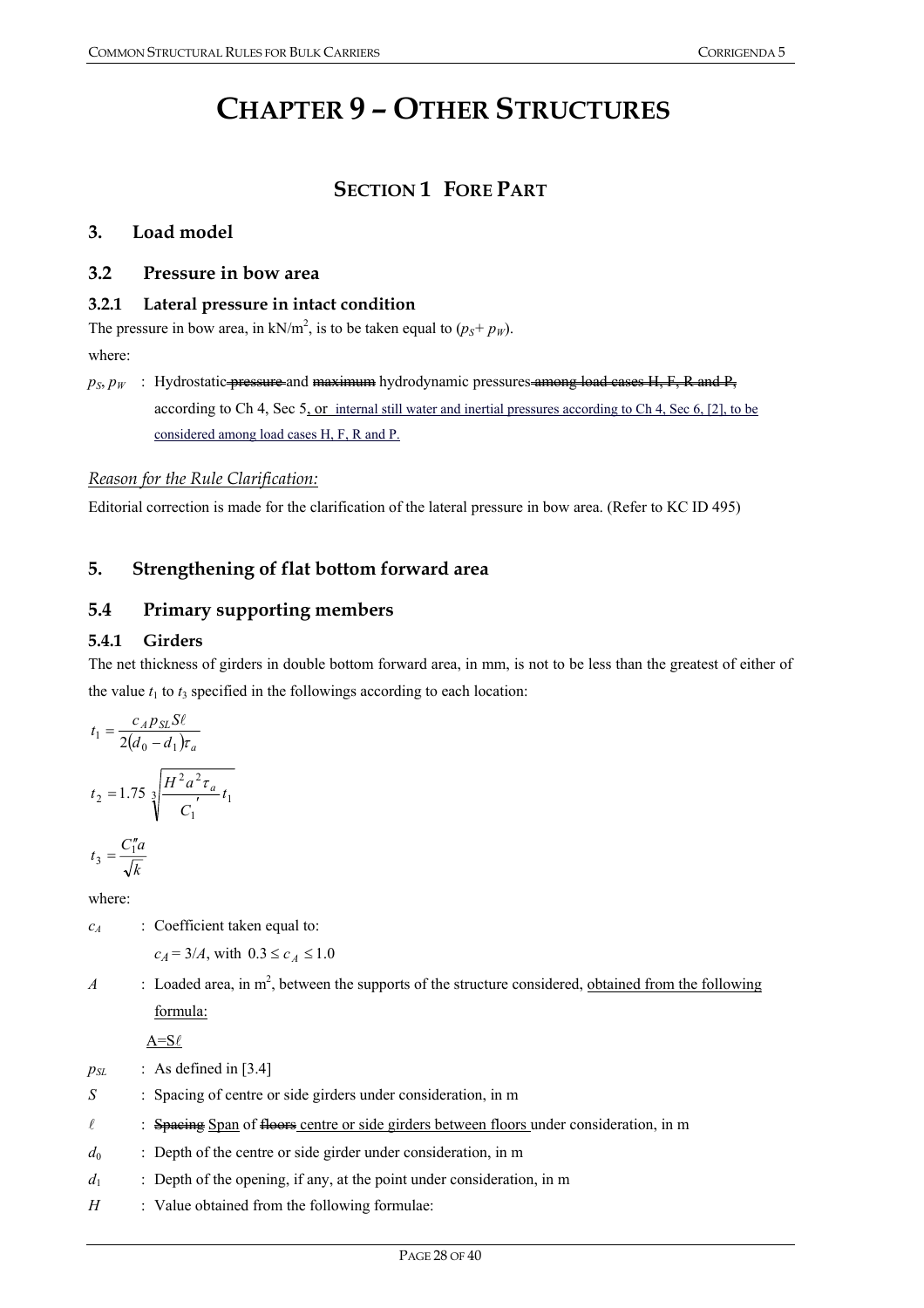# **CHAPTER 9 – OTHER STRUCTURES**

# **SECTION 1 FORE PART**

#### **3. Load model**

#### **3.2 Pressure in bow area**

#### **3.2.1 Lateral pressure in intact condition**

The pressure in bow area, in  $kN/m^2$ , is to be taken equal to  $(p_s+p_w)$ . where:

 $p_S, p_W$  : Hydrostatic *pressure* and maximum hydrodynamic pressures among load cases H, F, R and P, according to Ch 4, Sec 5, or internal still water and inertial pressures according to Ch 4, Sec 6, [2], to be considered among load cases H, F, R and P.

#### *Reason for the Rule Clarification:*

Editorial correction is made for the clarification of the lateral pressure in bow area. (Refer to KC ID 495)

# **5. Strengthening of flat bottom forward area**

# **5.4 Primary supporting members**

#### **5.4.1 Girders**

The net thickness of girders in double bottom forward area, in mm, is not to be less than the greatest of either of the value  $t_1$  to  $t_3$  specified in the followings according to each location:

$$
t_1 = \frac{c_A p_{SL} S \ell}{2(d_0 - d_1) \tau_a}
$$
  

$$
t_2 = 1.75 \sqrt[3]{\frac{H^2 a^2 \tau_a}{C_1'} t_1}
$$
  

$$
t_3 = \frac{C_1'' a}{\sqrt{k}}
$$

where:

*c<sub>A</sub>* : Coefficient taken equal to:

 $c_A = 3/A$ , with  $0.3 \le c_A \le 1.0$ 

*A* : Loaded area, in  $m^2$ , between the supports of the structure considered, obtained from the following formula:

 $A=$ S $\ell$ 

- $p_{SL}$  : As defined in [3.4]
- *S* : Spacing of centre or side girders under consideration, in m
- $\ell$  : Spacing Span of floors centre or side girders between floors under consideration, in m
- $d_0$  : Depth of the centre or side girder under consideration, in m
- *d*<sub>1</sub> : Depth of the opening, if any, at the point under consideration, in m
- *H* : Value obtained from the following formulae: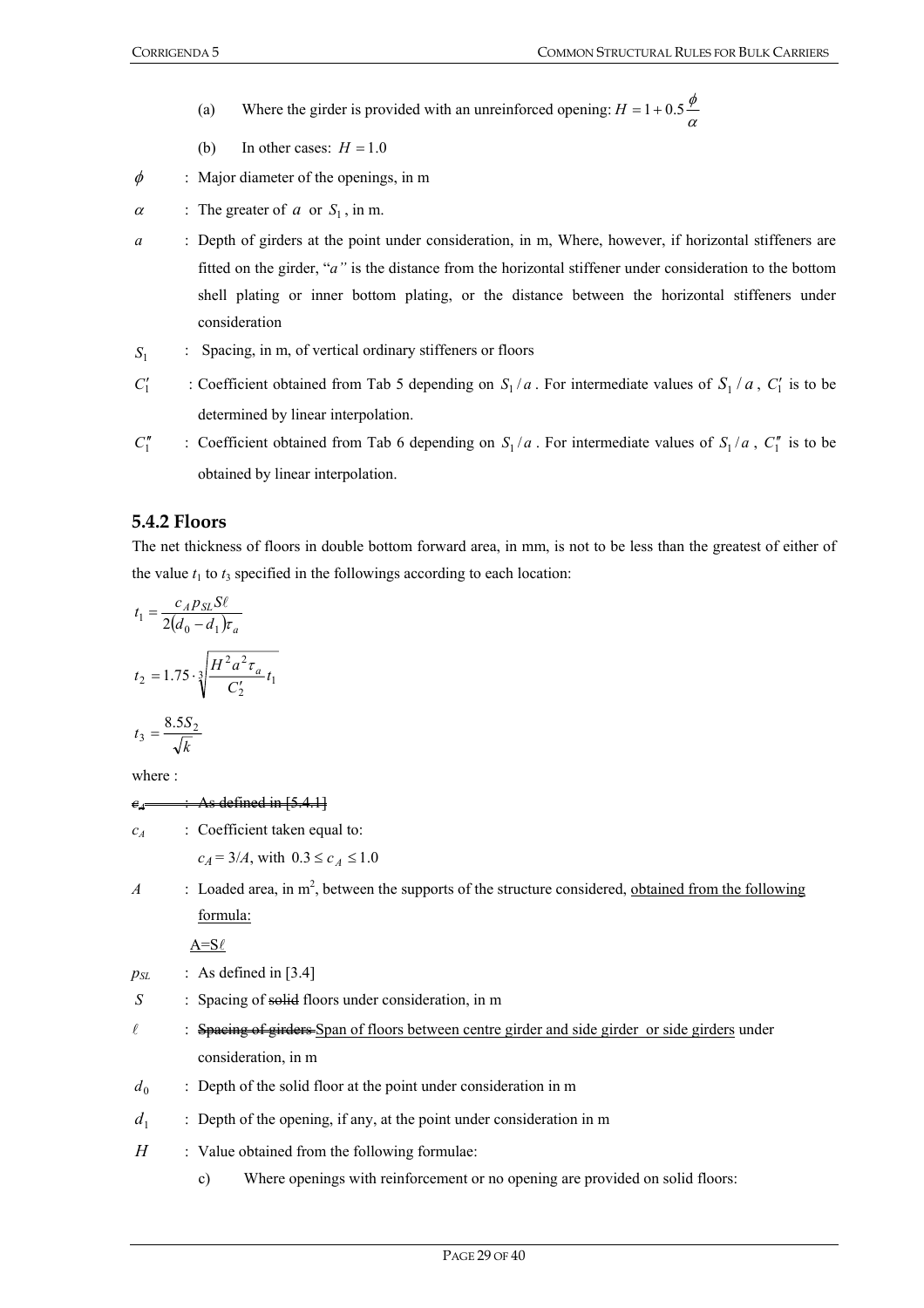- (a) Where the girder is provided with an unreinforced opening:  $H = 1 + 0.5 \frac{\phi}{\alpha}$ 
	- (b) In other cases:  $H = 1.0$
- $\phi$  : Major diameter of the openings, in m
- $\alpha$  : The greater of  $\alpha$  or  $S_1$ , in m.
- *a* : Depth of girders at the point under consideration, in m, Where, however, if horizontal stiffeners are fitted on the girder, "*a"* is the distance from the horizontal stiffener under consideration to the bottom shell plating or inner bottom plating, or the distance between the horizontal stiffeners under consideration
- *S*<sub>1</sub> : Spacing, in m, of vertical ordinary stiffeners or floors
- *C*1  $S_1$  : Coefficient obtained from Tab 5 depending on  $S_1/a$ . For intermediate values of  $S_1/a$ ,  $C_1'$  is to be determined by linear interpolation.
- *C*1  $\int_1^{\pi}$  : Coefficient obtained from Tab 6 depending on  $S_1/a$ . For intermediate values of  $S_1/a$ ,  $C_1^{\pi}$  is to be obtained by linear interpolation.

#### **5.4.2 Floors**

The net thickness of floors in double bottom forward area, in mm, is not to be less than the greatest of either of the value  $t_1$  to  $t_3$  specified in the followings according to each location:

$$
t_1 = \frac{c_A p_{SL} S \ell}{2(d_0 - d_1) \tau_a}
$$
  
\n
$$
t_2 = 1.75 \cdot \sqrt[3]{\frac{H^2 a^2 \tau_a}{C_2'}} t_1
$$
  
\n
$$
t_3 = \frac{8.5 S_2}{\sqrt{k}}
$$

where :

#### $e_4 \longrightarrow \text{As defined in } [5.4.1]$

*cA* : Coefficient taken equal to:

 $c_A = 3/A$ , with  $0.3 \le c_A \le 1.0$ 

 $A$  : Loaded area, in  $m^2$ , between the supports of the structure considered, obtained from the following formula:

 $A=$ S $\ell$ 

- $p_{SL}$  : As defined in [3.4]
- *S* : Spacing of solid floors under consideration, in m
- $\ell$  : Spacing of girders Span of floors between centre girder and side girder or side girders under consideration, in m
- $d_0$  : Depth of the solid floor at the point under consideration in m
- $d_1$  : Depth of the opening, if any, at the point under consideration in m
- *H* : Value obtained from the following formulae:
	- c) Where openings with reinforcement or no opening are provided on solid floors: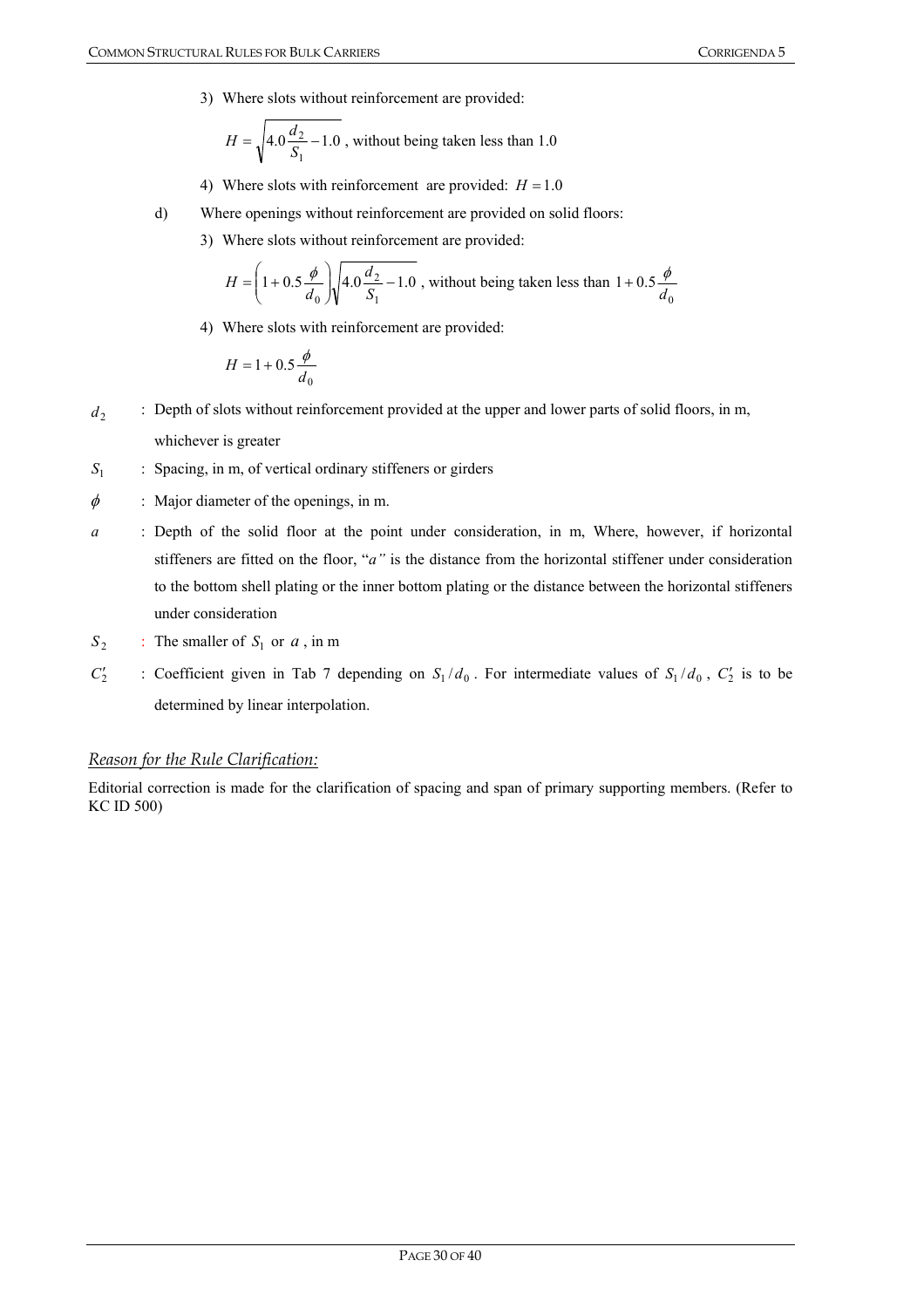3) Where slots without reinforcement are provided:

$$
H = \sqrt{4.0 \frac{d_2}{S_1} - 1.0}
$$
, without being taken less than 1.0

- 4) Where slots with reinforcement are provided:  $H = 1.0$
- d) Where openings without reinforcement are provided on solid floors:
	- 3) Where slots without reinforcement are provided:

$$
H = \left(1 + 0.5\frac{\phi}{d_0}\right)\sqrt{4.0\frac{d_2}{S_1} - 1.0}
$$
, without being taken less than  $1 + 0.5\frac{\phi}{d_0}$ 

4) Where slots with reinforcement are provided:

$$
H = 1 + 0.5 \frac{\phi}{d_0}
$$

- *d*<sub>2</sub> : Depth of slots without reinforcement provided at the upper and lower parts of solid floors, in m, whichever is greater
- *S*<sub>1</sub> : Spacing, in m, of vertical ordinary stiffeners or girders
- $\phi$  : Major diameter of the openings, in m.
- *a* : Depth of the solid floor at the point under consideration, in m, Where, however, if horizontal stiffeners are fitted on the floor, "*a"* is the distance from the horizontal stiffener under consideration to the bottom shell plating or the inner bottom plating or the distance between the horizontal stiffeners under consideration
- $S_2$  : The smaller of  $S_1$  or  $a$ , in m
- $C_2'$  $S_1/d_0$ . For intermediate values of  $S_1/d_0$ ,  $C_2'$  is to be determined by linear interpolation.

#### *Reason for the Rule Clarification:*

Editorial correction is made for the clarification of spacing and span of primary supporting members. (Refer to KC ID 500)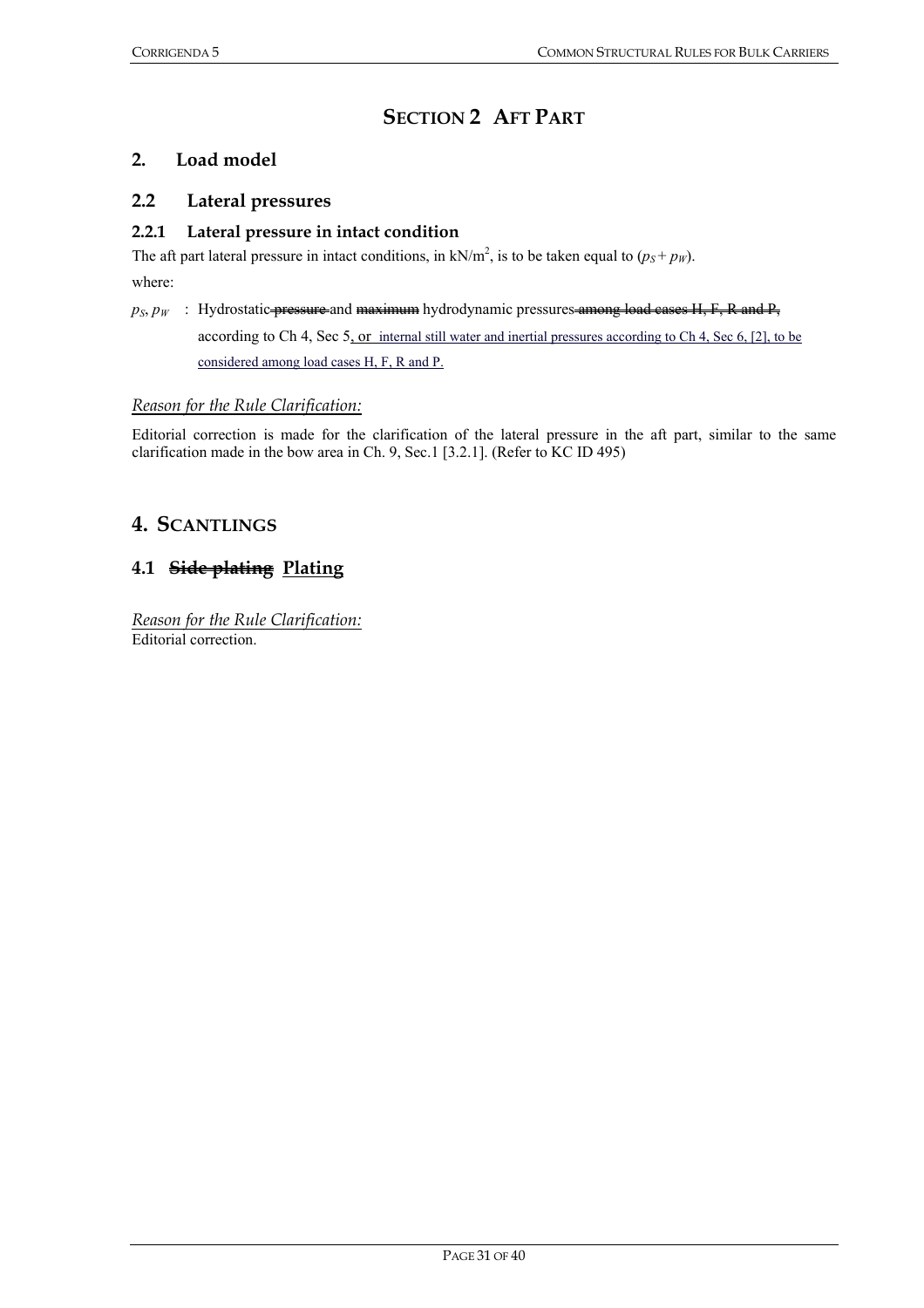# **SECTION 2 AFT PART**

### **2. Load model**

#### **2.2 Lateral pressures**

#### **2.2.1 Lateral pressure in intact condition**

The aft part lateral pressure in intact conditions, in  $kN/m^2$ , is to be taken equal to  $(p_S + p_W)$ .

where:

 $p_S, p_W$  : Hydrostatic *pressure* and maximum hydrodynamic pressures among load cases H, F, R and P, according to Ch 4, Sec 5, or internal still water and inertial pressures according to Ch 4, Sec 6, [2], to be considered among load cases H, F, R and P.

#### *Reason for the Rule Clarification:*

Editorial correction is made for the clarification of the lateral pressure in the aft part, similar to the same clarification made in the bow area in Ch. 9, Sec.1 [3.2.1]. (Refer to KC ID 495)

# **4. SCANTLINGS**

# **4.1 Side plating Plating**

*Reason for the Rule Clarification:* Editorial correction.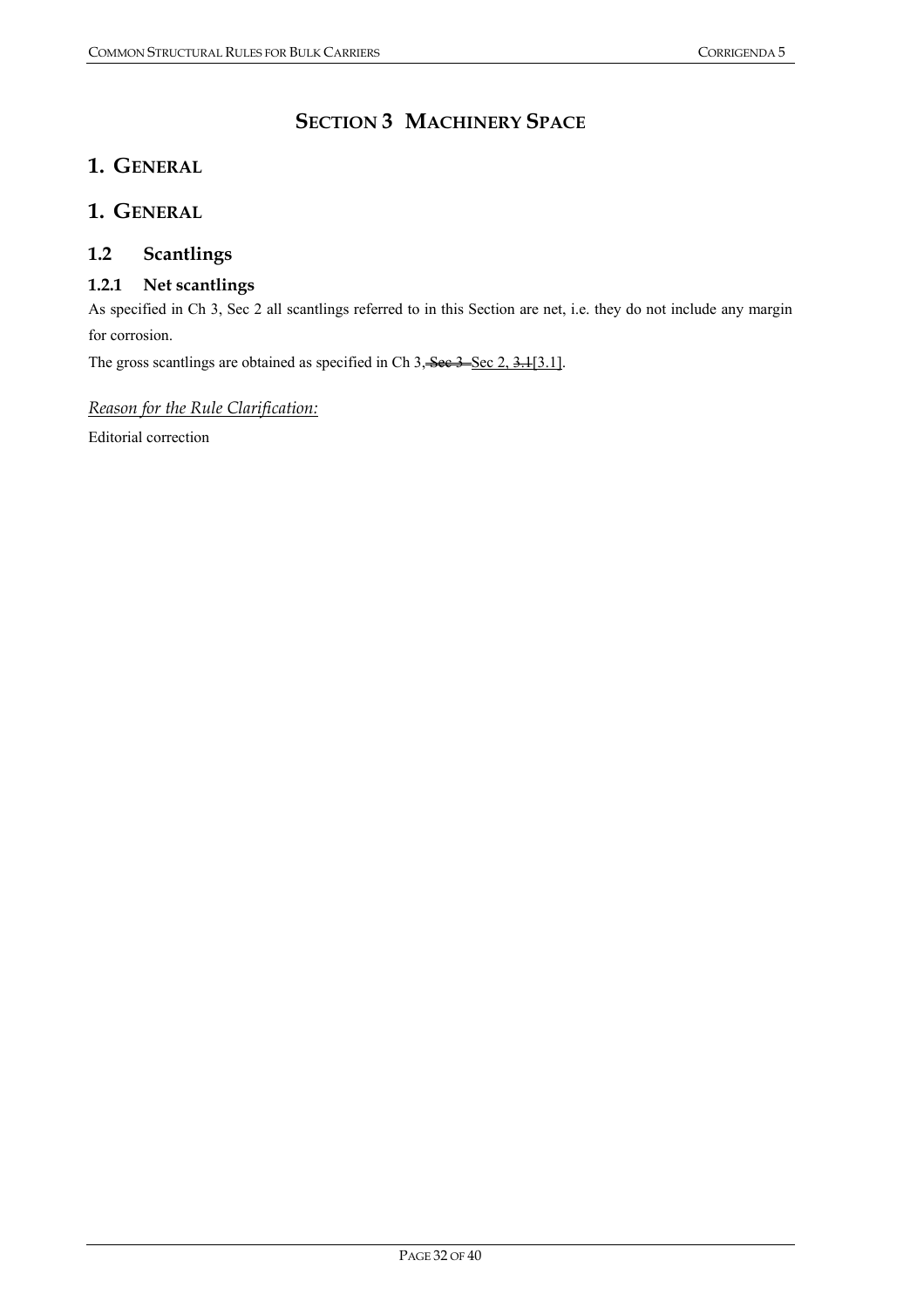# **SECTION 3 MACHINERY SPACE**

# **1. GENERAL**

# **1. GENERAL**

# **1.2 Scantlings**

## **1.2.1 Net scantlings**

As specified in Ch 3, Sec 2 all scantlings referred to in this Section are net, i.e. they do not include any margin for corrosion.

The gross scantlings are obtained as specified in Ch 3, See 3 Sec 2, 3.1[3.1].

#### *Reason for the Rule Clarification:*

Editorial correction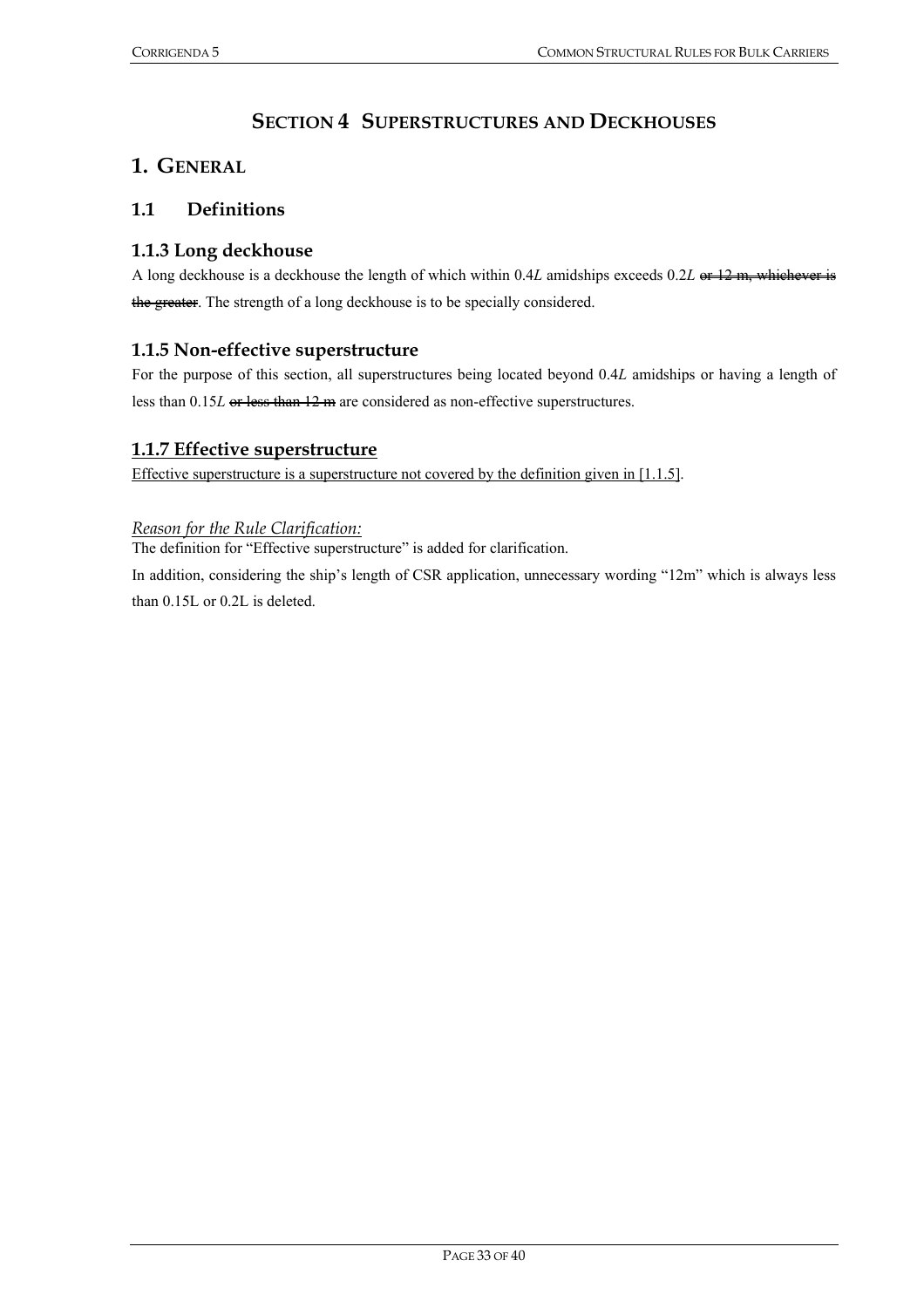# **SECTION 4 SUPERSTRUCTURES AND DECKHOUSES**

# **1. GENERAL**

### **1.1 Definitions**

### **1.1.3 Long deckhouse**

A long deckhouse is a deckhouse the length of which within 0.4*L* amidships exceeds 0.2*L* or 12 m, whichever is the greater. The strength of a long deckhouse is to be specially considered.

#### **1.1.5 Non-effective superstructure**

For the purpose of this section, all superstructures being located beyond 0.4*L* amidships or having a length of less than  $0.15L$  or less than  $12 \text{ m}$  are considered as non-effective superstructures.

#### **1.1.7 Effective superstructure**

Effective superstructure is a superstructure not covered by the definition given in [1.1.5].

#### *Reason for the Rule Clarification:*

The definition for "Effective superstructure" is added for clarification.

In addition, considering the ship's length of CSR application, unnecessary wording "12m" which is always less than 0.15L or 0.2L is deleted.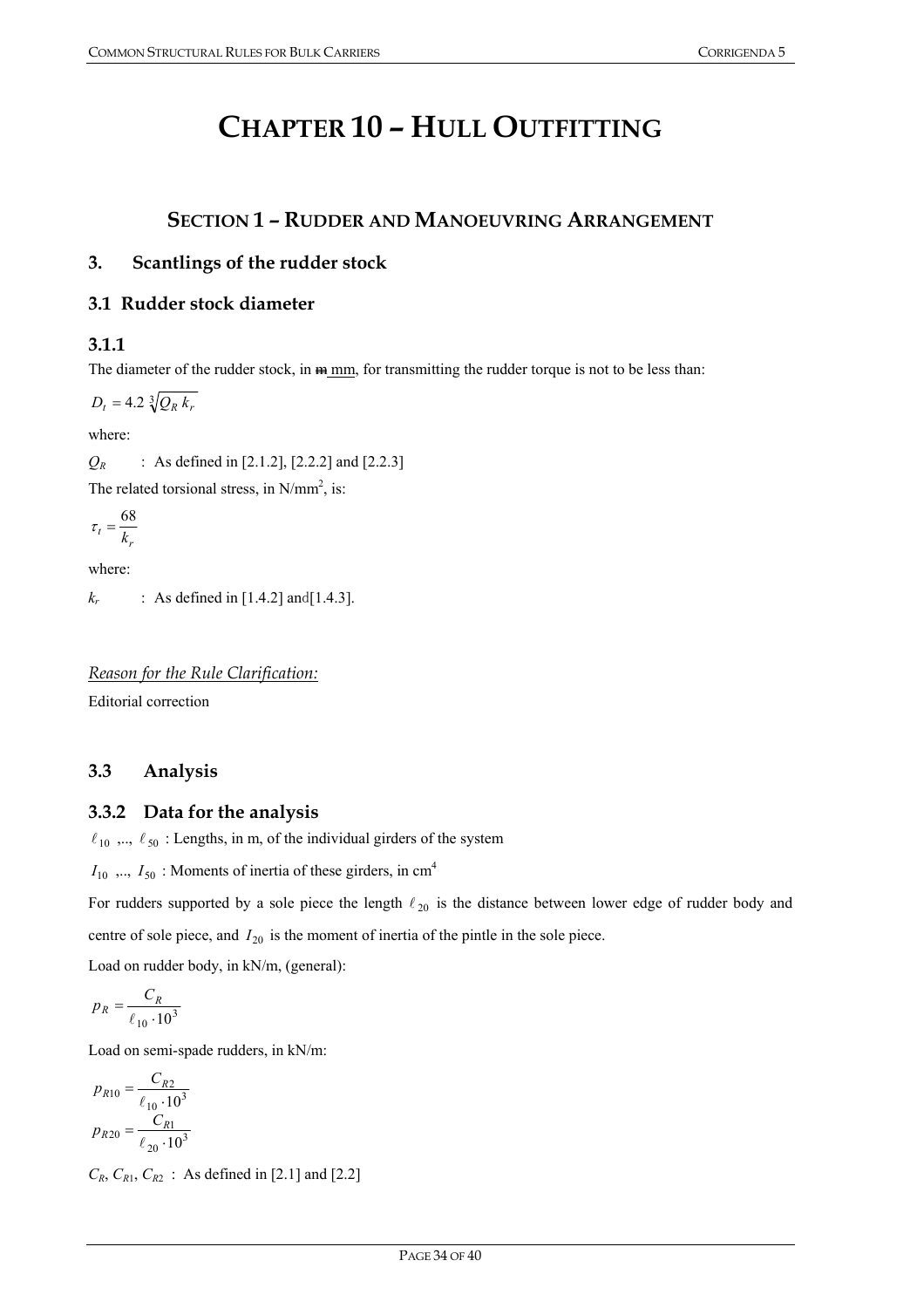# **CHAPTER 10 – HULL OUTFITTING**

# **SECTION 1 – RUDDER AND MANOEUVRING ARRANGEMENT**

## **3. Scantlings of the rudder stock**

#### **3.1 Rudder stock diameter**

## **3.1.1**

The diameter of the rudder stock, in  $m_{\text{min}}$ , for transmitting the rudder torque is not to be less than:

 $D_t = 4.2 \sqrt[3]{Q_R k_r}$ 

where:

 $Q_R$  : As defined in [2.1.2], [2.2.2] and [2.2.3]

The related torsional stress, in  $N/mm^2$ , is:

$$
\tau_t = \frac{68}{k_r}
$$

where:

*k<sub>r</sub>* : As defined in [1.4.2] and [1.4.3].

*Reason for the Rule Clarification:* Editorial correction

# **3.3 Analysis**

## **3.3.2 Data for the analysis**

 $\ell_{10}$ ,..,  $\ell_{50}$ : Lengths, in m, of the individual girders of the system

 $I_{10}$ , ...,  $I_{50}$ : Moments of inertia of these girders, in cm<sup>4</sup>

For rudders supported by a sole piece the length  $\ell_{20}$  is the distance between lower edge of rudder body and centre of sole piece, and  $I_{20}$  is the moment of inertia of the pintle in the sole piece.

Load on rudder body, in kN/m, (general):

$$
p_R = \frac{C_R}{\ell_{10} \cdot 10^3}
$$

Load on semi-spade rudders, in kN/m:

$$
p_{R10} = \frac{C_{R2}}{\ell_{10} \cdot 10^3}
$$

$$
p_{R20} = \frac{C_{R1}}{\ell_{20} \cdot 10^3}
$$

 $C_R$ ,  $C_{R1}$ ,  $C_{R2}$  : As defined in [2.1] and [2.2]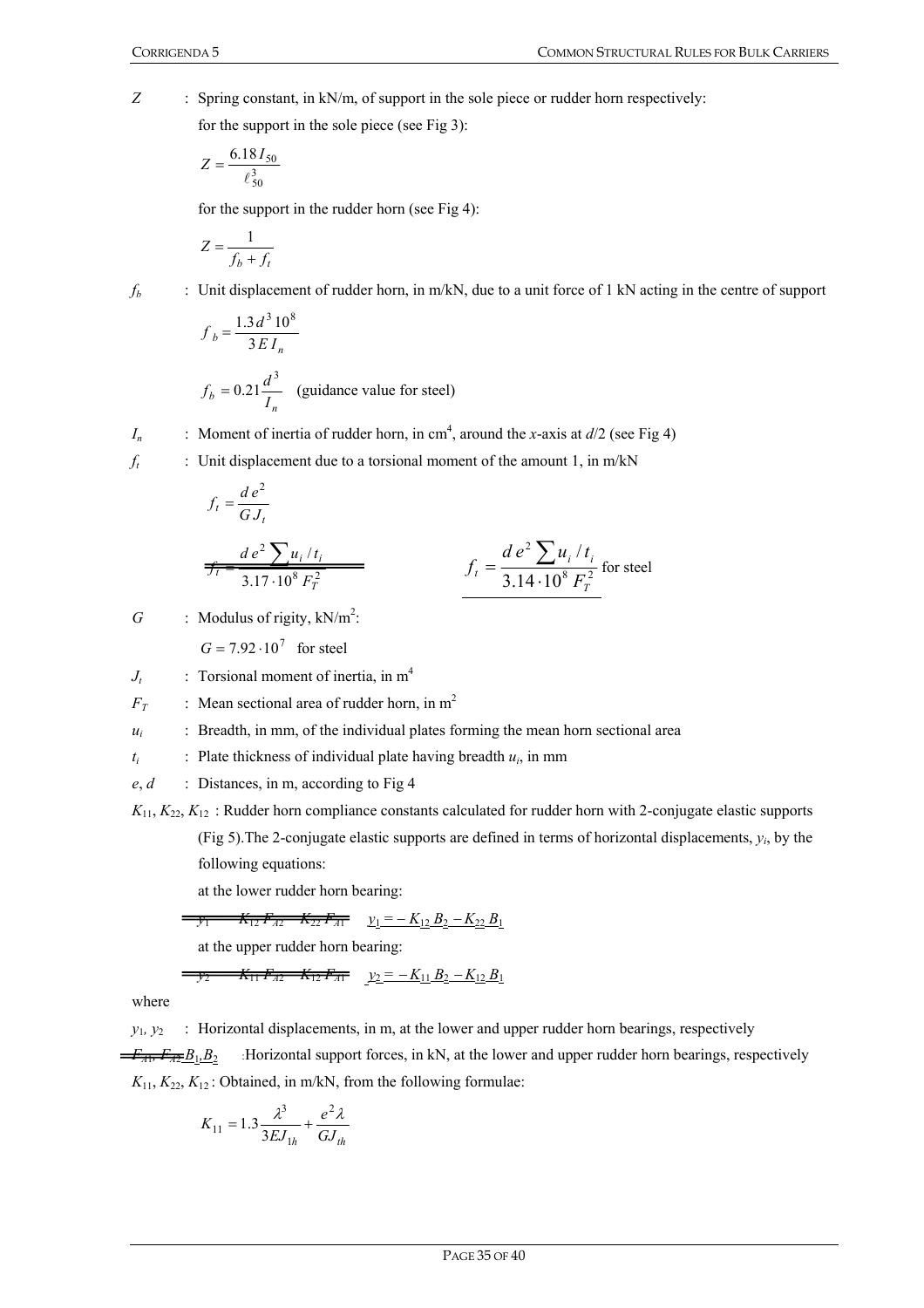*Z* : Spring constant, in kN/m, of support in the sole piece or rudder horn respectively: for the support in the sole piece (see Fig 3):

$$
Z = \frac{6.18 I_{50}}{\ell_{50}^3}
$$

for the support in the rudder horn (see Fig 4):

$$
Z = \frac{1}{f_b + f_t}
$$

*f<sub>b</sub>* : Unit displacement of rudder horn, in m/kN, due to a unit force of 1 kN acting in the centre of support

$$
f_b = \frac{1.3 d^3 10^8}{3EI_n}
$$
  

$$
f_b = 0.21 \frac{d^3}{I_n}
$$
 (guidance value for steel)

*I<sub>n</sub>* : Moment of inertia of rudder horn, in cm<sup>4</sup>, around the *x*-axis at  $d/2$  (see Fig 4)

 $f_t$  : Unit displacement due to a torsional moment of the amount 1, in m/kN

$$
f_t = \frac{d\,e^2}{GJ_t}
$$

$$
f_t = \frac{de^2 \sum u_i / t_i}{3.17 \cdot 10^8 F_T^2}
$$
  $f_t = \frac{de^2 \sum u_i / t_i}{3.14 \cdot 10^8 F_T^2}$  for steel

 $G$  : Modulus of rigity,  $kN/m^2$ :

 $G = 7.92 \cdot 10^7$  for steel

 $J_t$  : Torsional moment of inertia, in m<sup>4</sup>

 $F_T$  : Mean sectional area of rudder horn, in m<sup>2</sup>

 $u_i$ : Breadth, in mm, of the individual plates forming the mean horn sectional area

 $t_i$  : Plate thickness of individual plate having breadth  $u_i$ , in mm

*e*, *d* : Distances, in m, according to Fig 4

 $K_{11}$ ,  $K_{22}$ ,  $K_{12}$ : Rudder horn compliance constants calculated for rudder horn with 2-conjugate elastic supports (Fig 5).The 2-conjugate elastic supports are defined in terms of horizontal displacements, *yi*, by the following equations:

at the lower rudder horn bearing:

$$
\overline{y_1} = -K_{12}F_{A2} - K_{22}F_{A1} \qquad y_1 = -K_{12}B_2 - K_{22}B_1
$$

at the upper rudder horn bearing:

$$
-\frac{y_2 - K_{11}F_{A2} - K_{12}F_{A1}}{y_2 - K_{11}B_2 - K_{12}B_1}
$$

where

 $y_1, y_2$  : Horizontal displacements, in m, at the lower and upper rudder horn bearings, respectively  $\overline{F_{AF}}B_1, B_2$  : Horizontal support forces, in kN, at the lower and upper rudder horn bearings, respectively  $K_{11}$ ,  $K_{22}$ ,  $K_{12}$ : Obtained, in m/kN, from the following formulae:

$$
K_{11} = 1.3 \frac{\lambda^3}{3EJ_{1h}} + \frac{e^2\lambda}{GJ_{th}}
$$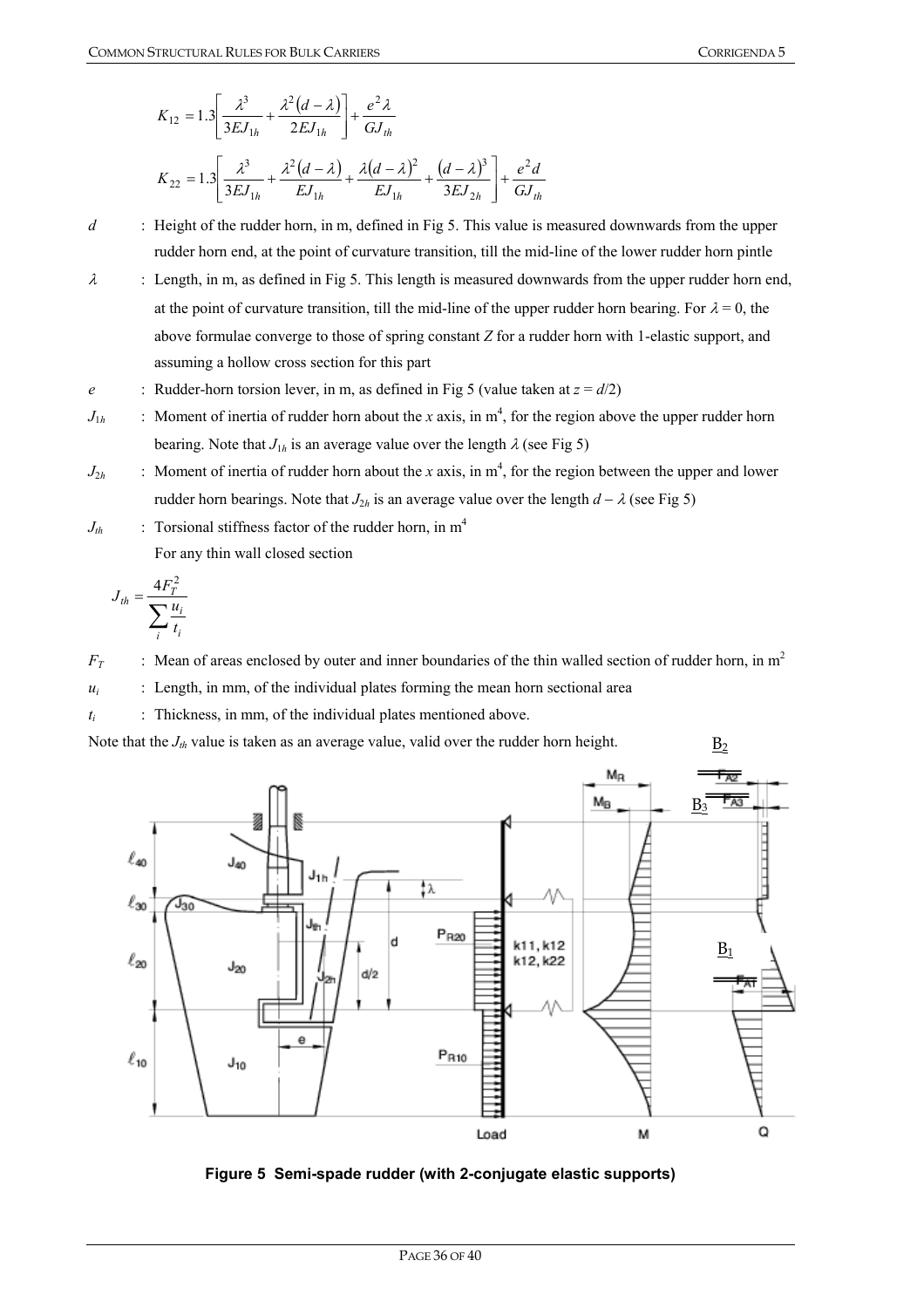$$
K_{12} = 1.3 \left[ \frac{\lambda^3}{3EJ_{1h}} + \frac{\lambda^2 (d - \lambda)}{2EJ_{1h}} \right] + \frac{e^2 \lambda}{GJ_{th}}
$$
  

$$
K_{22} = 1.3 \left[ \frac{\lambda^3}{3EJ_{1h}} + \frac{\lambda^2 (d - \lambda)}{EJ_{1h}} + \frac{\lambda (d - \lambda)^2}{EJ_{1h}} + \frac{(d - \lambda)^3}{3EJ_{2h}} \right] + \frac{e^2 d}{GJ_{th}}
$$

*d* : Height of the rudder horn, in m, defined in Fig 5. This value is measured downwards from the upper rudder horn end, at the point of curvature transition, till the mid-line of the lower rudder horn pintle

- $\lambda$  : Length, in m, as defined in Fig 5. This length is measured downwards from the upper rudder horn end, at the point of curvature transition, till the mid-line of the upper rudder horn bearing. For  $\lambda = 0$ , the above formulae converge to those of spring constant *Z* for a rudder horn with 1-elastic support, and assuming a hollow cross section for this part
- *e* : Rudder-horn torsion lever, in m, as defined in Fig 5 (value taken at  $z = d/2$ )
- $J_{1h}$  : Moment of inertia of rudder horn about the *x* axis, in  $m^4$ , for the region above the upper rudder horn bearing. Note that  $J_{1h}$  is an average value over the length  $\lambda$  (see Fig 5)
- $J_{2h}$  : Moment of inertia of rudder horn about the *x* axis, in  $m^4$ , for the region between the upper and lower rudder horn bearings. Note that  $J_{2h}$  is an average value over the length  $d - \lambda$  (see Fig 5)
- $J_{th}$  : Torsional stiffness factor of the rudder horn, in m<sup>4</sup> For any thin wall closed section

$$
J_{th} = \frac{4F_T^2}{\sum_i \frac{u_i}{t_i}}
$$

 $F_T$  : Mean of areas enclosed by outer and inner boundaries of the thin walled section of rudder horn, in m<sup>2</sup>

 $u_i$  : Length, in mm, of the individual plates forming the mean horn sectional area

 $t_i$  : Thickness, in mm, of the individual plates mentioned above.

Note that the  $J_{th}$  value is taken as an average value, valid over the rudder horn height.



**Figure 5 Semi-spade rudder (with 2-conjugate elastic supports)**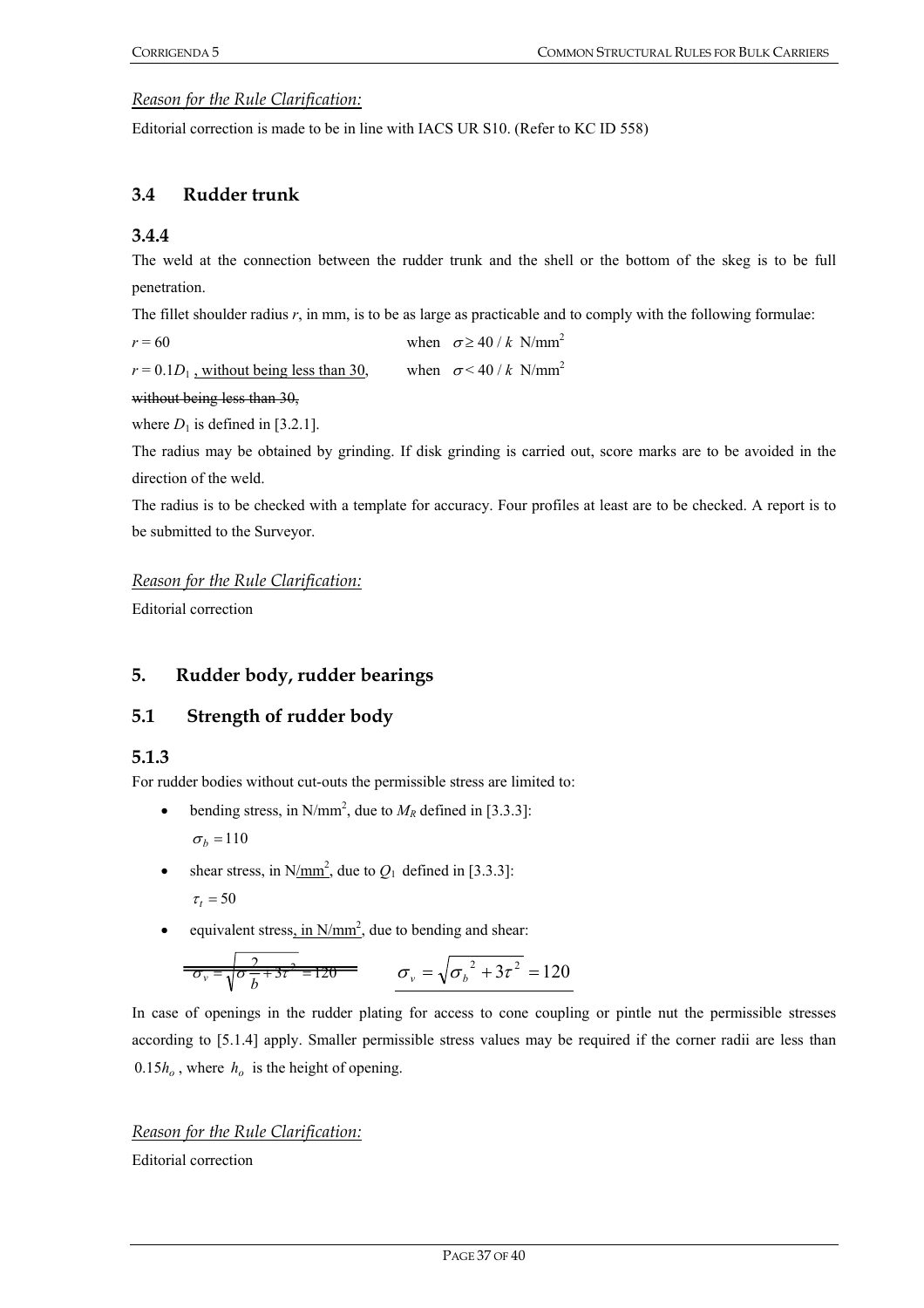#### *Reason for the Rule Clarification:*

Editorial correction is made to be in line with IACS UR S10. (Refer to KC ID 558)

## **3.4 Rudder trunk**

#### **3.4.4**

The weld at the connection between the rudder trunk and the shell or the bottom of the skeg is to be full penetration.

The fillet shoulder radius *r*, in mm, is to be as large as practicable and to comply with the following formulae:

*r* = 60 when  $\sigma \ge 40 / k \text{ N/mm}^2$ 

 $r = 0.1D_1$ , without being less than 30, when  $\sigma < 40 / k \text{ N/mm}^2$ 

without being less than 30,

where  $D_1$  is defined in [3.2.1].

The radius may be obtained by grinding. If disk grinding is carried out, score marks are to be avoided in the direction of the weld.

The radius is to be checked with a template for accuracy. Four profiles at least are to be checked. A report is to be submitted to the Surveyor.

#### *Reason for the Rule Clarification:*

Editorial correction

## **5. Rudder body, rudder bearings**

## **5.1 Strength of rudder body**

**5.1.3** 

For rudder bodies without cut-outs the permissible stress are limited to:

- bending stress, in N/mm<sup>2</sup>, due to  $M_R$  defined in [3.3.3]:  $\sigma_b = 110$
- shear stress, in N/mm<sup>2</sup>, due to  $Q_1$  defined in [3.3.3]:  $\tau_t = 50$
- equivalent stress, in  $N/mm^2$ , due to bending and shear:

$$
\frac{2}{\sigma_v = \sqrt{\sigma_v^2 + 3\tau^2}} = 120
$$
\n
$$
\sigma_v = \sqrt{{\sigma_b}^2 + 3\tau^2} = 120
$$

In case of openings in the rudder plating for access to cone coupling or pintle nut the permissible stresses according to [5.1.4] apply. Smaller permissible stress values may be required if the corner radii are less than  $0.15h<sub>o</sub>$ , where  $h<sub>o</sub>$  is the height of opening.

*Reason for the Rule Clarification:* Editorial correction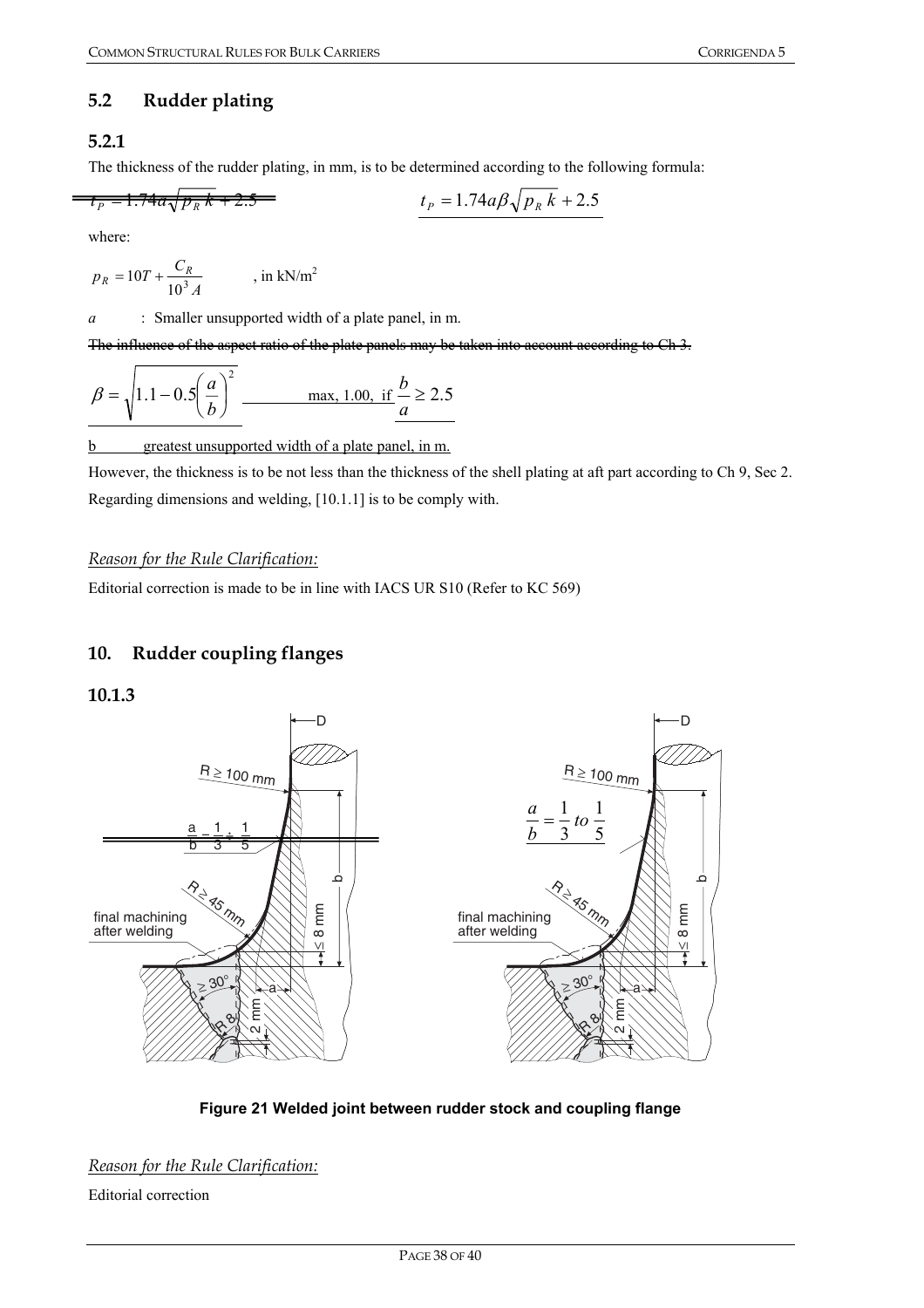# **5.2 Rudder plating**

# **5.2.1**

 $\overline{a}$ 

The thickness of the rudder plating, in mm, is to be determined according to the following formula:

$$
t_p = 1.74a\sqrt{p_R k} + 2.5
$$

$$
t_P = 1.74a\sqrt{p_R k + 2.5}
$$
\n
$$
t_P = 1.74a\beta\sqrt{p_R k + 2.5}
$$

where:

$$
p_R = 10T + \frac{C_R}{10^3 A} \qquad \text{, in kN/m}^2
$$

*a* : Smaller unsupported width of a plate panel, in m.

The influence of the aspect ratio of the plate panels may be taken into account according to

$$
\beta = \sqrt{1.1 - 0.5 \left(\frac{a}{b}\right)^2}
$$
 max, 1.00, if  $\frac{b}{a} \ge 2.5$ 

b greatest unsupported width of a plate panel, in m.

However, the thickness is to be not less than the thickness of the shell plating at aft part according to Ch 9, Sec 2. Regarding dimensions and welding, [10.1.1] is to be comply with.

#### *Reason for the Rule Clarification:*

Editorial correction is made to be in line with IACS UR S10 (Refer to KC 569)

# **10. Rudder coupling flanges**

#### **10.1.3**



**Figure 21 Welded joint between rudder stock and coupling flange** 

*Reason for the Rule Clarification:*

Editorial correction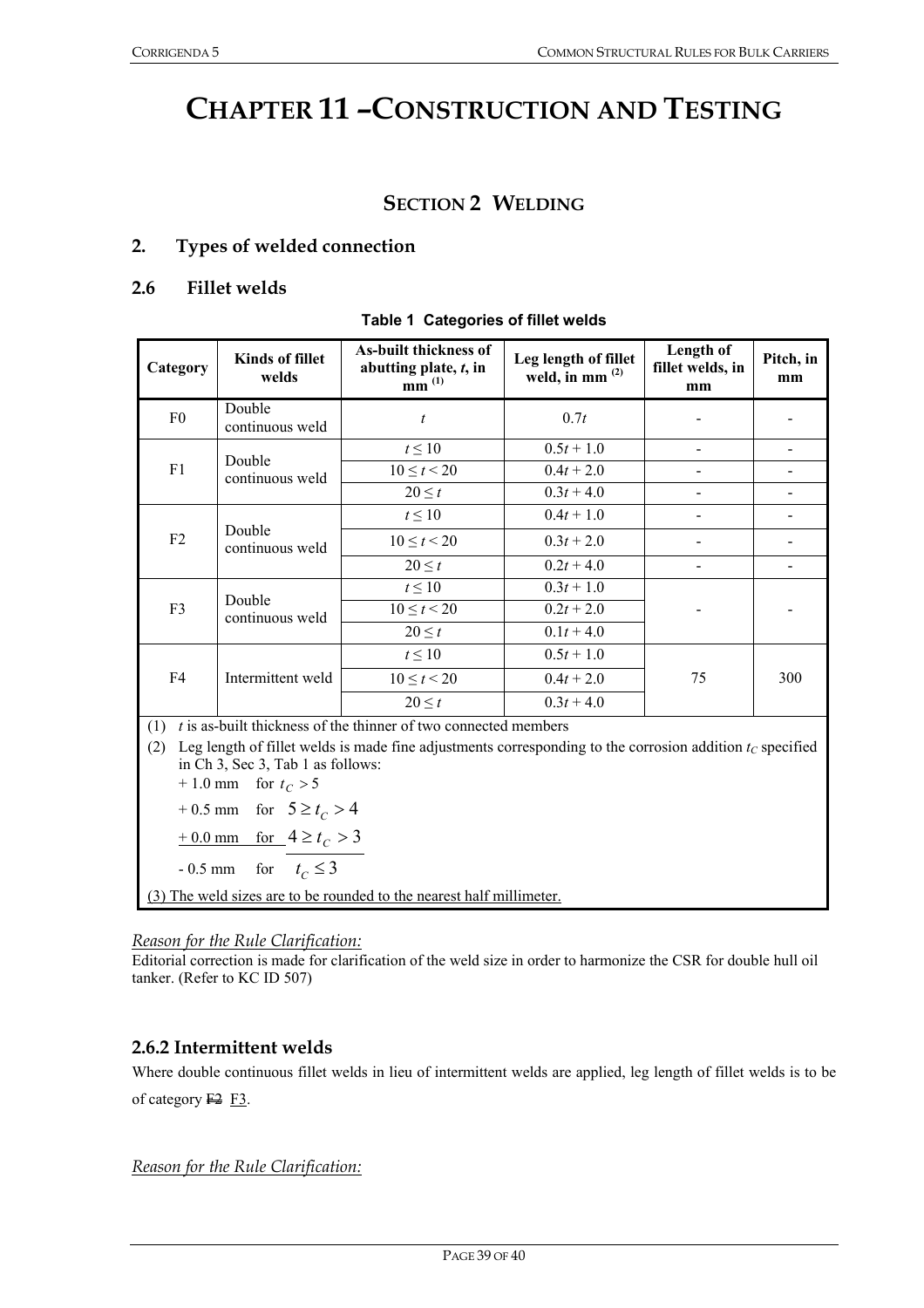# **CHAPTER 11 –CONSTRUCTION AND TESTING**

# **SECTION 2 WELDING**

### **2. Types of welded connection**

#### **2.6 Fillet welds**

#### **Table 1 Categories of fillet welds**

| Category       | <b>Kinds of fillet</b><br>welds                                                                             | As-built thickness of<br>abutting plate, t, in<br>$mm^{(1)}$      | Leg length of fillet<br>weld, in mm $^{(2)}$ | Length of<br>fillet welds, in<br>mm | Pitch, in<br>mm |  |
|----------------|-------------------------------------------------------------------------------------------------------------|-------------------------------------------------------------------|----------------------------------------------|-------------------------------------|-----------------|--|
| F <sub>0</sub> | Double<br>continuous weld                                                                                   | $\boldsymbol{t}$                                                  | 0.7t                                         |                                     |                 |  |
|                |                                                                                                             | $t \leq 10$                                                       | $0.5t + 1.0$                                 |                                     |                 |  |
| F1             | Double<br>continuous weld                                                                                   | $10 \le t < 20$                                                   | $0.4t + 2.0$                                 |                                     |                 |  |
|                |                                                                                                             | $20 \leq t$                                                       | $0.3t + 4.0$                                 |                                     |                 |  |
|                |                                                                                                             | $t \leq 10$                                                       | $0.4t + 1.0$                                 |                                     |                 |  |
| F <sub>2</sub> | Double<br>continuous weld                                                                                   | $10 \le t < 20$                                                   | $0.3t + 2.0$                                 |                                     |                 |  |
|                |                                                                                                             | $20 \leq t$                                                       | $0.2t + 4.0$                                 |                                     |                 |  |
|                | Double<br>continuous weld                                                                                   | $t \leq 10$                                                       | $0.3t + 1.0$                                 |                                     |                 |  |
| F <sub>3</sub> |                                                                                                             | $10 \le t < 20$                                                   | $0.2t + 2.0$                                 |                                     |                 |  |
|                |                                                                                                             | $20 \leq t$                                                       | $0.1t + 4.0$                                 |                                     |                 |  |
|                |                                                                                                             | $t \leq 10$                                                       | $0.5t + 1.0$                                 |                                     |                 |  |
| F4             | Intermittent weld                                                                                           | $10 \le t < 20$                                                   | $0.4t + 2.0$                                 | 75                                  | 300             |  |
|                |                                                                                                             | $20 \leq t$                                                       | $0.3t + 4.0$                                 |                                     |                 |  |
| (1)            |                                                                                                             | $t$ is as-built thickness of the thinner of two connected members |                                              |                                     |                 |  |
| (2)            | Leg length of fillet welds is made fine adjustments corresponding to the corrosion addition $t_c$ specified |                                                                   |                                              |                                     |                 |  |

in Ch 3, Sec 3, Tab 1 as follows:

 $+ 1.0$  mm for  $t_C > 5$ 

 $+ 0.5$  mm for  $5 \ge t_c > 4$ 

 $+ 0.0$  mm for  $4 \ge t_c > 3$ 

 $-0.5$  mm for  $t_c \leq 3$ 

(3) The weld sizes are to be rounded to the nearest half millimeter.

#### *Reason for the Rule Clarification:*

Editorial correction is made for clarification of the weld size in order to harmonize the CSR for double hull oil tanker. (Refer to KC ID 507)

## **2.6.2 Intermittent welds**

Where double continuous fillet welds in lieu of intermittent welds are applied, leg length of fillet welds is to be of category  $F2$  F3.

*Reason for the Rule Clarification:*